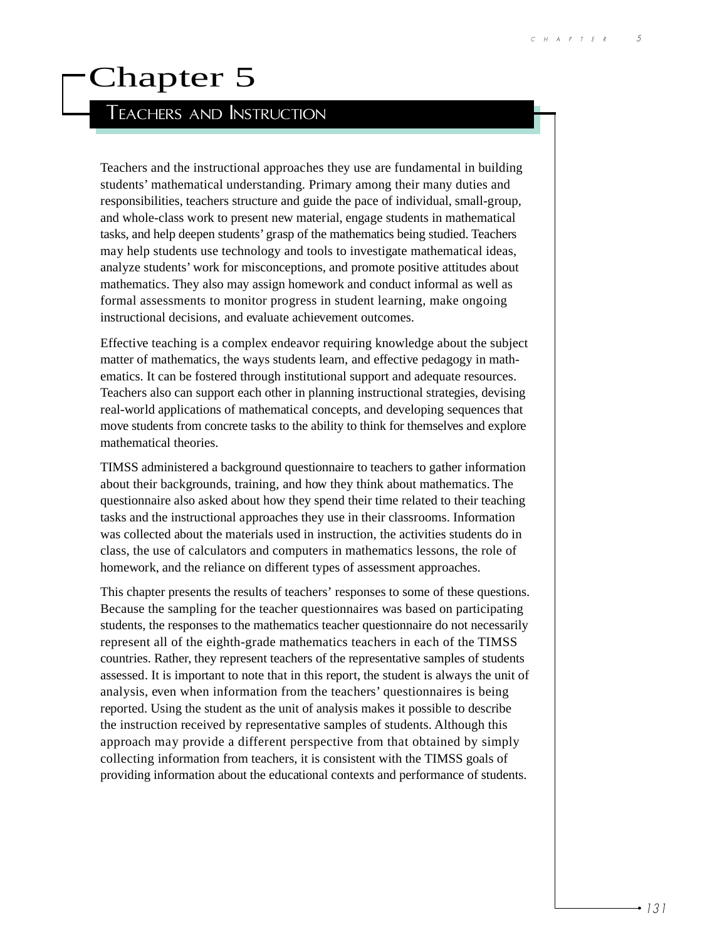# Chapter 5

# TEACHERS AND INSTRUCTION

Teachers and the instructional approaches they use are fundamental in building students' mathematical understanding. Primary among their many duties and responsibilities, teachers structure and guide the pace of individual, small-group, and whole-class work to present new material, engage students in mathematical tasks, and help deepen students' grasp of the mathematics being studied. Teachers may help students use technology and tools to investigate mathematical ideas, analyze students' work for misconceptions, and promote positive attitudes about mathematics. They also may assign homework and conduct informal as well as formal assessments to monitor progress in student learning, make ongoing instructional decisions, and evaluate achievement outcomes.

Effective teaching is a complex endeavor requiring knowledge about the subject matter of mathematics, the ways students learn, and effective pedagogy in mathematics. It can be fostered through institutional support and adequate resources. Teachers also can support each other in planning instructional strategies, devising real-world applications of mathematical concepts, and developing sequences that move students from concrete tasks to the ability to think for themselves and explore mathematical theories.

TIMSS administered a background questionnaire to teachers to gather information about their backgrounds, training, and how they think about mathematics. The questionnaire also asked about how they spend their time related to their teaching tasks and the instructional approaches they use in their classrooms. Information was collected about the materials used in instruction, the activities students do in class, the use of calculators and computers in mathematics lessons, the role of homework, and the reliance on different types of assessment approaches.

This chapter presents the results of teachers' responses to some of these questions. Because the sampling for the teacher questionnaires was based on participating students, the responses to the mathematics teacher questionnaire do not necessarily represent all of the eighth-grade mathematics teachers in each of the TIMSS countries. Rather, they represent teachers of the representative samples of students assessed. It is important to note that in this report, the student is always the unit of analysis, even when information from the teachers' questionnaires is being reported. Using the student as the unit of analysis makes it possible to describe the instruction received by representative samples of students. Although this approach may provide a different perspective from that obtained by simply collecting information from teachers, it is consistent with the TIMSS goals of providing information about the educational contexts and performance of students.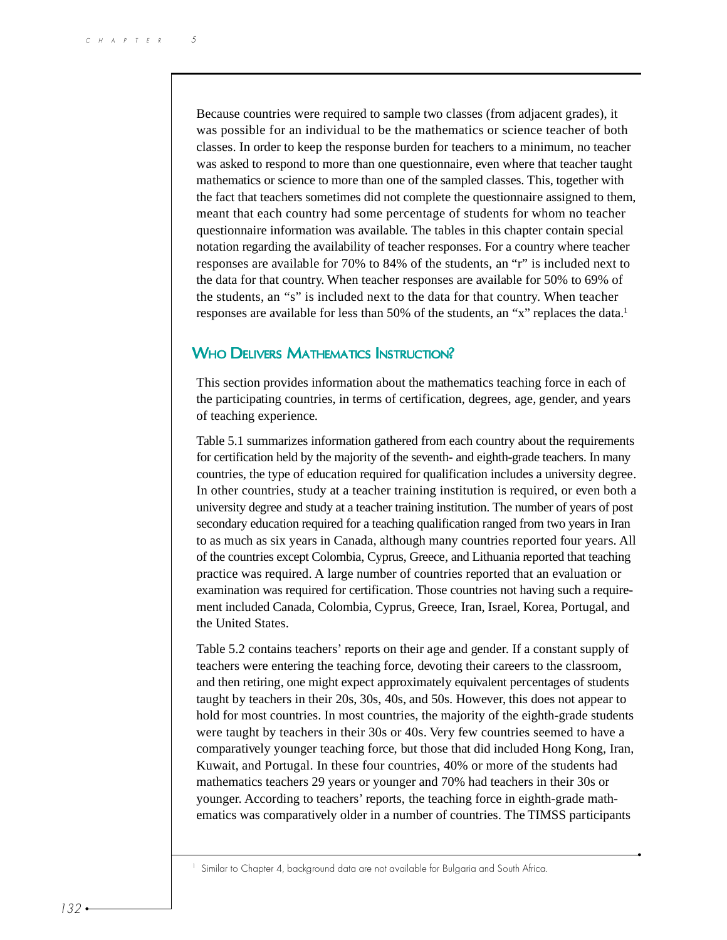Because countries were required to sample two classes (from adjacent grades), it was possible for an individual to be the mathematics or science teacher of both classes. In order to keep the response burden for teachers to a minimum, no teacher was asked to respond to more than one questionnaire, even where that teacher taught mathematics or science to more than one of the sampled classes. This, together with the fact that teachers sometimes did not complete the questionnaire assigned to them, meant that each country had some percentage of students for whom no teacher questionnaire information was available. The tables in this chapter contain special notation regarding the availability of teacher responses. For a country where teacher responses are available for 70% to 84% of the students, an "r" is included next to the data for that country. When teacher responses are available for 50% to 69% of the students, an "s" is included next to the data for that country. When teacher responses are available for less than 50% of the students, an "x" replaces the data.1

### WHO DELIVERS MATHEMATICS INSTRUCTION?

This section provides information about the mathematics teaching force in each of the participating countries, in terms of certification, degrees, age, gender, and years of teaching experience.

Table 5.1 summarizes information gathered from each country about the requirements for certification held by the majority of the seventh- and eighth-grade teachers. In many countries, the type of education required for qualification includes a university degree. In other countries, study at a teacher training institution is required, or even both a university degree and study at a teacher training institution. The number of years of post secondary education required for a teaching qualification ranged from two years in Iran to as much as six years in Canada, although many countries reported four years. All of the countries except Colombia, Cyprus, Greece, and Lithuania reported that teaching practice was required. A large number of countries reported that an evaluation or examination was required for certification. Those countries not having such a requirement included Canada, Colombia, Cyprus, Greece, Iran, Israel, Korea, Portugal, and the United States.

Table 5.2 contains teachers' reports on their age and gender. If a constant supply of teachers were entering the teaching force, devoting their careers to the classroom, and then retiring, one might expect approximately equivalent percentages of students taught by teachers in their 20s, 30s, 40s, and 50s. However, this does not appear to hold for most countries. In most countries, the majority of the eighth-grade students were taught by teachers in their 30s or 40s. Very few countries seemed to have a comparatively younger teaching force, but those that did included Hong Kong, Iran, Kuwait, and Portugal. In these four countries, 40% or more of the students had mathematics teachers 29 years or younger and 70% had teachers in their 30s or younger. According to teachers' reports, the teaching force in eighth-grade mathematics was comparatively older in a number of countries. The TIMSS participants

<sup>&</sup>lt;sup>1</sup> Similar to Chapter 4, background data are not available for Bulgaria and South Africa.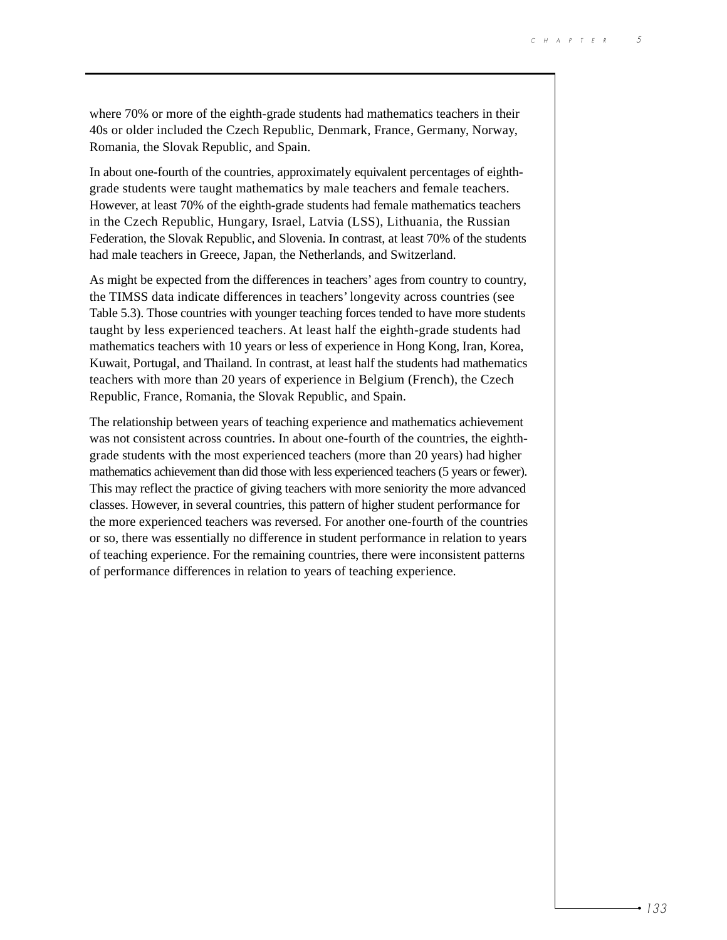where 70% or more of the eighth-grade students had mathematics teachers in their 40s or older included the Czech Republic, Denmark, France, Germany, Norway, Romania, the Slovak Republic, and Spain.

In about one-fourth of the countries, approximately equivalent percentages of eighthgrade students were taught mathematics by male teachers and female teachers. However, at least 70% of the eighth-grade students had female mathematics teachers in the Czech Republic, Hungary, Israel, Latvia (LSS), Lithuania, the Russian Federation, the Slovak Republic, and Slovenia. In contrast, at least 70% of the students had male teachers in Greece, Japan, the Netherlands, and Switzerland.

As might be expected from the differences in teachers' ages from country to country, the TIMSS data indicate differences in teachers' longevity across countries (see Table 5.3). Those countries with younger teaching forces tended to have more students taught by less experienced teachers. At least half the eighth-grade students had mathematics teachers with 10 years or less of experience in Hong Kong, Iran, Korea, Kuwait, Portugal, and Thailand. In contrast, at least half the students had mathematics teachers with more than 20 years of experience in Belgium (French), the Czech Republic, France, Romania, the Slovak Republic, and Spain.

The relationship between years of teaching experience and mathematics achievement was not consistent across countries. In about one-fourth of the countries, the eighthgrade students with the most experienced teachers (more than 20 years) had higher mathematics achievement than did those with less experienced teachers (5 years or fewer). This may reflect the practice of giving teachers with more seniority the more advanced classes. However, in several countries, this pattern of higher student performance for the more experienced teachers was reversed. For another one-fourth of the countries or so, there was essentially no difference in student performance in relation to years of teaching experience. For the remaining countries, there were inconsistent patterns of performance differences in relation to years of teaching experience.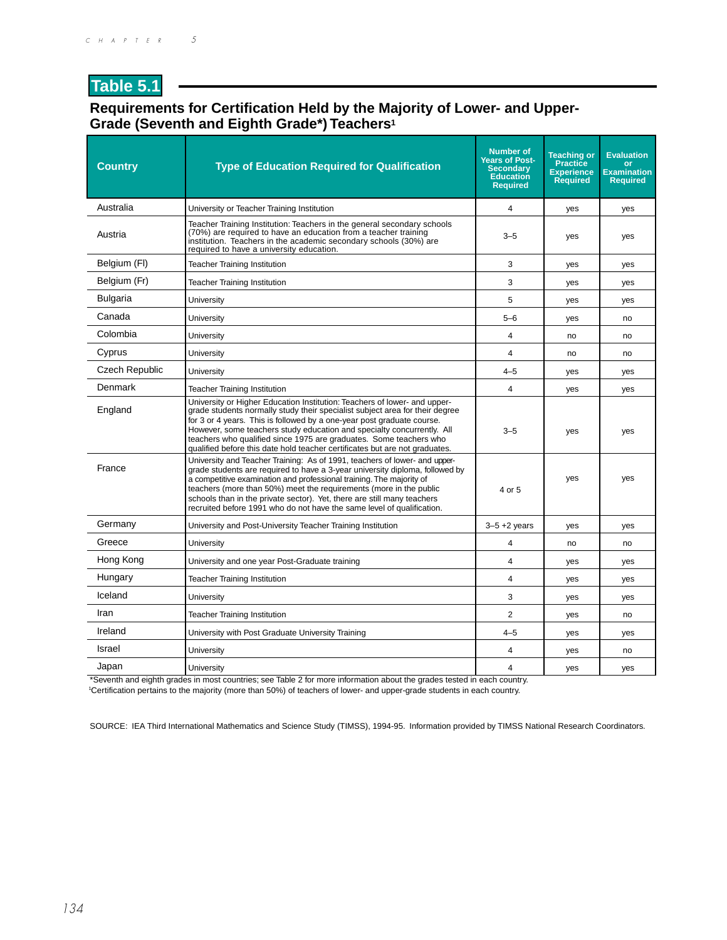### **Requirements for Certification Held by the Majority of Lower- and Upper-Grade (Seventh and Eighth Grade\*) Teachers1**

| <b>Country</b>  | <b>Type of Education Required for Qualification</b>                                                                                                                                                                                                                                                                                                                                                                                                                | <b>Number of</b><br><b>Years of Post-</b><br><b>Secondary</b><br><b>Education</b><br><b>Required</b> | <b>Teaching or</b><br><b>Practice</b><br><b>Experience</b><br><b>Required</b> | <b>Evaluation</b><br>or<br><b>Examination</b><br><b>Required</b> |
|-----------------|--------------------------------------------------------------------------------------------------------------------------------------------------------------------------------------------------------------------------------------------------------------------------------------------------------------------------------------------------------------------------------------------------------------------------------------------------------------------|------------------------------------------------------------------------------------------------------|-------------------------------------------------------------------------------|------------------------------------------------------------------|
| Australia       | University or Teacher Training Institution                                                                                                                                                                                                                                                                                                                                                                                                                         | 4                                                                                                    | yes                                                                           | yes                                                              |
| Austria         | Teacher Training Institution: Teachers in the general secondary schools<br>(70%) are required to have an education from a teacher training<br>institution. Teachers in the academic secondary schools (30%) are<br>required to have a university education.                                                                                                                                                                                                        | $3 - 5$                                                                                              | yes                                                                           | yes                                                              |
| Belgium (FI)    | <b>Teacher Training Institution</b>                                                                                                                                                                                                                                                                                                                                                                                                                                | 3                                                                                                    | yes                                                                           | yes                                                              |
| Belgium (Fr)    | <b>Teacher Training Institution</b>                                                                                                                                                                                                                                                                                                                                                                                                                                | 3                                                                                                    | yes                                                                           | yes                                                              |
| <b>Bulgaria</b> | University                                                                                                                                                                                                                                                                                                                                                                                                                                                         | 5                                                                                                    | yes                                                                           | yes                                                              |
| Canada          | University                                                                                                                                                                                                                                                                                                                                                                                                                                                         | $5 - 6$                                                                                              | yes                                                                           | no                                                               |
| Colombia        | University                                                                                                                                                                                                                                                                                                                                                                                                                                                         | $\overline{4}$                                                                                       | no                                                                            | no                                                               |
| Cyprus          | University                                                                                                                                                                                                                                                                                                                                                                                                                                                         | $\overline{4}$                                                                                       | no                                                                            | no                                                               |
| Czech Republic  | University                                                                                                                                                                                                                                                                                                                                                                                                                                                         | $4 - 5$                                                                                              | yes                                                                           | yes                                                              |
| Denmark         | <b>Teacher Training Institution</b>                                                                                                                                                                                                                                                                                                                                                                                                                                | $\overline{4}$                                                                                       | yes                                                                           | yes                                                              |
| England         | University or Higher Education Institution: Teachers of lower- and upper-<br>grade students normally study their specialist subject area for their degree<br>for 3 or 4 years. This is followed by a one-year post graduate course.<br>However, some teachers study education and specialty concurrently. All<br>teachers who qualified since 1975 are graduates. Some teachers who<br>qualified before this date hold teacher certificates but are not graduates. | $3 - 5$                                                                                              | yes                                                                           | yes                                                              |
| France          | University and Teacher Training: As of 1991, teachers of lower- and upper-<br>grade students are required to have a 3-year university diploma, followed by<br>a competitive examination and professional training. The majority of<br>teachers (more than 50%) meet the requirements (more in the public<br>schools than in the private sector). Yet, there are still many teachers<br>recruited before 1991 who do not have the same level of qualification.      | 4 or 5                                                                                               | yes                                                                           | yes                                                              |
| Germany         | University and Post-University Teacher Training Institution                                                                                                                                                                                                                                                                                                                                                                                                        | $3-5+2$ years                                                                                        | yes                                                                           | yes                                                              |
| Greece          | University                                                                                                                                                                                                                                                                                                                                                                                                                                                         | $\overline{4}$                                                                                       | no                                                                            | no                                                               |
| Hong Kong       | University and one year Post-Graduate training                                                                                                                                                                                                                                                                                                                                                                                                                     | $\overline{4}$                                                                                       | yes                                                                           | yes                                                              |
| Hungary         | <b>Teacher Training Institution</b>                                                                                                                                                                                                                                                                                                                                                                                                                                | 4                                                                                                    | yes                                                                           | yes                                                              |
| Iceland         | University                                                                                                                                                                                                                                                                                                                                                                                                                                                         | 3                                                                                                    | yes                                                                           | yes                                                              |
| Iran            | <b>Teacher Training Institution</b>                                                                                                                                                                                                                                                                                                                                                                                                                                | 2                                                                                                    | yes                                                                           | no                                                               |
| Ireland         | University with Post Graduate University Training                                                                                                                                                                                                                                                                                                                                                                                                                  | $4 - 5$                                                                                              | yes                                                                           | yes                                                              |
| Israel          | University                                                                                                                                                                                                                                                                                                                                                                                                                                                         | $\overline{4}$                                                                                       | yes                                                                           | no                                                               |
| Japan           | University                                                                                                                                                                                                                                                                                                                                                                                                                                                         | $\overline{\mathbf{A}}$                                                                              | ves                                                                           | yes                                                              |

\*Seventh and eighth grades in most countries; see Table 2 for more information about the grades tested in each country.

1 Certification pertains to the majority (more than 50%) of teachers of lower- and upper-grade students in each country.

SOURCE: IEA Third International Mathematics and Science Study (TIMSS), 1994-95. Information provided by TIMSS National Research Coordinators.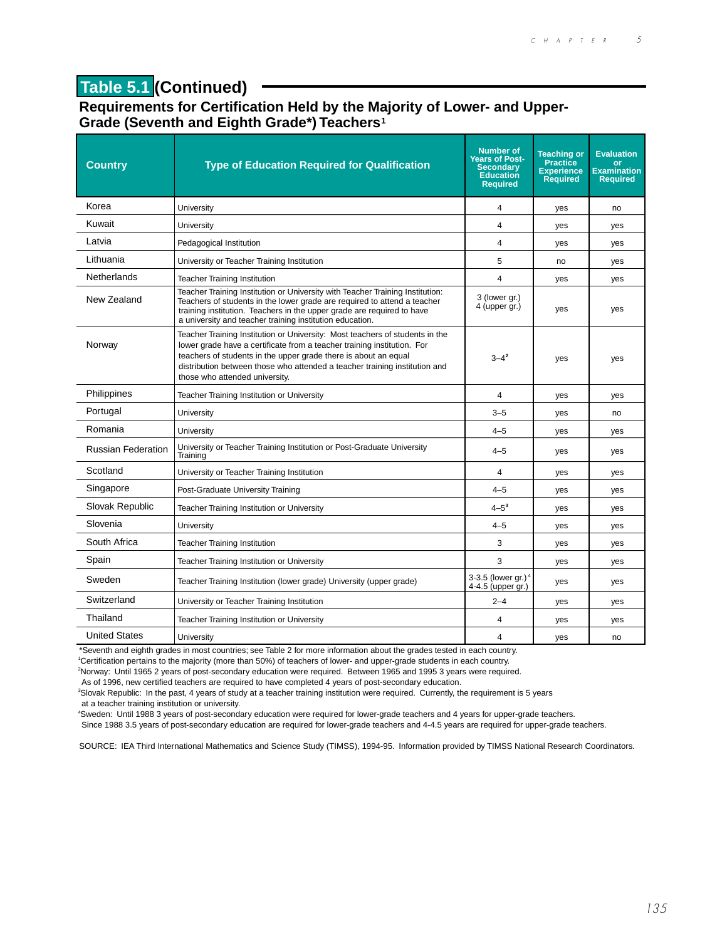# **Table 5.1 (Continued) Requirements for Certification Held by the Majority of Lower- and Upper-Grade (Seventh and Eighth Grade\*) Teachers1**

| <b>Country</b>            | <b>Type of Education Required for Qualification</b>                                                                                                                                                                                                                                                                                        | <b>Number of</b><br><b>Years of Post-</b><br><b>Secondary</b><br><b>Education</b><br><b>Required</b> | <b>Teaching or</b><br><b>Practice</b><br><b>Experience</b><br><b>Required</b> | <b>Evaluation</b><br>or<br><b>Examination</b><br><b>Required</b> |
|---------------------------|--------------------------------------------------------------------------------------------------------------------------------------------------------------------------------------------------------------------------------------------------------------------------------------------------------------------------------------------|------------------------------------------------------------------------------------------------------|-------------------------------------------------------------------------------|------------------------------------------------------------------|
| Korea                     | University                                                                                                                                                                                                                                                                                                                                 | 4                                                                                                    | yes                                                                           | no                                                               |
| Kuwait                    | University                                                                                                                                                                                                                                                                                                                                 | 4                                                                                                    | yes                                                                           | yes                                                              |
| Latvia                    | Pedagogical Institution                                                                                                                                                                                                                                                                                                                    | 4                                                                                                    | yes                                                                           | yes                                                              |
| Lithuania                 | University or Teacher Training Institution                                                                                                                                                                                                                                                                                                 | 5                                                                                                    | no                                                                            | yes                                                              |
| Netherlands               | <b>Teacher Training Institution</b>                                                                                                                                                                                                                                                                                                        | 4                                                                                                    | yes                                                                           | yes                                                              |
| New Zealand               | Teacher Training Institution or University with Teacher Training Institution:<br>Teachers of students in the lower grade are required to attend a teacher<br>training institution. Teachers in the upper grade are required to have<br>a university and teacher training institution education.                                            | 3 (lower gr.)<br>4 (upper gr.)                                                                       | yes                                                                           | yes                                                              |
| Norway                    | Teacher Training Institution or University: Most teachers of students in the<br>lower grade have a certificate from a teacher training institution. For<br>teachers of students in the upper grade there is about an equal<br>distribution between those who attended a teacher training institution and<br>those who attended university. | $3 - 4^2$                                                                                            | yes                                                                           | yes                                                              |
| Philippines               | Teacher Training Institution or University                                                                                                                                                                                                                                                                                                 | 4                                                                                                    | yes                                                                           | yes                                                              |
| Portugal                  | University                                                                                                                                                                                                                                                                                                                                 | $3 - 5$                                                                                              | yes                                                                           | no                                                               |
| Romania                   | University                                                                                                                                                                                                                                                                                                                                 | $4 - 5$                                                                                              | yes                                                                           | yes                                                              |
| <b>Russian Federation</b> | University or Teacher Training Institution or Post-Graduate University<br>Training                                                                                                                                                                                                                                                         | $4 - 5$                                                                                              | yes                                                                           | yes                                                              |
| Scotland                  | University or Teacher Training Institution                                                                                                                                                                                                                                                                                                 | 4                                                                                                    | yes                                                                           | yes                                                              |
| Singapore                 | Post-Graduate University Training                                                                                                                                                                                                                                                                                                          | $4 - 5$                                                                                              | yes                                                                           | yes                                                              |
| Slovak Republic           | Teacher Training Institution or University                                                                                                                                                                                                                                                                                                 | $4 - 5^3$                                                                                            | yes                                                                           | yes                                                              |
| Slovenia                  | University                                                                                                                                                                                                                                                                                                                                 | $4 - 5$                                                                                              | yes                                                                           | yes                                                              |
| South Africa              | <b>Teacher Training Institution</b>                                                                                                                                                                                                                                                                                                        | 3                                                                                                    | yes                                                                           | yes                                                              |
| Spain                     | Teacher Training Institution or University                                                                                                                                                                                                                                                                                                 | 3                                                                                                    | yes                                                                           | yes                                                              |
| Sweden                    | Teacher Training Institution (lower grade) University (upper grade)                                                                                                                                                                                                                                                                        | 3-3.5 (lower gr.) $4$<br>4-4.5 (upper gr.)                                                           | yes                                                                           | yes                                                              |
| Switzerland               | University or Teacher Training Institution                                                                                                                                                                                                                                                                                                 | $2 - 4$                                                                                              | yes                                                                           | yes                                                              |
| Thailand                  | Teacher Training Institution or University                                                                                                                                                                                                                                                                                                 | 4                                                                                                    | yes                                                                           | yes                                                              |
| <b>United States</b>      | University                                                                                                                                                                                                                                                                                                                                 | 4                                                                                                    | yes                                                                           | no                                                               |

\*Seventh and eighth grades in most countries; see Table 2 for more information about the grades tested in each country.

1 Certification pertains to the majority (more than 50%) of teachers of lower- and upper-grade students in each country.

2 Norway: Until 1965 2 years of post-secondary education were required. Between 1965 and 1995 3 years were required.

As of 1996, new certified teachers are required to have completed 4 years of post-secondary education.

3 Slovak Republic: In the past, 4 years of study at a teacher training institution were required. Currently, the requirement is 5 years at a teacher training institution or university.

4 Sweden: Until 1988 3 years of post-secondary education were required for lower-grade teachers and 4 years for upper-grade teachers.

Since 1988 3.5 years of post-secondary education are required for lower-grade teachers and 4-4.5 years are required for upper-grade teachers.

SOURCE: IEA Third International Mathematics and Science Study (TIMSS), 1994-95. Information provided by TIMSS National Research Coordinators.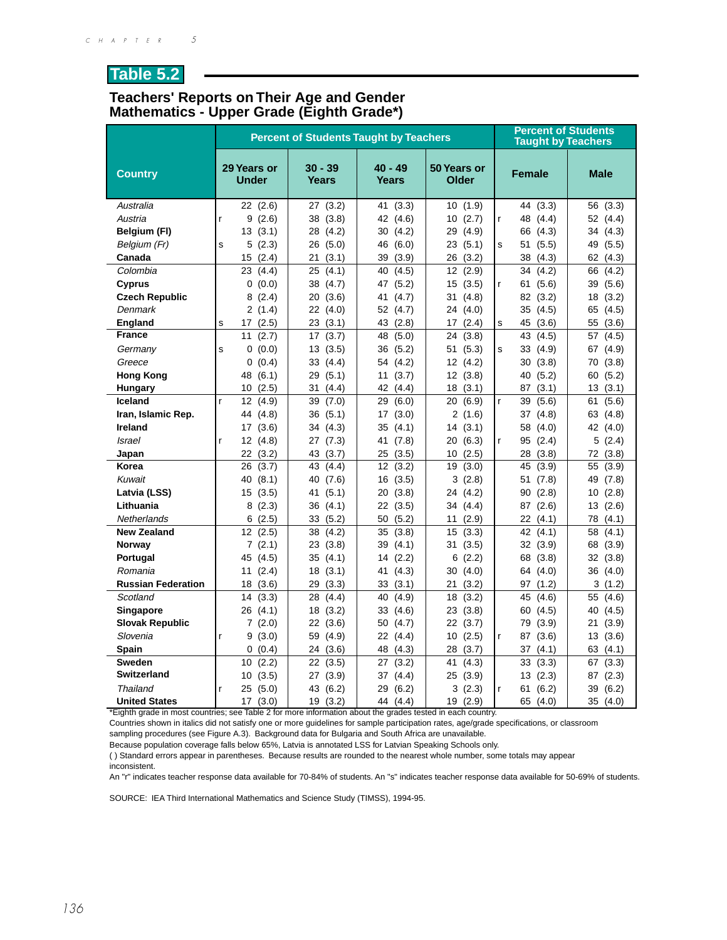#### **Teachers' Reports on Their Age and Gender Mathematics - Upper Grade (Eighth Grade\*)**

|                           |                      | <b>Percent of Students Taught by Teachers</b> | <b>Percent of Students</b><br><b>Taught by Teachers</b> |                      |                             |             |
|---------------------------|----------------------|-----------------------------------------------|---------------------------------------------------------|----------------------|-----------------------------|-------------|
| <b>Country</b>            | 29 Years or<br>Under | $30 - 39$<br><b>Years</b>                     | $40 - 49$<br><b>Years</b>                               | 50 Years or<br>Older | <b>Female</b>               | <b>Male</b> |
| Australia                 | 22(2.6)              | 27 (3.2)                                      | 41 (3.3)                                                | 10(1.9)              | 44 (3.3)                    | 56 (3.3)    |
| Austria                   | 9(2.6)<br>r          | 38 (3.8)                                      | 42 (4.6)                                                | 10(2.7)              | 48 (4.4)<br>$\mathsf{r}$    | 52 (4.4)    |
| Belgium (FI)              | 13(3.1)              | 28<br>(4.2)                                   | 30 (4.2)                                                | 29<br>(4.9)          | 66<br>(4.3)                 | 34 (4.3)    |
| Belgium (Fr)              | 5 (2.3)<br>S         | 26(5.0)                                       | 46 (6.0)                                                | 23 (5.1)             | (5.5)<br>51<br>s            | 49 (5.5)    |
| Canada                    | 15(2.4)              | 21(3.1)                                       | 39 (3.9)                                                | 26 (3.2)             | 38 (4.3)                    | 62 (4.3)    |
| Colombia                  | 23(4.4)              | 25(4.1)                                       | 40<br>(4.5)                                             | 12(2.9)              | (4.2)<br>34                 | 66 (4.2)    |
| Cyprus                    | 0(0.0)               | 38 (4.7)                                      | 47 (5.2)                                                | 15 (3.5)             | r<br>61<br>(5.6)            | 39 (5.6)    |
| <b>Czech Republic</b>     | 8(2.4)               | 20(3.6)                                       | 41<br>(4.7)                                             | 31 (4.8)             | (3.2)<br>82                 | 18(3.2)     |
| Denmark                   | 2 (1.4)              | 22(4.0)                                       | 52 (4.7)                                                | 24 (4.0)             | (4.5)<br>35                 | 65<br>(4.5) |
| <b>England</b>            | 17 (2.5)<br>s        | 23(3.1)                                       | (2.8)<br>43                                             | 17(2.4)              | s<br>45<br>(3.6)            | 55<br>(3.6) |
| France                    | 11(2.7)              | 17(3.7)                                       | (5.0)<br>48                                             | 24 (3.8)             | 43 (4.5)                    | 57 (4.5)    |
| Germany                   | 0(0.0)<br>s          | 13<br>(3.5)                                   | (5.2)<br>36                                             | 51 (5.3)             | (4.9)<br>33<br>s            | 67 (4.9)    |
| Greece                    | 0(0.4)               | 33 (4.4)                                      | (4.2)<br>54                                             | 12 (4.2)             | 30 (3.8)                    | (3.8)<br>70 |
| <b>Hong Kong</b>          | 48 (6.1)             | 29(5.1)                                       | (3.7)<br>11                                             | 12(3.8)              | 40 (5.2)                    | 60 (5.2)    |
| Hungary                   | 10(2.5)              | (4.4)<br>31                                   | 42 (4.4)                                                | 18(3.1)              | (3.1)<br>87                 | 13(3.1)     |
| Iceland                   | r<br>12<br>(4.9)     | 39 (7.0)                                      | 29<br>(6.0)                                             | 20<br>(6.9)          | $\mathsf{r}$<br>39<br>(5.6) | 61<br>(5.6) |
| Iran, Islamic Rep.        | 44 (4.8)             | 36(5.1)                                       | 17(3.0)                                                 | 2(1.6)               | 37 (4.8)                    | 63 (4.8)    |
| Ireland                   | 17 (3.6)             | 34(4.3)                                       | 35<br>(4.1)                                             | 14(3.1)              | 58<br>(4.0)                 | 42 (4.0)    |
| <b>Israel</b>             | r<br>12(4.8)         | 27 (7.3)                                      | 41 (7.8)                                                | 20 (6.3)             | r<br>95<br>(2.4)            | 5(2.4)      |
| Japan                     | 22 (3.2)             | 43 (3.7)                                      | 25 (3.5)                                                | 10(2.5)              | 28 (3.8)                    | 72 (3.8)    |
| Korea                     | (3.7)<br>26          | 43<br>(4.4)                                   | (3.2)<br>12                                             | 19<br>(3.0)          | (3.9)<br>45                 | 55 (3.9)    |
| Kuwait                    | 40 (8.1)             | 40 (7.6)                                      | 16 (3.5)                                                | 3(2.8)               | 51<br>(7.8)                 | 49 (7.8)    |
| Latvia (LSS)              | 15(3.5)              | (5.1)<br>41                                   | 20 (3.8)                                                | 24 (4.2)             | 90(2.8)                     | 10(2.8)     |
| Lithuania                 | 8(2.3)               | 36 (4.1)                                      | 22 (3.5)                                                | 34 (4.4)             | (2.6)<br>87                 | (2.6)<br>13 |
| <b>Netherlands</b>        | 6(2.5)               | 33 (5.2)                                      | (5.2)<br>50                                             | 11(2.9)              | 22<br>(4.1)                 | 78<br>(4.1) |
| <b>New Zealand</b>        | 12(2.5)              | 38 (4.2)                                      | (3.8)<br>35                                             | (3.3)<br>15          | 42 (4.1)                    | 58 (4.1)    |
| <b>Norway</b>             | 7(2.1)               | 23(3.8)                                       | 39<br>(4.1)                                             | 31 (3.5)             | 32(3.9)                     | (3.9)<br>68 |
| Portugal                  | 45 (4.5)             | 35(4.1)                                       | 14 (2.2)                                                | 6(2.2)               | 68<br>(3.8)                 | 32 (3.8)    |
| Romania                   | 11(2.4)              | 18(3.1)                                       | 41 (4.3)                                                | 30 (4.0)             | 64 (4.0)                    | 36 (4.0)    |
| <b>Russian Federation</b> | 18(3.6)              | (3.3)<br>29                                   | 33(3.1)                                                 | 21<br>(3.2)          | (1.2)<br>97                 | 3(1.2)      |
| Scotland                  | 14<br>(3.3)          | 28<br>(4.4)                                   | 40<br>(4.9)                                             | (3.2)<br>18          | 45<br>(4.6)                 | 55 (4.6)    |
| Singapore                 | 26(4.1)              | 18(3.2)                                       | 33 (4.6)                                                | 23(3.8)              | (4.5)<br>60                 | 40 (4.5)    |
| <b>Slovak Republic</b>    | 7(2.0)               | 22 (3.6)                                      | 50<br>(4.7)                                             | 22 (3.7)             | (3.9)<br>79                 | 21<br>(3.9) |
| Slovenia                  | 9(3.0)<br>r          | 59 (4.9)                                      | 22 (4.4)                                                | 10(2.5)              | (3.6)<br>r<br>87            | 13(3.6)     |
| <b>Spain</b>              | 0(0.4)               | 24 (3.6)                                      | 48 (4.3)                                                | 28 (3.7)             | (4.1)<br>37                 | 63 (4.1)    |
| <b>Sweden</b>             | (2.2)<br>10          | 22<br>(3.5)                                   | 27<br>(3.2)                                             | (4.3)<br>41          | 33<br>(3.3)                 | (3.3)<br>67 |
| <b>Switzerland</b>        | (3.5)<br>10          | 27 (3.9)                                      | 37<br>(4.4)                                             | 25 (3.9)             | (2.3)<br>13                 | 87 (2.3)    |
| Thailand                  | (5.0)<br>25          | (6.2)<br>43                                   | 29<br>(6.2)                                             | 3(2.3)               | (6.2)<br>61<br>r            | 39<br>(6.2) |
| <b>United States</b>      | 17(3.0)              | 19<br>(3.2)                                   | 44 (4.4)                                                | 19(2.9)              | 65<br>(4.0)                 | 35 (4.0)    |

\*Eighth grade in most countries; see Table 2 for more information about the grades tested in each country.

Countries shown in italics did not satisfy one or more guidelines for sample participation rates, age/grade specifications, or classroom

sampling procedures (see Figure A.3). Background data for Bulgaria and South Africa are unavailable.

Because population coverage falls below 65%, Latvia is annotated LSS for Latvian Speaking Schools only. ( ) Standard errors appear in parentheses. Because results are rounded to the nearest whole number, some totals may appear

inconsistent.

An "r" indicates teacher response data available for 70-84% of students. An "s" indicates teacher response data available for 50-69% of students.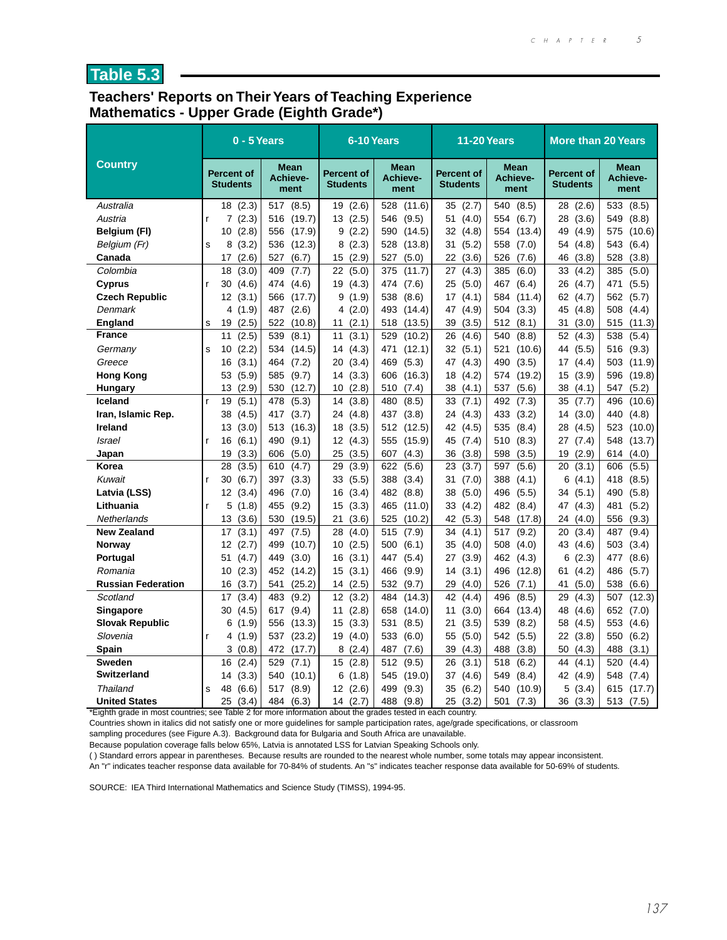#### **Teachers' Reports on Their Years of Teaching Experience Mathematics - Upper Grade (Eighth Grade\*)**

|                           | $0 - 5$ Years                        |    |         |     |                                        |    |                               | 6-10 Years |                                 |    | <b>11-20 Years</b>                   |     |                                        | <b>More than 20 Years</b> |                                      |     |                                        |  |  |
|---------------------------|--------------------------------------|----|---------|-----|----------------------------------------|----|-------------------------------|------------|---------------------------------|----|--------------------------------------|-----|----------------------------------------|---------------------------|--------------------------------------|-----|----------------------------------------|--|--|
| <b>Country</b>            | <b>Percent of</b><br><b>Students</b> |    |         |     | <b>Mean</b><br><b>Achieve-</b><br>ment |    | Percent of<br><b>Students</b> |            | Mean<br><b>Achieve-</b><br>ment |    | <b>Percent of</b><br><b>Students</b> |     | <b>Mean</b><br><b>Achieve-</b><br>ment |                           | <b>Percent of</b><br><b>Students</b> |     | <b>Mean</b><br><b>Achieve-</b><br>ment |  |  |
| Australia                 |                                      | 18 | (2.3)   | 517 | (8.5)                                  | 19 | (2.6)                         | 528        | (11.6)                          | 35 | (2.7)                                | 540 | (8.5)                                  | 28                        | (2.6)                                | 533 | (8.5)                                  |  |  |
| Austria                   | r                                    | 7  | (2.3)   | 516 | (19.7)                                 | 13 | (2.5)                         | 546        | (9.5)                           | 51 | (4.0)                                | 554 | (6.7)                                  | 28                        | (3.6)                                | 549 | (8.8)                                  |  |  |
| Belgium (FI)              |                                      | 10 | (2.8)   | 556 | (17.9)                                 | 9  | (2.2)                         | 590        | (14.5)                          | 32 | (4.8)                                | 554 | (13.4)                                 | 49                        | (4.9)                                | 575 | (10.6)                                 |  |  |
| Belgium (Fr)              | s                                    | 8  | (3.2)   | 536 | (12.3)                                 | 8  | (2.3)                         | 528        | (13.8)                          | 31 | (5.2)                                | 558 | (7.0)                                  | 54                        | (4.8)                                | 543 | (6.4)                                  |  |  |
| Canada                    |                                      | 17 | (2.6)   | 527 | (6.7)                                  | 15 | (2.9)                         | 527        | (5.0)                           |    | 22 (3.6)                             | 526 | (7.6)                                  | 46                        | (3.8)                                | 528 | (3.8)                                  |  |  |
| Colombia                  |                                      | 18 | (3.0)   | 409 | (7.7)                                  | 22 | (5.0)                         | 375        | (11.7)                          | 27 | (4.3)                                | 385 | (6.0)                                  | 33                        | (4.2)                                | 385 | (5.0)                                  |  |  |
| <b>Cyprus</b>             | r                                    | 30 | (4.6)   | 474 | (4.6)                                  | 19 | (4.3)                         | 474        | (7.6)                           | 25 | (5.0)                                | 467 | (6.4)                                  | 26                        | (4.7)                                | 471 | (5.5)                                  |  |  |
| <b>Czech Republic</b>     |                                      |    | 12(3.1) | 566 | (17.7)                                 | 9  | (1.9)                         | 538        | (8.6)                           | 17 | (4.1)                                | 584 | (11.4)                                 | 62                        | (4.7)                                | 562 | (5.7)                                  |  |  |
| Denmark                   |                                      | 4  | (1.9)   | 487 | (2.6)                                  | 4  | (2.0)                         | 493        | (14.4)                          | 47 | (4.9)                                | 504 | (3.3)                                  | 45                        | (4.8)                                | 508 | (4.4)                                  |  |  |
| <b>England</b>            | s                                    | 19 | (2.5)   | 522 | (10.8)                                 | 11 | (2.1)                         | 518        | (13.5)                          | 39 | (3.5)                                | 512 | (8.1)                                  | 31                        | (3.0)                                | 515 | (11.3)                                 |  |  |
| <b>France</b>             |                                      | 11 | (2.5)   | 539 | (8.1)                                  | 11 | (3.1)                         | 529        | (10.2)                          | 26 | (4.6)                                | 540 | (8.8)                                  | 52                        | (4.3)                                | 538 | (5.4)                                  |  |  |
| Germany                   | s                                    | 10 | (2.2)   | 534 | (14.5)                                 | 14 | (4.3)                         | 471        | (12.1)                          | 32 | (5.1)                                | 521 | (10.6)                                 | 44                        | (5.5)                                | 516 | (9.3)                                  |  |  |
| Greece                    |                                      | 16 | (3.1)   | 464 | (7.2)                                  | 20 | (3.4)                         | 469        | (5.3)                           | 47 | (4.3)                                | 490 | (3.5)                                  | 17                        | (4.4)                                | 503 | (11.9)                                 |  |  |
| <b>Hong Kong</b>          |                                      | 53 | (5.9)   | 585 | (9.7)                                  | 14 | (3.3)                         | 606        | (16.3)                          | 18 | (4.2)                                | 574 | (19.2)                                 | 15                        | (3.9)                                | 596 | (19.8)                                 |  |  |
| <b>Hungary</b>            |                                      | 13 | (2.9)   | 530 | (12.7)                                 | 10 | (2.8)                         | 510        | (7.4)                           | 38 | (4.1)                                | 537 | (5.6)                                  | 38                        | (4.1)                                | 547 | (5.2)                                  |  |  |
| <b>Iceland</b>            | r                                    | 19 | (5.1)   | 478 | (5.3)                                  | 14 | (3.8)                         | 480        | (8.5)                           | 33 | (7.1)                                | 492 | (7.3)                                  | 35                        | (7.7)                                | 496 | (10.6)                                 |  |  |
| Iran, Islamic Rep.        |                                      | 38 | (4.5)   | 417 | (3.7)                                  | 24 | (4.8)                         | 437        | (3.8)                           | 24 | (4.3)                                | 433 | (3.2)                                  | 14                        | (3.0)                                | 440 | (4.8)                                  |  |  |
| Ireland                   |                                      | 13 | (3.0)   | 513 | (16.3)                                 | 18 | (3.5)                         | 512        | (12.5)                          | 42 | (4.5)                                | 535 | (8.4)                                  | 28                        | (4.5)                                | 523 | (10.0)                                 |  |  |
| Israel                    | r                                    | 16 | (6.1)   | 490 | (9.1)                                  | 12 | (4.3)                         | 555        | (15.9)                          | 45 | (7.4)                                | 510 | (8.3)                                  | 27                        | (7.4)                                | 548 | (13.7)                                 |  |  |
| Japan                     |                                      | 19 | (3.3)   | 606 | (5.0)                                  | 25 | (3.5)                         | 607        | (4.3)                           | 36 | (3.8)                                | 598 | (3.5)                                  | 19                        | (2.9)                                | 614 | (4.0)                                  |  |  |
| Korea                     |                                      | 28 | (3.5)   | 610 | (4.7)                                  | 29 | (3.9)                         | 622        | (5.6)                           | 23 | (3.7)                                | 597 | (5.6)                                  | 20                        | (3.1)                                | 606 | (5.5)                                  |  |  |
| Kuwait                    | r                                    | 30 | (6.7)   | 397 | (3.3)                                  | 33 | (5.5)                         | 388        | (3.4)                           | 31 | (7.0)                                | 388 | (4.1)                                  | 6                         | (4.1)                                | 418 | (8.5)                                  |  |  |
| Latvia (LSS)              |                                      | 12 | (3.4)   | 496 | (7.0)                                  | 16 | (3.4)                         | 482        | (8.8)                           | 38 | (5.0)                                | 496 | (5.5)                                  | 34                        | (5.1)                                | 490 | (5.8)                                  |  |  |
| Lithuania                 | r                                    | 5  | (1.8)   | 455 | (9.2)                                  | 15 | (3.3)                         | 465        | (11.0)                          | 33 | (4.2)                                | 482 | (8.4)                                  | 47                        | (4.3)                                | 481 | (5.2)                                  |  |  |
| Netherlands               |                                      | 13 | (3.6)   | 530 | (19.5)                                 | 21 | (3.6)                         | 525        | (10.2)                          | 42 | (5.3)                                | 548 | (17.8)                                 | 24                        | (4.0)                                | 556 | (9.3)                                  |  |  |
| <b>New Zealand</b>        |                                      | 17 | (3.1)   | 497 | (7.5)                                  | 28 | (4.0)                         | 515        | (7.9)                           | 34 | (4.1)                                | 517 | (9.2)                                  | 20                        | (3.4)                                | 487 | (9.4)                                  |  |  |
| Norway                    |                                      | 12 | (2.7)   | 499 | (10.7)                                 | 10 | (2.5)                         | 500        | (6.1)                           | 35 | (4.0)                                | 508 | (4.0)                                  | 43                        | (4.6)                                | 503 | (3.4)                                  |  |  |
| Portugal                  |                                      | 51 | (4.7)   | 449 | (3.0)                                  | 16 | (3.1)                         | 447        | (5.4)                           | 27 | (3.9)                                | 462 | (4.3)                                  | 6                         | (2.3)                                | 477 | (8.6)                                  |  |  |
| Romania                   |                                      | 10 | (2.3)   | 452 | (14.2)                                 | 15 | (3.1)                         | 466        | (9.9)                           | 14 | (3.1)                                | 496 | (12.8)                                 | 61                        | (4.2)                                | 486 | (5.7)                                  |  |  |
| <b>Russian Federation</b> |                                      | 16 | (3.7)   | 541 | (25.2)                                 | 14 | (2.5)                         | 532        | (9.7)                           | 29 | (4.0)                                | 526 | (7.1)                                  | 41                        | (5.0)                                | 538 | (6.6)                                  |  |  |
| Scotland                  |                                      | 17 | (3.4)   | 483 | (9.2)                                  | 12 | (3.2)                         | 484        | (14.3)                          | 42 | (4.4)                                | 496 | (8.5)                                  | 29                        | (4.3)                                | 507 | (12.3)                                 |  |  |
| <b>Singapore</b>          |                                      | 30 | (4.5)   | 617 | (9.4)                                  | 11 | (2.8)                         | 658        | (14.0)                          | 11 | (3.0)                                | 664 | (13.4)                                 | 48                        | (4.6)                                | 652 | (7.0)                                  |  |  |
| <b>Slovak Republic</b>    |                                      | 6  | (1.9)   | 556 | (13.3)                                 | 15 | (3.3)                         | 531        | (8.5)                           | 21 | (3.5)                                | 539 | (8.2)                                  | 58                        | (4.5)                                | 553 | (4.6)                                  |  |  |
| Slovenia                  | r                                    | 4  | (1.9)   | 537 | (23.2)                                 | 19 | (4.0)                         | 533        | (6.0)                           | 55 | (5.0)                                | 542 | (5.5)                                  | 22                        | (3.8)                                | 550 | (6.2)                                  |  |  |
| <b>Spain</b>              |                                      | 3  | (0.8)   | 472 | (17.7)                                 | 8  | (2.4)                         | 487        | (7.6)                           | 39 | (4.3)                                | 488 | (3.8)                                  | 50                        | (4.3)                                | 488 | (3.1)                                  |  |  |
| <b>Sweden</b>             |                                      | 16 | (2.4)   | 529 | (7.1)                                  | 15 | (2.8)                         | 512        | (9.5)                           | 26 | (3.1)                                | 518 | (6.2)                                  | 44                        | (4.1)                                | 520 | (4.4)                                  |  |  |
| <b>Switzerland</b>        |                                      | 14 | (3.3)   | 540 | (10.1)                                 | 6  | (1.8)                         | 545        | (19.0)                          | 37 | (4.6)                                | 549 | (8.4)                                  | 42                        | (4.9)                                | 548 | (7.4)                                  |  |  |
| Thailand                  | s                                    | 48 | (6.6)   | 517 | (8.9)                                  | 12 | (2.6)                         | 499        | (9.3)                           | 35 | (6.2)                                | 540 | (10.9)                                 | 5                         | (3.4)                                | 615 | (17.7)                                 |  |  |
| <b>United States</b>      |                                      | 25 | (3.4)   | 484 | (6.3)                                  | 14 | (2.7)                         | 488        | (9.8)                           | 25 | (3.2)                                | 501 | (7.3)                                  | 36                        | (3.3)                                | 513 | (7.5)                                  |  |  |

\*Eighth grade in most countries; see Table 2 for more information about the grades tested in each country.

Countries shown in italics did not satisfy one or more guidelines for sample participation rates, age/grade specifications, or classroom

sampling procedures (see Figure A.3). Background data for Bulgaria and South Africa are unavailable.

Because population coverage falls below 65%, Latvia is annotated LSS for Latvian Speaking Schools only.

( ) Standard errors appear in parentheses. Because results are rounded to the nearest whole number, some totals may appear inconsistent.

An "r" indicates teacher response data available for 70-84% of students. An "s" indicates teacher response data available for 50-69% of students.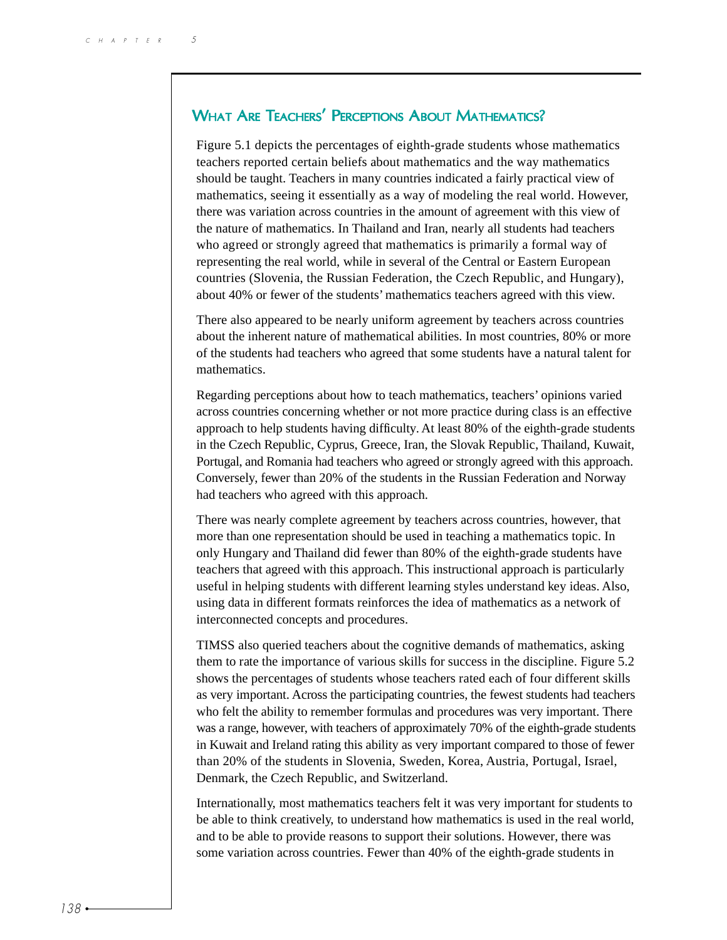# WHAT ARE TEACHERS' PERCEPTIONS ABOUT MATHEMATICS?

Figure 5.1 depicts the percentages of eighth-grade students whose mathematics teachers reported certain beliefs about mathematics and the way mathematics should be taught. Teachers in many countries indicated a fairly practical view of mathematics, seeing it essentially as a way of modeling the real world. However, there was variation across countries in the amount of agreement with this view of the nature of mathematics. In Thailand and Iran, nearly all students had teachers who agreed or strongly agreed that mathematics is primarily a formal way of representing the real world, while in several of the Central or Eastern European countries (Slovenia, the Russian Federation, the Czech Republic, and Hungary), about 40% or fewer of the students' mathematics teachers agreed with this view.

There also appeared to be nearly uniform agreement by teachers across countries about the inherent nature of mathematical abilities. In most countries, 80% or more of the students had teachers who agreed that some students have a natural talent for mathematics.

Regarding perceptions about how to teach mathematics, teachers' opinions varied across countries concerning whether or not more practice during class is an effective approach to help students having difficulty. At least 80% of the eighth-grade students in the Czech Republic, Cyprus, Greece, Iran, the Slovak Republic, Thailand, Kuwait, Portugal, and Romania had teachers who agreed or strongly agreed with this approach. Conversely, fewer than 20% of the students in the Russian Federation and Norway had teachers who agreed with this approach.

There was nearly complete agreement by teachers across countries, however, that more than one representation should be used in teaching a mathematics topic. In only Hungary and Thailand did fewer than 80% of the eighth-grade students have teachers that agreed with this approach. This instructional approach is particularly useful in helping students with different learning styles understand key ideas. Also, using data in different formats reinforces the idea of mathematics as a network of interconnected concepts and procedures.

TIMSS also queried teachers about the cognitive demands of mathematics, asking them to rate the importance of various skills for success in the discipline. Figure 5.2 shows the percentages of students whose teachers rated each of four different skills as very important. Across the participating countries, the fewest students had teachers who felt the ability to remember formulas and procedures was very important. There was a range, however, with teachers of approximately 70% of the eighth-grade students in Kuwait and Ireland rating this ability as very important compared to those of fewer than 20% of the students in Slovenia, Sweden, Korea, Austria, Portugal, Israel, Denmark, the Czech Republic, and Switzerland.

Internationally, most mathematics teachers felt it was very important for students to be able to think creatively, to understand how mathematics is used in the real world, and to be able to provide reasons to support their solutions. However, there was some variation across countries. Fewer than 40% of the eighth-grade students in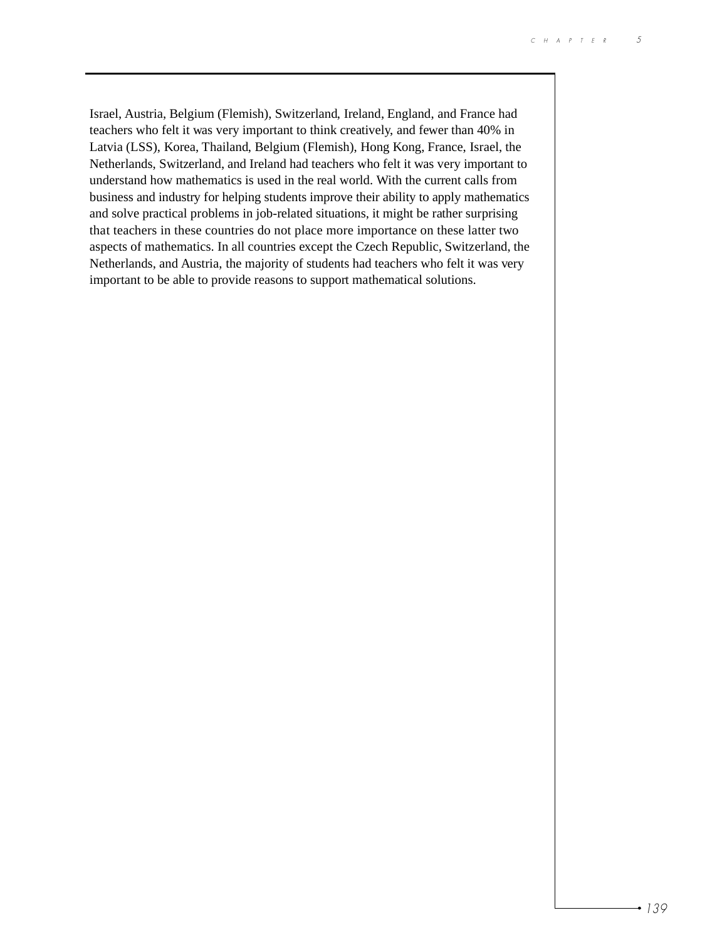Israel, Austria, Belgium (Flemish), Switzerland, Ireland, England, and France had teachers who felt it was very important to think creatively, and fewer than 40% in Latvia (LSS), Korea, Thailand, Belgium (Flemish), Hong Kong, France, Israel, the Netherlands, Switzerland, and Ireland had teachers who felt it was very important to understand how mathematics is used in the real world. With the current calls from business and industry for helping students improve their ability to apply mathematics and solve practical problems in job-related situations, it might be rather surprising that teachers in these countries do not place more importance on these latter two aspects of mathematics. In all countries except the Czech Republic, Switzerland, the Netherlands, and Austria, the majority of students had teachers who felt it was very important to be able to provide reasons to support mathematical solutions.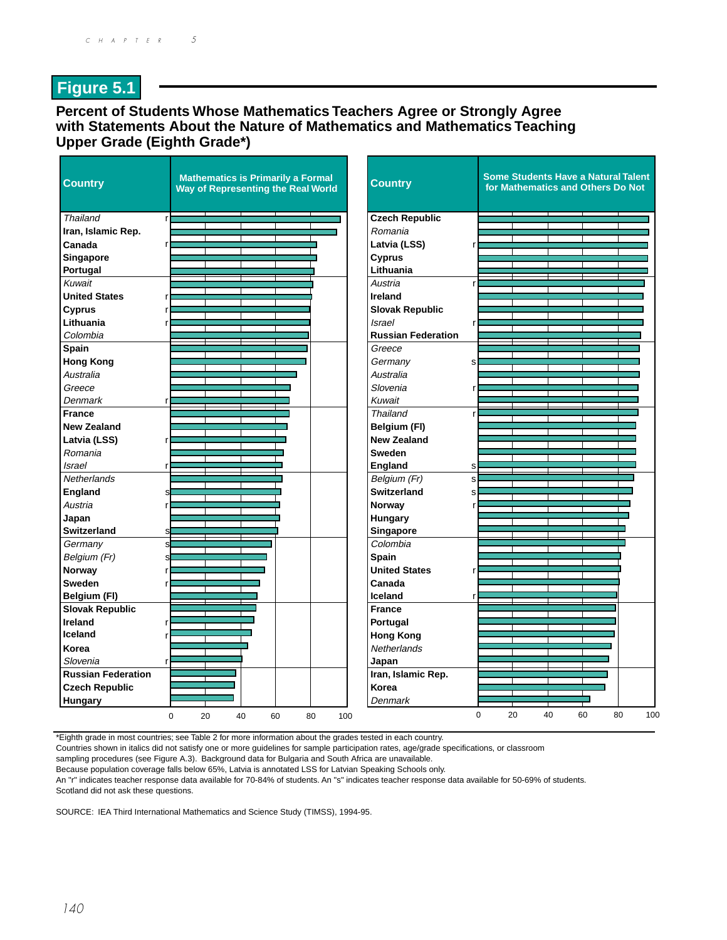# **Figure 5.1**

#### **Percent of Students Whose Mathematics Teachers Agree or Strongly Agree with Statements About the Nature of Mathematics and Mathematics Teaching Upper Grade (Eighth Grade\*)**

| <b>Mathematics is Primarily a Formal</b><br><b>Country</b><br><b>Way of Representing the Real World</b> | <b>Country</b>            |
|---------------------------------------------------------------------------------------------------------|---------------------------|
| <b>Thailand</b><br>r                                                                                    | <b>Czech Republic</b>     |
| Iran, Islamic Rep.                                                                                      | Romania                   |
| Canada<br>r                                                                                             | Latvia (LSS)              |
| Singapore                                                                                               | Cyprus                    |
| Portugal                                                                                                | Lithuania                 |
| Kuwait                                                                                                  | Austria                   |
| <b>United States</b>                                                                                    | Ireland                   |
| <b>Cyprus</b>                                                                                           | <b>Slovak Republic</b>    |
| Lithuania                                                                                               | <b>Israel</b>             |
| Colombia                                                                                                | <b>Russian Federation</b> |
| <b>Spain</b>                                                                                            | Greece                    |
| <b>Hong Kong</b>                                                                                        | Germany                   |
| Australia                                                                                               | Australia                 |
| Greece                                                                                                  | Slovenia                  |
| <b>Denmark</b><br>r                                                                                     | Kuwait                    |
| <b>France</b>                                                                                           | <b>Thailand</b>           |
| <b>New Zealand</b>                                                                                      | Belgium (FI)              |
| Latvia (LSS)<br>r                                                                                       | <b>New Zealand</b>        |
| Romania                                                                                                 | Sweden                    |
| <b>Israel</b><br>r                                                                                      | <b>England</b>            |
| <b>Netherlands</b>                                                                                      | Belgium (Fr)              |
| <b>England</b>                                                                                          | <b>Switzerland</b>        |
| Austria                                                                                                 | Norway                    |
| Japan                                                                                                   | Hungary                   |
| <b>Switzerland</b><br>S                                                                                 | Singapore                 |
| Germany                                                                                                 | Colombia                  |
| Belgium (Fr)                                                                                            | Spain                     |
| Norway                                                                                                  | <b>United States</b>      |
| Sweden                                                                                                  | Canada                    |
| Belgium (FI)                                                                                            | Iceland                   |
| <b>Slovak Republic</b>                                                                                  | <b>France</b>             |
| Ireland<br>r                                                                                            | Portugal                  |
| Iceland                                                                                                 | <b>Hong Kong</b>          |
| Korea                                                                                                   | Netherlands               |
| Slovenia<br>$\mathsf{r}$                                                                                | Japan                     |
| <b>Russian Federation</b>                                                                               | Iran, Islamic Rep.        |
|                                                                                                         | Korea                     |
| <b>Czech Republic</b>                                                                                   |                           |

\*Eighth grade in most countries; see Table 2 for more information about the grades tested in each country.

Countries shown in italics did not satisfy one or more guidelines for sample participation rates, age/grade specifications, or classroom

sampling procedures (see Figure A.3). Background data for Bulgaria and South Africa are unavailable.

Because population coverage falls below 65%, Latvia is annotated LSS for Latvian Speaking Schools only.

An "r" indicates teacher response data available for 70-84% of students. An "s" indicates teacher response data available for 50-69% of students. Scotland did not ask these questions.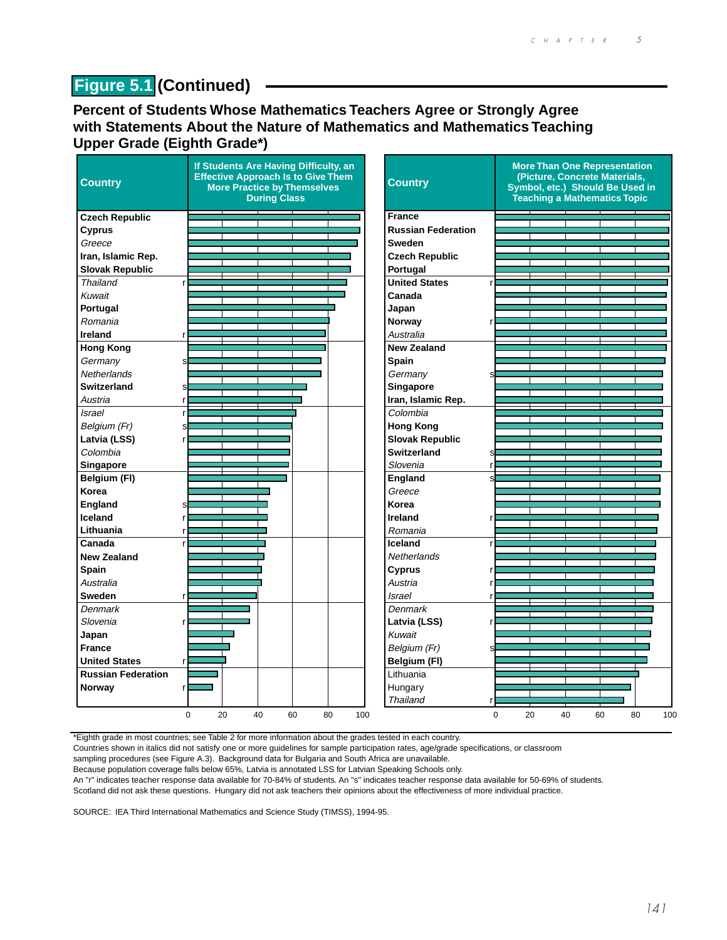# **Figure 5.1 (Continued)**

### **Percent of Students Whose Mathematics Teachers Agree or Strongly Agree with Statements About the Nature of Mathematics and Mathematics Teaching Upper Grade (Eighth Grade\*)**

| <b>Country</b>            | If Students Are Having Difficulty, an<br><b>Effective Approach Is to Give Them</b><br><b>More Practice by Themselves</b><br><b>During Class</b> | <b>Country</b>            | <b>More Than One Representation</b><br>(Picture, Concrete Materials,<br>Symbol, etc.) Should Be Used in<br><b>Teaching a Mathematics Topic</b> |
|---------------------------|-------------------------------------------------------------------------------------------------------------------------------------------------|---------------------------|------------------------------------------------------------------------------------------------------------------------------------------------|
| Czech Republic            |                                                                                                                                                 | <b>France</b>             |                                                                                                                                                |
| Cyprus                    |                                                                                                                                                 | <b>Russian Federation</b> |                                                                                                                                                |
| Greece                    |                                                                                                                                                 | Sweden                    |                                                                                                                                                |
| Iran, Islamic Rep.        |                                                                                                                                                 | <b>Czech Republic</b>     |                                                                                                                                                |
| <b>Slovak Republic</b>    |                                                                                                                                                 | Portugal                  |                                                                                                                                                |
| <b>Thailand</b>           | r                                                                                                                                               | <b>United States</b>      |                                                                                                                                                |
| Kuwait                    |                                                                                                                                                 | Canada                    |                                                                                                                                                |
| Portugal                  |                                                                                                                                                 | Japan                     |                                                                                                                                                |
| Romania                   |                                                                                                                                                 | Norway                    |                                                                                                                                                |
| <b>Ireland</b>            | r                                                                                                                                               | Australia                 |                                                                                                                                                |
| <b>Hong Kong</b>          |                                                                                                                                                 | <b>New Zealand</b>        |                                                                                                                                                |
| Germany                   |                                                                                                                                                 | Spain                     |                                                                                                                                                |
| Netherlands               |                                                                                                                                                 | Germany                   |                                                                                                                                                |
| <b>Switzerland</b>        |                                                                                                                                                 | Singapore                 |                                                                                                                                                |
| Austria                   |                                                                                                                                                 | Iran, Islamic Rep.        |                                                                                                                                                |
| <b>Israel</b>             |                                                                                                                                                 | Colombia                  |                                                                                                                                                |
| Belgium (Fr)              |                                                                                                                                                 | <b>Hong Kong</b>          |                                                                                                                                                |
| Latvia (LSS)              |                                                                                                                                                 | <b>Slovak Republic</b>    |                                                                                                                                                |
| Colombia                  |                                                                                                                                                 | <b>Switzerland</b>        |                                                                                                                                                |
| Singapore                 |                                                                                                                                                 | Slovenia                  |                                                                                                                                                |
| Belgium (FI)              |                                                                                                                                                 | England                   |                                                                                                                                                |
| Korea                     |                                                                                                                                                 | Greece                    |                                                                                                                                                |
| <b>England</b>            |                                                                                                                                                 | Korea                     |                                                                                                                                                |
| Iceland                   |                                                                                                                                                 | Ireland                   |                                                                                                                                                |
| Lithuania                 |                                                                                                                                                 | Romania                   |                                                                                                                                                |
| Canada                    |                                                                                                                                                 | Iceland                   |                                                                                                                                                |
| <b>New Zealand</b>        |                                                                                                                                                 | <b>Netherlands</b>        |                                                                                                                                                |
| <b>Spain</b>              |                                                                                                                                                 | <b>Cyprus</b>             |                                                                                                                                                |
| Australia                 |                                                                                                                                                 | Austria                   |                                                                                                                                                |
| Sweden                    | r                                                                                                                                               | <b>Israel</b>             |                                                                                                                                                |
| Denmark                   |                                                                                                                                                 | <b>Denmark</b>            |                                                                                                                                                |
| Slovenia                  | r                                                                                                                                               | Latvia (LSS)              |                                                                                                                                                |
| Japan                     |                                                                                                                                                 | Kuwait                    |                                                                                                                                                |
| <b>France</b>             |                                                                                                                                                 | Belgium (Fr)              |                                                                                                                                                |
| <b>United States</b>      | r                                                                                                                                               | Belgium (FI)              |                                                                                                                                                |
| <b>Russian Federation</b> |                                                                                                                                                 | Lithuania                 |                                                                                                                                                |
| Norway                    | r                                                                                                                                               | Hungary                   |                                                                                                                                                |
|                           |                                                                                                                                                 | Thailand                  |                                                                                                                                                |

\*Eighth grade in most countries; see Table 2 for more information about the grades tested in each country.

Countries shown in italics did not satisfy one or more guidelines for sample participation rates, age/grade specifications, or classroom

sampling procedures (see Figure A.3). Background data for Bulgaria and South Africa are unavailable.

Because population coverage falls below 65%, Latvia is annotated LSS for Latvian Speaking Schools only.

An "r" indicates teacher response data available for 70-84% of students. An "s" indicates teacher response data available for 50-69% of students. Scotland did not ask these questions. Hungary did not ask teachers their opinions about the effectiveness of more individual practice.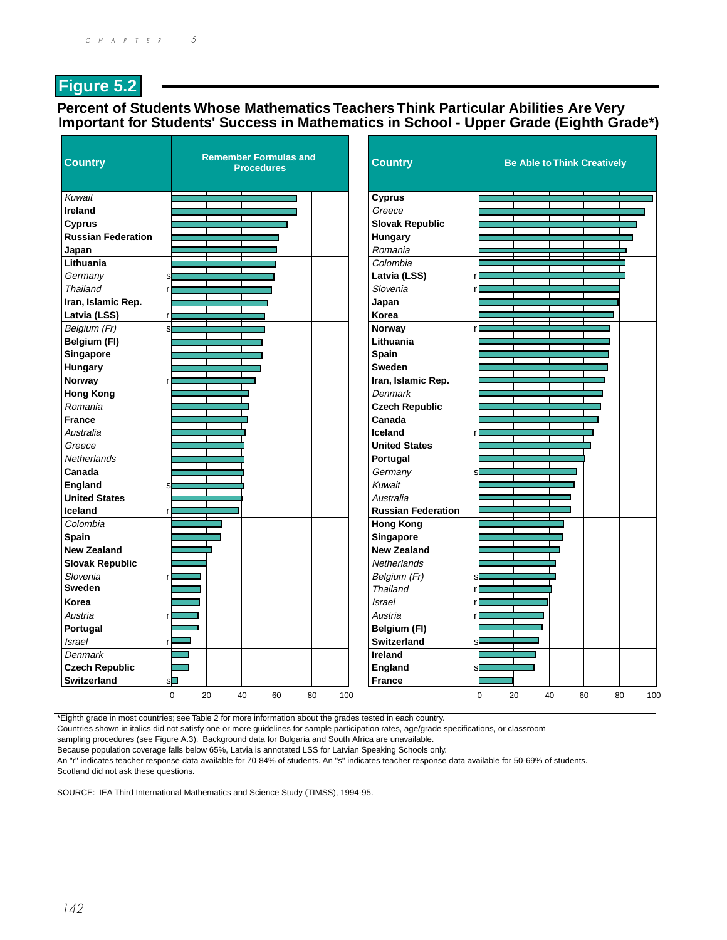# **Figure 5.2**

#### **Percent of Students Whose Mathematics Teachers Think Particular Abilities Are Very Important for Students' Success in Mathematics in School - Upper Grade (Eighth Grade\*)**

| <b>Country</b>            | <b>Remember Formulas and</b><br><b>Procedures</b> | <b>Country</b>            | <b>Be Able to Think Creatively</b> |
|---------------------------|---------------------------------------------------|---------------------------|------------------------------------|
| Kuwait                    |                                                   | <b>Cyprus</b>             |                                    |
| Ireland                   |                                                   | Greece                    |                                    |
| <b>Cyprus</b>             |                                                   | <b>Slovak Republic</b>    |                                    |
| <b>Russian Federation</b> |                                                   | Hungary                   |                                    |
| Japan                     |                                                   | Romania                   |                                    |
| Lithuania                 |                                                   | Colombia                  |                                    |
| Germany                   |                                                   | Latvia (LSS)              |                                    |
| <b>Thailand</b>           |                                                   | Slovenia                  |                                    |
| Iran, Islamic Rep.        |                                                   | Japan                     |                                    |
| Latvia (LSS)              |                                                   | Korea                     |                                    |
| Belgium (Fr)              |                                                   | Norway                    |                                    |
| Belgium (FI)              |                                                   | Lithuania                 |                                    |
| Singapore                 |                                                   | Spain                     |                                    |
| Hungary                   |                                                   | <b>Sweden</b>             |                                    |
| Norway<br>r               |                                                   | Iran, Islamic Rep.        |                                    |
| <b>Hong Kong</b>          |                                                   | <b>Denmark</b>            |                                    |
| Romania                   |                                                   | <b>Czech Republic</b>     |                                    |
| <b>France</b>             |                                                   | Canada                    |                                    |
| Australia                 |                                                   | Iceland                   |                                    |
| Greece                    |                                                   | <b>United States</b>      |                                    |
| Netherlands               |                                                   | Portugal                  |                                    |
| Canada                    |                                                   | Germany                   |                                    |
| <b>England</b>            |                                                   | Kuwait                    |                                    |
| <b>United States</b>      |                                                   | Australia                 |                                    |
| Iceland<br>r              |                                                   | <b>Russian Federation</b> |                                    |
| Colombia                  |                                                   | <b>Hong Kong</b>          |                                    |
| Spain                     |                                                   | Singapore                 |                                    |
| <b>New Zealand</b>        |                                                   | <b>New Zealand</b>        |                                    |
| <b>Slovak Republic</b>    |                                                   | <b>Netherlands</b>        |                                    |
| Slovenia<br>r             |                                                   | Belgium (Fr)              |                                    |
| Sweden                    |                                                   | <b>Thailand</b>           |                                    |
| Korea                     |                                                   | <b>Israel</b>             |                                    |
| Austria                   |                                                   | Austria                   |                                    |
| Portugal                  |                                                   | Belgium (FI)              |                                    |
| <b>Israel</b>             |                                                   | <b>Switzerland</b>        |                                    |
| <b>Denmark</b>            |                                                   | Ireland                   |                                    |
| <b>Czech Republic</b>     |                                                   | England                   |                                    |
| <b>Switzerland</b>        | s⊟                                                | <b>France</b>             |                                    |

\*Eighth grade in most countries; see Table 2 for more information about the grades tested in each country.

Countries shown in italics did not satisfy one or more guidelines for sample participation rates, age/grade specifications, or classroom

sampling procedures (see Figure A.3). Background data for Bulgaria and South Africa are unavailable.

Because population coverage falls below 65%, Latvia is annotated LSS for Latvian Speaking Schools only.

An "r" indicates teacher response data available for 70-84% of students. An "s" indicates teacher response data available for 50-69% of students. Scotland did not ask these questions.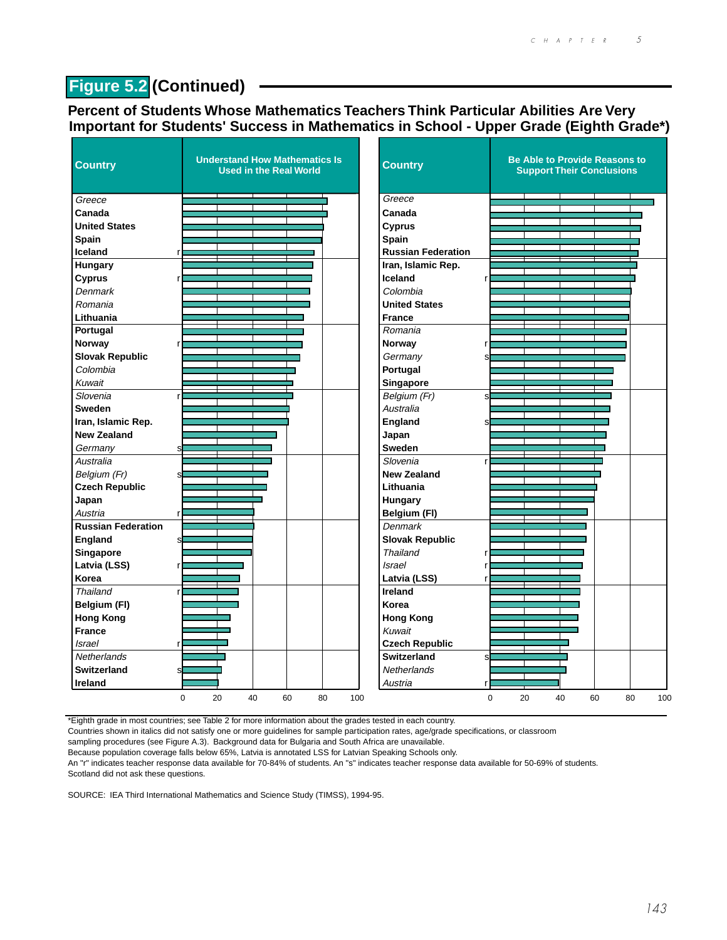# **Figure 5.2 (Continued)**

**Percent of Students Whose Mathematics Teachers Think Particular Abilities Are Very Important for Students' Success in Mathematics in School - Upper Grade (Eighth Grade\*)**

| <b>Country</b>            | <b>Understand How Mathematics Is</b><br><b>Used in the Real World</b> | <b>Country</b>            |
|---------------------------|-----------------------------------------------------------------------|---------------------------|
| Greece                    |                                                                       | Greece                    |
| Canada                    |                                                                       | Canada                    |
| <b>United States</b>      |                                                                       | Cyprus                    |
| <b>Spain</b>              |                                                                       | Spain                     |
| Iceland<br>r              |                                                                       | <b>Russian Federation</b> |
| Hungary                   |                                                                       | Iran, Islamic Rep.        |
| Cyprus                    |                                                                       | Iceland                   |
| <b>Denmark</b>            |                                                                       | Colombia                  |
| Romania                   |                                                                       | <b>United States</b>      |
| Lithuania                 |                                                                       | <b>France</b>             |
| Portugal                  |                                                                       | Romania                   |
| Norway                    |                                                                       | Norway                    |
| <b>Slovak Republic</b>    |                                                                       | Germany                   |
| Colombia                  |                                                                       | Portugal                  |
| Kuwait                    |                                                                       | Singapore                 |
| Slovenia<br>r             |                                                                       | Belgium (Fr)<br>S         |
| Sweden                    |                                                                       | Australia                 |
| Iran, Islamic Rep.        |                                                                       | England                   |
| <b>New Zealand</b>        |                                                                       | Japan                     |
| Germany<br>S              |                                                                       | <b>Sweden</b>             |
| Australia                 |                                                                       | Slovenia                  |
| Belgium (Fr)              |                                                                       | <b>New Zealand</b>        |
| <b>Czech Republic</b>     |                                                                       | Lithuania                 |
| Japan                     |                                                                       | Hungary                   |
| Austria<br>r              |                                                                       | Belgium (FI)              |
| <b>Russian Federation</b> |                                                                       | <b>Denmark</b>            |
| <b>England</b>            |                                                                       | <b>Slovak Republic</b>    |
| Singapore                 |                                                                       | Thailand                  |
| Latvia (LSS)<br>r         |                                                                       | <b>Israel</b>             |
| Korea                     |                                                                       | Latvia (LSS)              |
| <b>Thailand</b><br>r      |                                                                       | Ireland                   |
| Belgium (FI)              |                                                                       | Korea                     |
| <b>Hong Kong</b>          |                                                                       | <b>Hong Kong</b>          |
| <b>France</b>             |                                                                       | Kuwait                    |
| <b>Israel</b><br>r        |                                                                       | <b>Czech Republic</b>     |
| Netherlands               |                                                                       | <b>Switzerland</b><br>s   |
| <b>Switzerland</b><br>S   |                                                                       | Netherlands               |
| Ireland                   |                                                                       | Austria                   |

\*Eighth grade in most countries; see Table 2 for more information about the grades tested in each country.

Countries shown in italics did not satisfy one or more guidelines for sample participation rates, age/grade specifications, or classroom

sampling procedures (see Figure A.3). Background data for Bulgaria and South Africa are unavailable.

Because population coverage falls below 65%, Latvia is annotated LSS for Latvian Speaking Schools only.

An "r" indicates teacher response data available for 70-84% of students. An "s" indicates teacher response data available for 50-69% of students. Scotland did not ask these questions.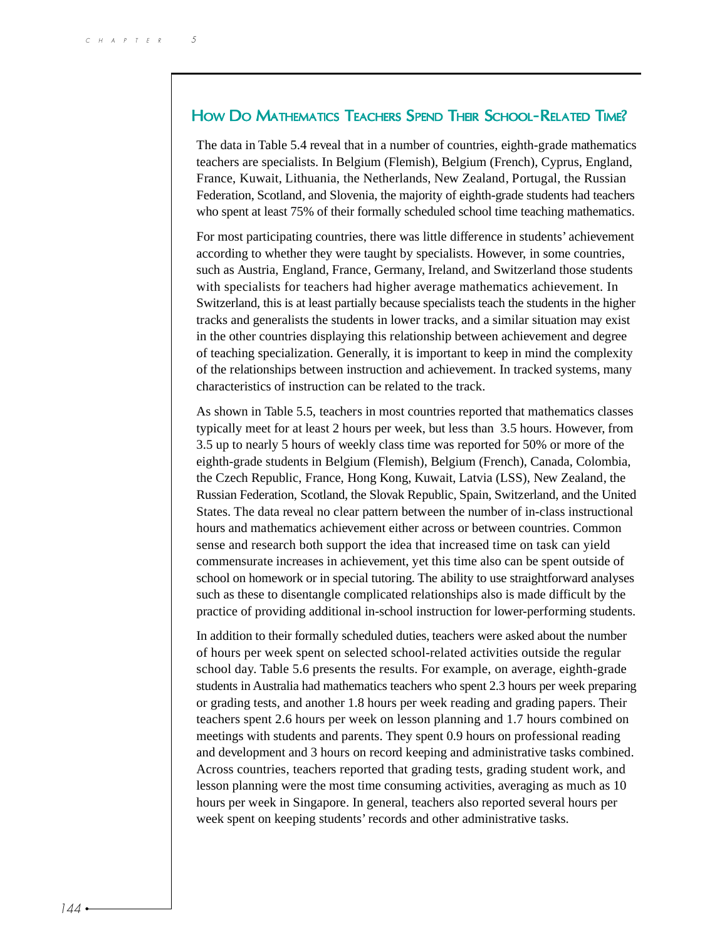#### HOW DO MATHEMATICS TEACHERS SPEND THEIR SCHOOL-RELATED TIME?

The data in Table 5.4 reveal that in a number of countries, eighth-grade mathematics teachers are specialists. In Belgium (Flemish), Belgium (French), Cyprus, England, France, Kuwait, Lithuania, the Netherlands, New Zealand, Portugal, the Russian Federation, Scotland, and Slovenia, the majority of eighth-grade students had teachers who spent at least 75% of their formally scheduled school time teaching mathematics.

For most participating countries, there was little difference in students' achievement according to whether they were taught by specialists. However, in some countries, such as Austria, England, France, Germany, Ireland, and Switzerland those students with specialists for teachers had higher average mathematics achievement. In Switzerland, this is at least partially because specialists teach the students in the higher tracks and generalists the students in lower tracks, and a similar situation may exist in the other countries displaying this relationship between achievement and degree of teaching specialization. Generally, it is important to keep in mind the complexity of the relationships between instruction and achievement. In tracked systems, many characteristics of instruction can be related to the track.

As shown in Table 5.5, teachers in most countries reported that mathematics classes typically meet for at least 2 hours per week, but less than 3.5 hours. However, from 3.5 up to nearly 5 hours of weekly class time was reported for 50% or more of the eighth-grade students in Belgium (Flemish), Belgium (French), Canada, Colombia, the Czech Republic, France, Hong Kong, Kuwait, Latvia (LSS), New Zealand, the Russian Federation, Scotland, the Slovak Republic, Spain, Switzerland, and the United States. The data reveal no clear pattern between the number of in-class instructional hours and mathematics achievement either across or between countries. Common sense and research both support the idea that increased time on task can yield commensurate increases in achievement, yet this time also can be spent outside of school on homework or in special tutoring. The ability to use straightforward analyses such as these to disentangle complicated relationships also is made difficult by the practice of providing additional in-school instruction for lower-performing students.

In addition to their formally scheduled duties, teachers were asked about the number of hours per week spent on selected school-related activities outside the regular school day. Table 5.6 presents the results. For example, on average, eighth-grade students in Australia had mathematics teachers who spent 2.3 hours per week preparing or grading tests, and another 1.8 hours per week reading and grading papers. Their teachers spent 2.6 hours per week on lesson planning and 1.7 hours combined on meetings with students and parents. They spent 0.9 hours on professional reading and development and 3 hours on record keeping and administrative tasks combined. Across countries, teachers reported that grading tests, grading student work, and lesson planning were the most time consuming activities, averaging as much as 10 hours per week in Singapore. In general, teachers also reported several hours per week spent on keeping students' records and other administrative tasks.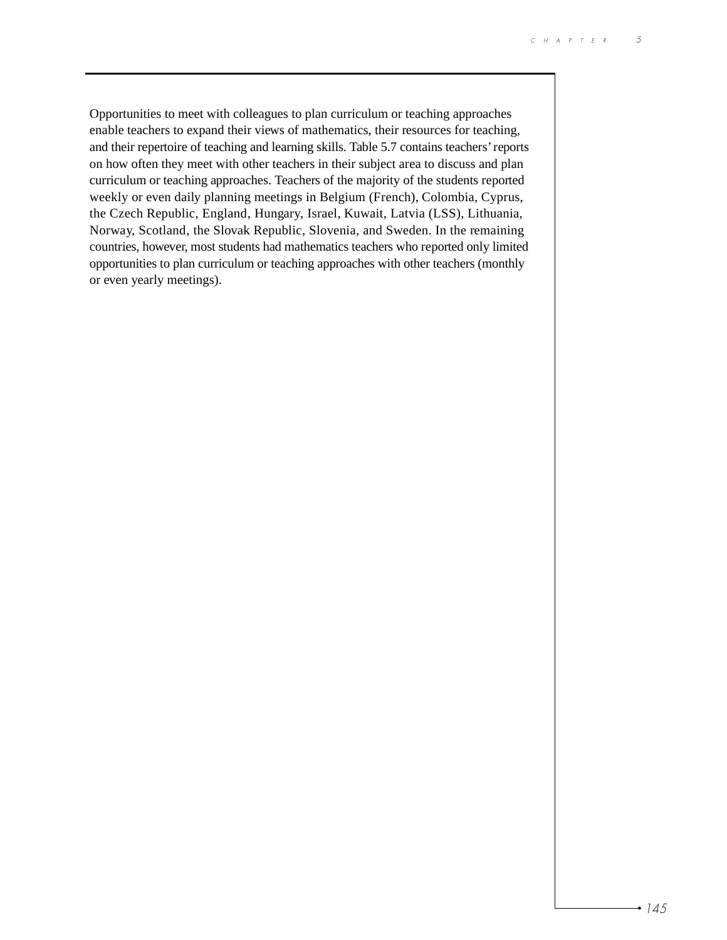Opportunities to meet with colleagues to plan curriculum or teaching approaches enable teachers to expand their views of mathematics, their resources for teaching, and their repertoire of teaching and learning skills. Table 5.7 contains teachers' reports on how often they meet with other teachers in their subject area to discuss and plan curriculum or teaching approaches. Teachers of the majority of the students reported weekly or even daily planning meetings in Belgium (French), Colombia, Cyprus, the Czech Republic, England, Hungary, Israel, Kuwait, Latvia (LSS), Lithuania, Norway, Scotland, the Slovak Republic, Slovenia, and Sweden. In the remaining countries, however, most students had mathematics teachers who reported only limited opportunities to plan curriculum or teaching approaches with other teachers (monthly or even yearly meetings).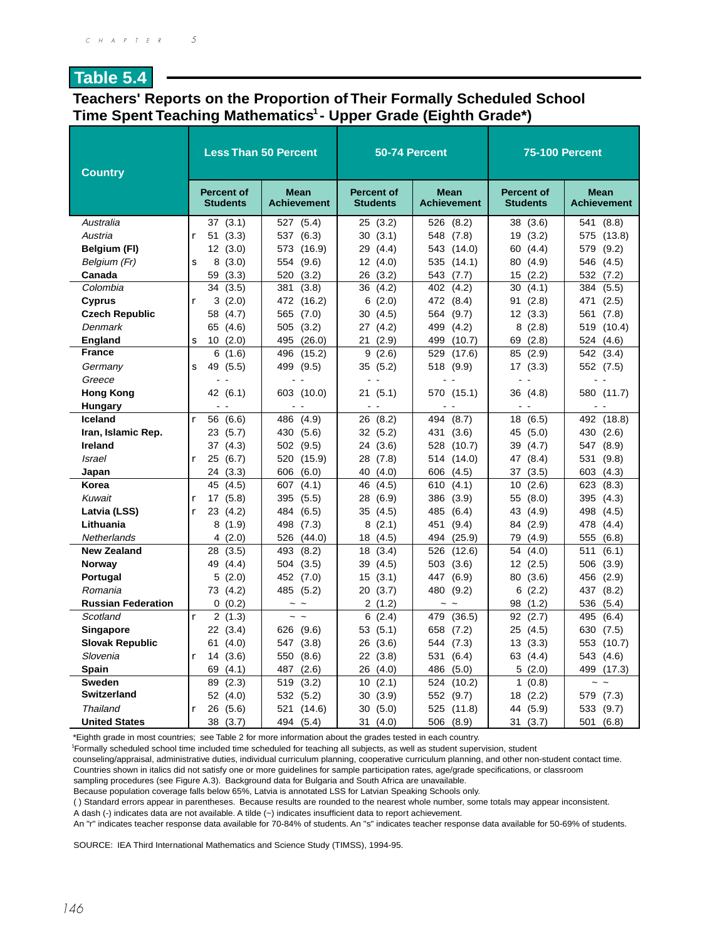### **Teachers' Reports on the Proportion of Their Formally Scheduled School Time Spent Teaching Mathematics<sup>1</sup> - Upper Grade (Eighth Grade\*)**

| <b>Country</b>                     |                                      | <b>Less Than 50 Percent</b>       | 50-74 Percent                        |                                   | <b>75-100 Percent</b>                |                                   |  |  |  |  |  |  |
|------------------------------------|--------------------------------------|-----------------------------------|--------------------------------------|-----------------------------------|--------------------------------------|-----------------------------------|--|--|--|--|--|--|
|                                    | <b>Percent of</b><br><b>Students</b> | <b>Mean</b><br><b>Achievement</b> | <b>Percent of</b><br><b>Students</b> | <b>Mean</b><br><b>Achievement</b> | <b>Percent of</b><br><b>Students</b> | <b>Mean</b><br><b>Achievement</b> |  |  |  |  |  |  |
| Australia                          | (3.1)<br>37                          | 527 (5.4)                         | 25 (3.2)                             | 526 (8.2)                         | 38<br>(3.6)                          | 541<br>(8.8)                      |  |  |  |  |  |  |
| Austria                            | 51<br>(3.3)<br>r                     | 537<br>(6.3)                      | 30(3.1)                              | 548 (7.8)                         | 19<br>(3.2)                          | 575<br>(13.8)                     |  |  |  |  |  |  |
| Belgium (FI)                       | 12 (3.0)                             | 573 (16.9)                        | 29 (4.4)                             | 543 (14.0)                        | 60 (4.4)                             | 579<br>(9.2)                      |  |  |  |  |  |  |
| Belgium (Fr)                       | 8(3.0)<br>s                          | 554<br>(9.6)                      | 12 (4.0)                             | 535 (14.1)                        | 80 (4.9)                             | 546<br>(4.5)                      |  |  |  |  |  |  |
| Canada                             | 59<br>(3.3)                          | 520<br>(3.2)                      | 26 (3.2)                             | 543<br>(7.7)                      | 15<br>(2.2)                          | 532<br>(7.2)                      |  |  |  |  |  |  |
| Colombia                           | 34 (3.5)                             | (3.8)<br>381                      | 36 (4.2)                             | 402<br>(4.2)                      | (4.1)<br>30                          | (5.5)<br>384                      |  |  |  |  |  |  |
| <b>Cyprus</b>                      | 3(2.0)<br>r                          | 472<br>(16.2)                     | 6(2.0)                               | 472 (8.4)                         | (2.8)<br>91                          | 471<br>(2.5)                      |  |  |  |  |  |  |
| <b>Czech Republic</b>              | 58 (4.7)                             | 565<br>(7.0)                      | 30(4.5)                              | 564 (9.7)                         | 12(3.3)                              | (7.8)<br>561                      |  |  |  |  |  |  |
| Denmark                            | 65 (4.6)                             | 505 (3.2)                         | 27 (4.2)                             | 499 (4.2)                         | 8(2.8)                               | 519 (10.4)                        |  |  |  |  |  |  |
| England                            | (2.0)<br>10<br>S                     | 495<br>(26.0)                     | 21<br>(2.9)                          | 499<br>(10.7)                     | 69<br>(2.8)                          | 524<br>(4.6)                      |  |  |  |  |  |  |
| <b>France</b>                      | 6(1.6)                               | 496 (15.2)                        | 9(2.6)                               | 529 (17.6)                        | 85 (2.9)                             | 542 (3.4)                         |  |  |  |  |  |  |
| Germany                            | S<br>49 (5.5)                        | 499 (9.5)                         | 35(5.2)                              | 518 (9.9)                         | 17 (3.3)                             | 552 (7.5)                         |  |  |  |  |  |  |
| Greece                             |                                      |                                   |                                      |                                   |                                      |                                   |  |  |  |  |  |  |
| <b>Hong Kong</b>                   | 42 (6.1)                             | 603 (10.0)                        | 21(5.1)                              | 570 (15.1)                        | 36 (4.8)                             | 580 (11.7)                        |  |  |  |  |  |  |
| Hungary                            | $\sim$ $\sim$                        | $\overline{a}$                    | $\sim$ $\sim$                        | ÷                                 | $\sim$                               |                                   |  |  |  |  |  |  |
| <b>Iceland</b>                     | r<br>56<br>(6.6)                     | (4.9)<br>486                      | 26 (8.2)                             | 494<br>(8.7)                      | 18<br>(6.5)                          | 492 (18.8)                        |  |  |  |  |  |  |
| Iran, Islamic Rep.                 | 23 (5.7)                             | 430<br>(5.6)                      | 32(5.2)                              | 431<br>(3.6)                      | 45 (5.0)                             | 430<br>(2.6)                      |  |  |  |  |  |  |
| <b>Ireland</b>                     | 37 (4.3)                             | 502 (9.5)                         | 24 (3.6)                             | 528 (10.7)                        | 39<br>(4.7)                          | 547<br>(8.9)                      |  |  |  |  |  |  |
| Israel                             | r<br>25<br>(6.7)                     | 520 (15.9)                        | 28 (7.8)                             | 514 (14.0)                        | 47 (8.4)                             | 531<br>(9.8)                      |  |  |  |  |  |  |
| Japan                              | 24 (3.3)                             | (6.0)<br>606                      | 40 (4.0)                             | 606 (4.5)                         | (3.5)<br>37                          | 603<br>(4.3)                      |  |  |  |  |  |  |
| Korea                              | 45<br>(4.5)                          | 607<br>(4.1)                      | 46<br>(4.5)                          | 610<br>(4.1)                      | 10<br>(2.6)                          | 623<br>(8.3)                      |  |  |  |  |  |  |
| Kuwait                             | r<br>17 (5.8)                        | 395<br>(5.5)                      | 28 (6.9)                             | 386 (3.9)                         | 55 (8.0)                             | 395<br>(4.3)                      |  |  |  |  |  |  |
| Latvia (LSS)                       | 23 (4.2)<br>r                        | (6.5)<br>484                      | 35 (4.5)                             | (6.4)<br>485                      | 43<br>(4.9)                          | 498<br>(4.5)                      |  |  |  |  |  |  |
| Lithuania                          | 8(1.9)                               | 498<br>(7.3)                      | 8(2.1)                               | 451<br>(9.4)                      | (2.9)<br>84                          | 478<br>(4.4)                      |  |  |  |  |  |  |
| Netherlands                        | 4(2.0)                               | 526 (44.0)                        | 18 (4.5)                             | 494 (25.9)                        | 79<br>(4.9)                          | 555 (6.8)                         |  |  |  |  |  |  |
| <b>New Zealand</b>                 | 28 (3.5)                             | 493<br>(8.2)                      | 18 (3.4)                             | 526<br>(12.6)                     | 54<br>(4.0)                          | 511<br>(6.1)                      |  |  |  |  |  |  |
| Norway                             | 49 (4.4)                             | 504<br>(3.5)                      | 39 (4.5)                             | 503 (3.6)                         | 12 (2.5)                             | 506<br>(3.9)                      |  |  |  |  |  |  |
| Portugal                           | 5(2.0)                               | 452<br>(7.0)                      | 15(3.1)                              | 447 (6.9)                         | 80 (3.6)                             | (2.9)<br>456                      |  |  |  |  |  |  |
| Romania                            | 73 (4.2)                             | 485<br>(5.2)                      | 20 (3.7)                             | 480<br>(9.2)                      | 6(2.2)                               | 437<br>(8.2)                      |  |  |  |  |  |  |
| <b>Russian Federation</b>          | 0<br>(0.2)                           | $\tilde{\phantom{a}}$             | 2(1.2)                               | $\overline{ }$                    | 98<br>(1.2)                          | (5.4)<br>536                      |  |  |  |  |  |  |
| Scotland                           | 2(1.3)                               | $\sim$                            | 6(2.4)                               | 479 (36.5)                        | 92(2.7)                              | 495<br>(6.4)                      |  |  |  |  |  |  |
| Singapore                          | 22 (3.4)                             | 626 (9.6)                         | 53(5.1)                              | 658<br>(7.2)                      | 25<br>(4.5)                          | 630<br>(7.5)                      |  |  |  |  |  |  |
| <b>Slovak Republic</b><br>Slovenia | 61 (4.0)<br>r                        | 547 (3.8)                         | 26<br>(3.6)                          | 544<br>(7.3)                      | 13 (3.3)                             | 553<br>(10.7)                     |  |  |  |  |  |  |
|                                    | 14<br>(3.6)<br>69                    | 550<br>(8.6)<br>487               | 22 (3.8)                             | 531<br>(6.4)<br>486               | 63 (4.4)                             | 543 (4.6)<br>499                  |  |  |  |  |  |  |
| <b>Spain</b><br><b>Sweden</b>      | (4.1)<br>89                          | (2.6)                             | 26 (4.0)                             | (5.0)<br>524                      | 5(2.0)<br>$\mathbf{1}$               | (17.3)                            |  |  |  |  |  |  |
| <b>Switzerland</b>                 | (2.3)<br>52 (4.0)                    | 519<br>(3.2)<br>532<br>(5.2)      | 10(2.1)<br>30 (3.9)                  | (10.2)<br>552<br>(9.7)            | (0.8)<br>18<br>(2.2)                 | 579                               |  |  |  |  |  |  |
| Thailand                           | 26<br>(5.6)<br>r                     | 521<br>(14.6)                     | 30<br>(5.0)                          | (11.8)<br>525                     | (5.9)<br>44                          | (7.3)<br>533<br>(9.7)             |  |  |  |  |  |  |
| <b>United States</b>               | 38 (3.7)                             | (5.4)<br>494                      | 31<br>(4.0)                          | 506 (8.9)                         | (3.7)<br>31                          | 501<br>(6.8)                      |  |  |  |  |  |  |

\*Eighth grade in most countries; see Table 2 for more information about the grades tested in each country.

1 Formally scheduled school time included time scheduled for teaching all subjects, as well as student supervision, student

counseling/appraisal, administrative duties, individual curriculum planning, cooperative curriculum planning, and other non-student contact time.

Countries shown in italics did not satisfy one or more guidelines for sample participation rates, age/grade specifications, or classroom

sampling procedures (see Figure A.3). Background data for Bulgaria and South Africa are unavailable.

Because population coverage falls below 65%, Latvia is annotated LSS for Latvian Speaking Schools only.

( ) Standard errors appear in parentheses. Because results are rounded to the nearest whole number, some totals may appear inconsistent.

A dash (-) indicates data are not available. A tilde (~) indicates insufficient data to report achievement.

An "r" indicates teacher response data available for 70-84% of students. An "s" indicates teacher response data available for 50-69% of students.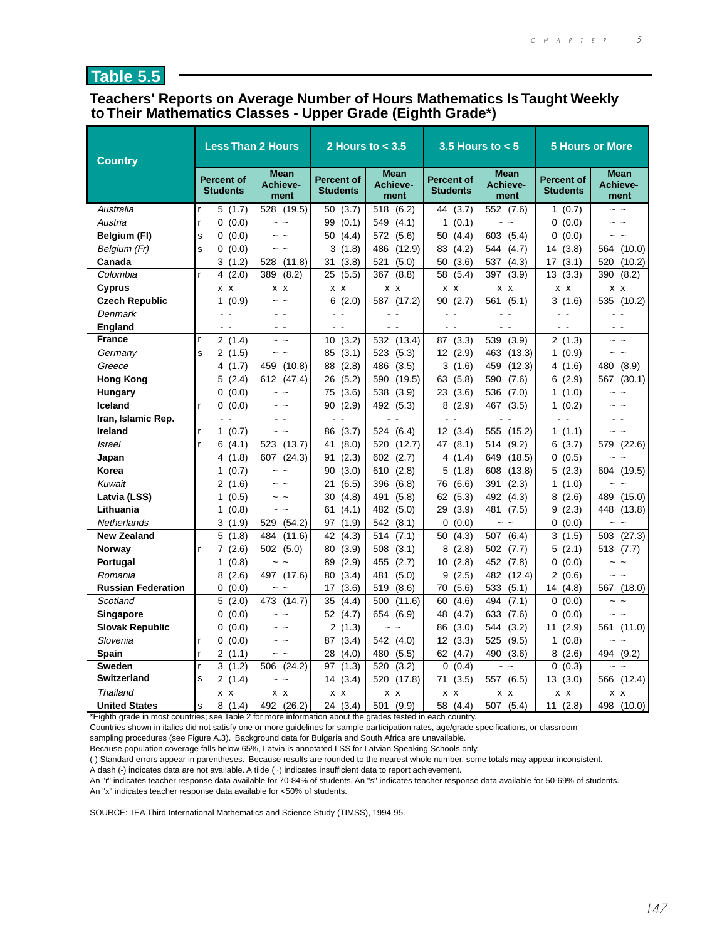#### **Teachers' Reports on Average Number of Hours Mathematics Is Taught Weekly to Their Mathematics Classes - Upper Grade (Eighth Grade\*)**

| <b>Country</b>            |   |                                      | <b>Less Than 2 Hours</b>           |                               | <b>2 Hours to <math>&lt; 3.5</math></b> |                               | 3.5 Hours to $< 5$                                 | <b>5 Hours or More</b>               |                                        |  |  |  |  |  |
|---------------------------|---|--------------------------------------|------------------------------------|-------------------------------|-----------------------------------------|-------------------------------|----------------------------------------------------|--------------------------------------|----------------------------------------|--|--|--|--|--|
|                           |   | <b>Percent of</b><br><b>Students</b> | Mean<br><b>Achieve-</b><br>ment    | Percent of<br><b>Students</b> | <b>Mean</b><br><b>Achieve-</b><br>ment  | Percent of<br><b>Students</b> | Mean<br><b>Achieve-</b><br>ment                    | <b>Percent of</b><br><b>Students</b> | <b>Mean</b><br><b>Achieve-</b><br>ment |  |  |  |  |  |
| Australia                 | r | 5(1.7)                               | 528 (19.5)                         | 50<br>(3.7)                   | 518<br>(6.2)                            | 44<br>(3.7)                   | 552 (7.6)                                          | 1(0.7)                               | $\sim$ $\sim$                          |  |  |  |  |  |
| Austria                   | r | 0(0.0)                               | $\sim$ $\sim$                      | 99<br>(0.1)                   | 549 (4.1)                               | 1<br>(0.1)                    | $\sim$                                             | 0(0.0)                               |                                        |  |  |  |  |  |
| Belgium (FI)              | s | 0(0.0)                               | $\sim$ $\sim$                      | 50<br>(4.4)                   | 572 (5.6)                               | 50<br>(4.4)                   | 603 (5.4)                                          | (0.0)<br>0                           | $\sim$                                 |  |  |  |  |  |
| Belgium (Fr)              | s | 0(0.0)                               | $\sim$ $\sim$                      | 3<br>(1.8)                    | 486 (12.9)                              | 83<br>(4.2)                   | 544 (4.7)                                          | 14(3.8)                              | 564 (10.0)                             |  |  |  |  |  |
| Canada                    |   | 3(1.2)                               | 528 (11.8)                         | 31<br>(3.8)                   | 521 (5.0)                               | (3.6)<br>50                   | 537 (4.3)                                          | 17(3.1)                              | 520 (10.2)                             |  |  |  |  |  |
| Colombia                  | r | 4(2.0)                               | (8.2)<br>389                       | 25 (5.5)                      | 367 (8.8)                               | 58<br>(5.4)                   | 397 (3.9)                                          | 13(3.3)                              | 390 (8.2)                              |  |  |  |  |  |
| Cyprus                    |   | x x                                  | x x                                | $x \times$                    | $x \times$                              | $X$ $X$                       | $X$ $X$                                            | $X$ $X$                              | $x \times$                             |  |  |  |  |  |
| <b>Czech Republic</b>     |   | 1(0.9)                               | $\sim$ $\sim$                      | 6(2.0)                        | 587 (17.2)                              | 90(2.7)                       | 561 (5.1)                                          | 3(1.6)                               | 535 (10.2)                             |  |  |  |  |  |
| Denmark                   |   | $\sim$ $\sim$                        | $\sim$ $\sim$                      | $\sim$ $\sim$                 | $\sim$ $\sim$                           | $ -$                          | $ -$                                               | $\sim$                               | - -                                    |  |  |  |  |  |
| <b>England</b>            |   | $\sim$                               | $\sim$ $\sim$                      | ٠.                            | $\sim$ $-$                              | $\sim$ $\sim$                 | $\sim$                                             | $\sim$ $-$                           | $ -$                                   |  |  |  |  |  |
| <b>France</b>             | r | 2(1.4)                               | $\sim$ $\sim$                      | 10(3.2)                       | 532 (13.4)                              | 87 (3.3)                      | (3.9)<br>539                                       | 2(1.3)                               |                                        |  |  |  |  |  |
| Germany                   | s | 2(1.5)                               | $\sim$ $\sim$                      | 85<br>(3.1)                   | 523 (5.3)                               | 12(2.9)                       | 463 (13.3)                                         | 1(0.9)                               | $\sim$                                 |  |  |  |  |  |
| Greece                    |   | 4 (1.7)                              | 459 (10.8)                         | 88<br>(2.8)                   | 486 (3.5)                               | 3(1.6)                        | 459<br>(12.3)                                      | 4 (1.6)                              | 480 (8.9)                              |  |  |  |  |  |
| <b>Hong Kong</b>          |   | 5(2.4)                               | 612 (47.4)                         | 26 (5.2)                      | 590 (19.5)                              | 63 (5.8)                      | (7.6)<br>590                                       | 6(2.9)                               | 567 (30.1)                             |  |  |  |  |  |
| Hungary                   |   | (0.0)<br>0                           | $\sim$ $\sim$                      | (3.6)<br>75                   | 538 (3.9)                               | 23<br>(3.6)                   | 536<br>(7.0)                                       | 1(1.0)                               |                                        |  |  |  |  |  |
| <b>Iceland</b>            | r | 0(0.0)                               | $\sim$ $\sim$                      | 90(2.9)                       | 492 (5.3)                               | 8(2.9)                        | 467<br>(3.5)                                       | 1(0.2)                               | $\sim$ $\sim$                          |  |  |  |  |  |
| Iran, Islamic Rep.        |   | $\mathbf{r}$                         | $ -$                               |                               |                                         |                               |                                                    | $\blacksquare$                       |                                        |  |  |  |  |  |
| <b>Ireland</b>            | r | 1 $(0.7)$                            | $\tilde{\phantom{a}}$<br>$\sim$    | (3.7)<br>86                   | 524 (6.4)                               | 12(3.4)                       | 555 (15.2)                                         | 1(1.1)                               | $\sim$                                 |  |  |  |  |  |
| <b>Israel</b>             | r | 6(4.1)                               | 523 (13.7)                         | 41<br>(8.0)                   | 520 (12.7)                              | 47 (8.1)                      | 514<br>(9.2)                                       | 6(3.7)                               | 579 (22.6)                             |  |  |  |  |  |
| Japan                     |   | 4 (1.8)                              | 607 (24.3)                         | (2.3)<br>91                   | 602 (2.7)                               | 4(1.4)                        | 649<br>(18.5)                                      | 0(0.5)                               | $\sim$                                 |  |  |  |  |  |
| Korea                     |   | 1(0.7)                               | $\sim$ $\sim$                      | (3.0)<br>90                   | 610(2.8)                                | 5<br>(1.8)                    | (13.8)<br>608                                      | 5(2.3)                               | 604 (19.5)                             |  |  |  |  |  |
| Kuwait                    |   | 2(1.6)                               | $\sim$ $\sim$                      | 21<br>(6.5)                   | 396 (6.8)                               | 76<br>(6.6)                   | 391<br>(2.3)                                       | 1(1.0)                               |                                        |  |  |  |  |  |
| Latvia (LSS)              |   | 1<br>(0.5)                           | $\sim$ $\sim$                      | (4.8)<br>30                   | 491 (5.8)                               | 62<br>(5.3)                   | 492 (4.3)                                          | 8(2.6)                               | 489 (15.0)                             |  |  |  |  |  |
| Lithuania                 |   | (0.8)<br>1                           | $\ddot{\phantom{1}}$<br>$\sim$     | (4.1)<br>61                   | 482 (5.0)                               | 29<br>(3.9)                   | 481 (7.5)                                          | 9(2.3)                               | 448 (13.8)                             |  |  |  |  |  |
| Netherlands               |   | 3(1.9)                               | 529 (54.2)                         | 97<br>(1.9)                   | 542 (8.1)                               | 0<br>(0.0)                    | $\widetilde{\phantom{m}}$<br>$\tilde{\phantom{a}}$ | 0(0.0)                               | $\tilde{}$<br>$\tilde{\phantom{a}}$    |  |  |  |  |  |
| <b>New Zealand</b>        |   | 5<br>(1.8)                           | 484<br>(11.6)                      | (4.3)<br>42                   | 514<br>(7.1)                            | (4.3)<br>50                   | 507<br>(6.4)                                       | 3(1.5)                               | 503 (27.3)                             |  |  |  |  |  |
| Norway                    | r | (2.6)<br>7                           | 502 (5.0)                          | 80 (3.9)                      | (3.1)<br>508                            | 8<br>(2.8)                    | 502 (7.7)                                          | 5(2.1)                               | 513 (7.7)                              |  |  |  |  |  |
| Portugal                  |   | $\mathbf{1}$<br>(0.8)                | $\ddot{\phantom{1}}$               | 89<br>(2.9)                   | 455<br>(2.7)                            | 10<br>(2.8)                   | 452 (7.8)                                          | 0(0.0)                               |                                        |  |  |  |  |  |
| Romania                   |   | 8(2.6)                               | 497 (17.6)                         | 80 (3.4)                      | 481 (5.0)                               | (2.5)<br>9                    | 482 (12.4)                                         | 2(0.6)                               |                                        |  |  |  |  |  |
| <b>Russian Federation</b> |   | (0.0)<br>0                           |                                    | 17 (3.6)                      | 519 (8.6)                               | (5.6)<br>70                   | 533<br>(5.1)                                       | 14(4.8)                              | 567 (18.0)                             |  |  |  |  |  |
| Scotland                  |   | 5<br>(2.0)                           | 473 (14.7)                         | 35<br>(4.4)                   | 500<br>(11.6)                           | 60<br>(4.6)                   | 494<br>(7.1)                                       | 0(0.0)                               | $\sim$                                 |  |  |  |  |  |
| Singapore                 |   | 0(0.0)                               | $\sim$ $\sim$                      | 52 (4.7)                      | 654 (6.9)                               | 48<br>(4.7)                   | 633<br>(7.6)                                       | 0(0.0)                               |                                        |  |  |  |  |  |
| <b>Slovak Republic</b>    |   | (0.0)<br>0                           |                                    | 2(1.3)                        | $\sim$                                  | 86<br>(3.0)                   | 544<br>(3.2)                                       | (2.9)<br>11                          | 561 (11.0)                             |  |  |  |  |  |
| Slovenia                  | r | 0<br>(0.0)                           | $\sim$ $\sim$                      | 87 (3.4)                      | 542 (4.0)                               | 12(3.3)                       | 525<br>(9.5)                                       | 1(0.8)                               |                                        |  |  |  |  |  |
| Spain                     | r | 2(1.1)                               | $\sim$                             | 28 (4.0)                      | 480 (5.5)                               | 62<br>(4.7)                   | 490 (3.6)                                          | 8(2.6)                               | 494 (9.2)                              |  |  |  |  |  |
| <b>Sweden</b>             | r | 3(1.2)                               | 506 (24.2)                         | 97 (1.3)                      | 520 (3.2)                               | (0.4)<br>0                    |                                                    | 0(0.3)                               |                                        |  |  |  |  |  |
| Switzerland               | S | 2(1.4)                               | $\overline{\phantom{0}}$<br>$\sim$ | 14 (3.4)                      | 520 (17.8)                              | 71<br>(3.5)                   | 557 (6.5)                                          | 13(3.0)                              | 566 (12.4)                             |  |  |  |  |  |
| <b>Thailand</b>           |   | $x \times$                           | x x                                | x x                           | x x                                     | x x                           | x x                                                | $x \times$                           | x x                                    |  |  |  |  |  |
| <b>United States</b>      | s | 8(1.4)                               | 492 (26.2)                         | 24 (3.4)                      | 501 (9.9)                               | 58<br>(4.4)                   | 507 (5.4)                                          | 11(2.8)                              | 498 (10.0)                             |  |  |  |  |  |

\*Eighth grade in most countries; see Table 2 for more information about the grades tested in each country.

Countries shown in italics did not satisfy one or more guidelines for sample participation rates, age/grade specifications, or classroom

sampling procedures (see Figure A.3). Background data for Bulgaria and South Africa are unavailable.

Because population coverage falls below 65%, Latvia is annotated LSS for Latvian Speaking Schools only.

( ) Standard errors appear in parentheses. Because results are rounded to the nearest whole number, some totals may appear inconsistent.

A dash (-) indicates data are not available. A tilde (~) indicates insufficient data to report achievement.

An "r" indicates teacher response data available for 70-84% of students. An "s" indicates teacher response data available for 50-69% of students. An "x" indicates teacher response data available for <50% of students.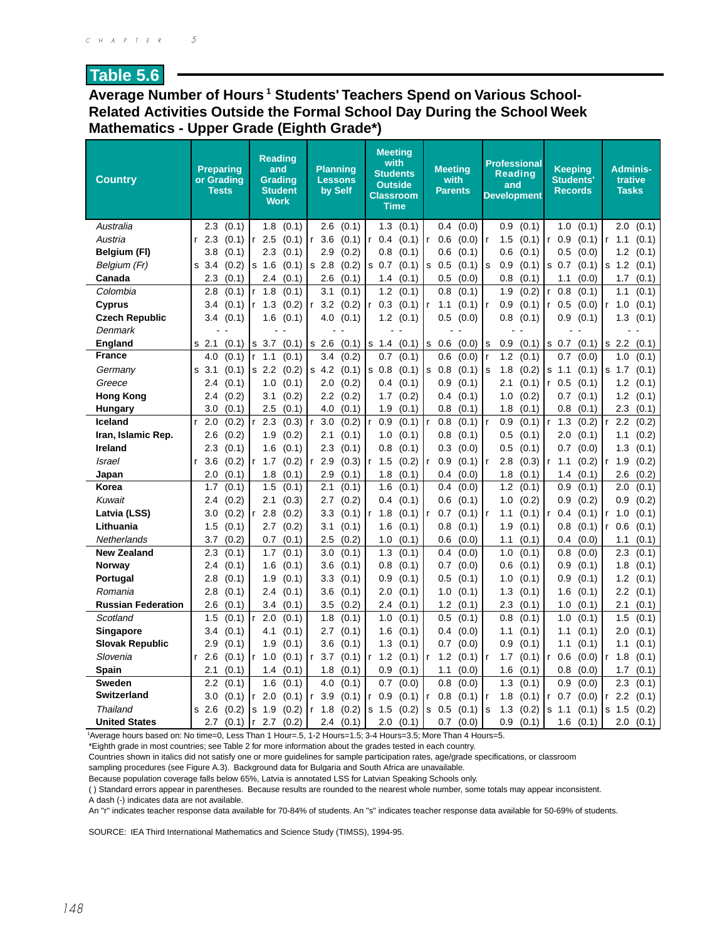Average Number of Hours<sup>1</sup> Students' Teachers Spend on Various School-**Related Activities Outside the Formal School Day During the School Week Mathematics - Upper Grade (Eighth Grade\*)**

| <b>Country</b>            |              |         | <b>Preparing</b><br>or Grading<br><b>Tests</b> |              | <b>Reading</b><br>and<br><b>Grading</b><br><b>Student</b><br><b>Work</b> |       |              | <b>Planning</b><br><b>Lessons</b><br>by Self |       |              | <b>Meeting</b><br>with<br><b>Students</b><br><b>Outside</b><br>Classroom<br>Time |             |                | <b>Meeting</b><br>with<br><b>Parents</b> |       |              | <b>Professional</b><br>Reading<br>and<br><b>Development</b> |       |              | Keeping<br><b>Students'</b><br><b>Records</b> |       | <b>Adminis-</b><br>trative<br><b>Tasks</b> |         |       |
|---------------------------|--------------|---------|------------------------------------------------|--------------|--------------------------------------------------------------------------|-------|--------------|----------------------------------------------|-------|--------------|----------------------------------------------------------------------------------|-------------|----------------|------------------------------------------|-------|--------------|-------------------------------------------------------------|-------|--------------|-----------------------------------------------|-------|--------------------------------------------|---------|-------|
| Australia                 |              | 2.3     | (0.1)                                          |              | 1.8                                                                      | (0.1) |              | 2.6                                          | (0.1) |              | 1.3                                                                              | (0.1)       |                | 0.4                                      | (0.0) |              | 0.9                                                         | (0.1) |              | 1.0                                           | (0.1) |                                            | 2.0     | (0.1) |
| Austria                   |              | $r$ 2.3 | (0.1)                                          |              | r 2.5                                                                    | (0.1) | r            | 3.6                                          | (0.1) |              | $r$ 0.4                                                                          | (0.1)       | r              | 0.6                                      | (0.0) | $\mathsf r$  | 1.5                                                         | (0.1) | $\mathsf{r}$ | 0.9                                           | (0.1) |                                            | $r$ 1.1 | (0.1) |
| Belgium (FI)              |              | 3.8     | (0.1)                                          |              | 2.3                                                                      | (0.1) |              | 2.9                                          | (0.2) |              | 0.8                                                                              | (0.1)       |                | 0.6                                      | (0.1) |              | 0.6                                                         | (0.1) |              | 0.5                                           | (0.0) |                                            | 1.2     | (0.1) |
| Belgium (Fr)              | s            | 3.4     | (0.2)                                          |              | s 1.6                                                                    | (0.1) | s            | 2.8                                          | (0.2) |              | $S$ 0.7                                                                          | (0.1)       | ls             | 0.5                                      | (0.1) | s            | 0.9                                                         | (0.1) |              | $S$ 0.7                                       | (0.1) |                                            | $s$ 1.2 | (0.1) |
| Canada                    |              | 2.3     | (0.1)                                          |              | 2.4                                                                      | (0.1) |              | 2.6                                          | (0.1) |              | 1.4                                                                              | (0.1)       |                | 0.5                                      | (0.0) |              | 0.8                                                         | (0.1) |              | 1.1                                           | (0.0) |                                            | 1.7     | (0.1) |
| Colombia                  |              | 2.8     | (0.1)                                          |              | r 1.8                                                                    | (0.1) |              | 3.1                                          | (0.1) |              | 1.2                                                                              | (0.1)       |                | 0.8                                      | (0.1) |              | 1.9                                                         | (0.2) | $\mathsf{r}$ | 0.8                                           | (0.1) |                                            | 1.1     | (0.1) |
| <b>Cyprus</b>             |              | 3.4     | (0.1)                                          |              | $r$ 1.3                                                                  | (0.2) | r            | 3.2                                          | (0.2) |              | $r$ 0.3                                                                          | $(0.1)$   r |                | 1.1                                      | (0.1) | l r          | 0.9                                                         | (0.1) | l r          | 0.5                                           | (0.0) | r                                          | 1.0     | (0.1) |
| <b>Czech Republic</b>     |              | 3.4     | (0.1)                                          |              | 1.6                                                                      | (0.1) |              | 4.0                                          | (0.1) |              | 1.2                                                                              | (0.1)       |                | 0.5                                      | (0.0) |              | 0.8                                                         | (0.1) |              | 0.9                                           | (0.1) |                                            | 1.3     | (0.1) |
| Denmark                   |              |         |                                                |              |                                                                          |       |              |                                              |       |              |                                                                                  |             |                |                                          |       |              |                                                             |       |              |                                               |       |                                            |         |       |
| England                   |              | $S$ 2.1 | (0.1)                                          |              | s 3.7                                                                    | (0.1) |              | $s$ 2.6                                      | (0.1) |              | $s$ 1.4                                                                          | (0.1)       | $\mathsf{I}$ s | 0.6                                      | (0.0) | S            | 0.9                                                         | (0.1) | s            | 0.7                                           | (0.1) |                                            | $s$ 2.2 | (0.1) |
| <b>France</b>             |              | 4.0     | (0.1)                                          |              | $r$ 1.1                                                                  | (0.1) |              | 3.4                                          | (0.2) |              | 0.7                                                                              | (0.1)       |                | 0.6                                      | (0.0) | $\mathsf{r}$ | 1.2                                                         | (0.1) |              | 0.7                                           | (0.0) |                                            | 1.0     | (0.1) |
| Germany                   |              | s 3.1   | (0.1)                                          |              | $s$ 2.2                                                                  | (0.2) |              | $s$ 4.2                                      | (0.1) |              | $s$ 0.8                                                                          | (0.1)       | l s            | 0.8                                      | (0.1) | s            | 1.8                                                         | (0.2) | s            | 1.1                                           | (0.1) |                                            | $s$ 1.7 | (0.1) |
| Greece                    |              | 2.4     | (0.1)                                          |              | 1.0                                                                      | (0.1) |              | 2.0                                          | (0.2) |              | 0.4                                                                              | (0.1)       |                | 0.9                                      | (0.1) |              | 2.1                                                         | (0.1) | $\mathsf{r}$ | 0.5                                           | (0.1) |                                            | 1.2     | (0.1) |
| <b>Hong Kong</b>          |              | 2.4     | (0.2)                                          |              | 3.1                                                                      | (0.2) |              | 2.2                                          | (0.2) |              | 1.7                                                                              | (0.2)       |                | 0.4                                      | (0.1) |              | 1.0                                                         | (0.2) |              | 0.7                                           | (0.1) |                                            | 1.2     | (0.1) |
| <b>Hungary</b>            |              | 3.0     | (0.1)                                          |              | 2.5                                                                      | (0.1) |              | 4.0                                          | (0.1) |              | 1.9                                                                              | (0.1)       |                | 0.8                                      | (0.1) |              | 1.8                                                         | (0.1) |              | 0.8                                           | (0.1) |                                            | 2.3     | (0.1) |
| Iceland                   | r            | 2.0     | (0.2)                                          | r            | 2.3                                                                      | (0.3) | r            | 3.0                                          | (0.2) | $\mathsf{r}$ | 0.9                                                                              | (0.1)       | $\mathsf{r}$   | 0.8                                      | (0.1) | $\mathsf{r}$ | 0.9                                                         | (0.1) | $\mathsf{r}$ | 1.3                                           | (0.2) |                                            | 2.2     | (0.2) |
| Iran, Islamic Rep.        |              | 2.6     | (0.2)                                          |              | 1.9                                                                      | (0.2) |              | 2.1                                          | (0.1) |              | 1.0                                                                              | (0.1)       |                | 0.8                                      | (0.1) |              | 0.5                                                         | (0.1) |              | 2.0                                           | (0.1) |                                            | 1.1     | (0.2) |
| <b>Ireland</b>            |              | 2.3     | (0.1)                                          |              | 1.6                                                                      | (0.1) |              | 2.3                                          | (0.1) |              | 0.8                                                                              | (0.1)       |                | 0.3                                      | (0.0) |              | 0.5                                                         | (0.1) |              | 0.7                                           | (0.0) |                                            | 1.3     | (0.1) |
| <b>Israel</b>             | $\mathsf{r}$ | 3.6     | (0.2)                                          |              | $r$ 1.7                                                                  | (0.2) | $\mathsf{r}$ | 2.9                                          | (0.3) |              | $r$ 1.5                                                                          | (0.2)       | l r            | 0.9                                      | (0.1) | $\mathsf{r}$ | 2.8                                                         | (0.3) | l r          | 1.1                                           | (0.2) | $\mathsf{r}$                               | 1.9     | (0.2) |
| Japan                     |              | 2.0     | (0.1)                                          |              | 1.8                                                                      | (0.1) |              | 2.9                                          | (0.1) |              | 1.8                                                                              | (0.1)       |                | 0.4                                      | (0.0) |              | 1.8                                                         | (0.1) |              | 1.4                                           | (0.1) |                                            | 2.6     | (0.2) |
| Korea                     |              | 1.7     | (0.1)                                          |              | 1.5                                                                      | (0.1) |              | 2.1                                          | (0.1) |              | 1.6                                                                              | (0.1)       |                | 0.4                                      | (0.0) |              | 1.2                                                         | (0.1) |              | 0.9                                           | (0.1) |                                            | 2.0     | (0.1) |
| Kuwait                    |              | 2.4     | (0.2)                                          |              | 2.1                                                                      | (0.3) |              | 2.7                                          | (0.2) |              | 0.4                                                                              | (0.1)       |                | 0.6                                      | (0.1) |              | 1.0                                                         | (0.2) |              | 0.9                                           | (0.2) |                                            | 0.9     | (0.2) |
| Latvia (LSS)              |              | 3.0     | (0.2)                                          |              | r 2.8                                                                    | (0.2) |              | 3.3                                          | (0.1) |              | $r$ 1.8                                                                          | $(0.1)$   r |                | 0.7                                      | (0.1) | $\mathsf r$  | 1.1                                                         | (0.1) | $\mathsf{r}$ | 0.4                                           | (0.1) |                                            | r 1.0   | (0.1) |
| Lithuania                 |              | 1.5     | (0.1)                                          |              | 2.7                                                                      | (0.2) |              | 3.1                                          | (0.1) |              | 1.6                                                                              | (0.1)       |                | 0.8                                      | (0.1) |              | 1.9                                                         | (0.1) |              | 0.8                                           | (0.1) | r.                                         | 0.6     | (0.1) |
| Netherlands               |              | 3.7     | (0.2)                                          |              | 0.7                                                                      | (0.1) |              | 2.5                                          | (0.2) |              | 1.0                                                                              | (0.1)       |                | 0.6                                      | (0.0) |              | 1.1                                                         | (0.1) |              | 0.4                                           | (0.0) |                                            | 1.1     | (0.1) |
| <b>New Zealand</b>        |              | 2.3     | (0.1)                                          |              | 1.7                                                                      | (0.1) |              | 3.0                                          | (0.1) |              | 1.3                                                                              | (0.1)       |                | 0.4                                      | (0.0) |              | 1.0                                                         | (0.1) |              | 0.8                                           | (0.0) |                                            | 2.3     | (0.1) |
| <b>Norway</b>             |              | 2.4     | (0.1)                                          |              | 1.6                                                                      | (0.1) |              | 3.6                                          | (0.1) |              | 0.8                                                                              | (0.1)       |                | 0.7                                      | (0.0) |              | 0.6                                                         | (0.1) |              | 0.9                                           | (0.1) |                                            | 1.8     | (0.1) |
| Portugal                  |              | 2.8     | (0.1)                                          |              | 1.9                                                                      | (0.1) |              | 3.3                                          | (0.1) |              | 0.9                                                                              | (0.1)       |                | 0.5                                      | (0.1) |              | 1.0                                                         | (0.1) |              | 0.9                                           | (0.1) |                                            | 1.2     | (0.1) |
| Romania                   |              | 2.8     | (0.1)                                          |              | 2.4                                                                      | (0.1) |              | 3.6                                          | (0.1) |              | 2.0                                                                              | (0.1)       |                | 1.0                                      | (0.1) |              | 1.3                                                         | (0.1) |              | 1.6                                           | (0.1) |                                            | $2.2\,$ | (0.1) |
| <b>Russian Federation</b> |              | 2.6     | (0.1)                                          |              | 3.4                                                                      | (0.1) |              | 3.5                                          | (0.2) |              | 2.4                                                                              | (0.1)       |                | 1.2                                      | (0.1) |              | 2.3                                                         | (0.1) |              | 1.0                                           | (0.1) |                                            | 2.1     | (0.1) |
| Scotland                  |              | 1.5     | (0.1)                                          | r            | 2.0                                                                      | (0.1) |              | 1.8                                          | (0.1) |              | 1.0                                                                              | (0.1)       |                | 0.5                                      | (0.1) |              | 0.8                                                         | (0.1) |              | 1.0                                           | (0.1) |                                            | 1.5     | (0.1) |
| Singapore                 |              | 3.4     | (0.1)                                          |              | 4.1                                                                      | (0.1) |              | 2.7                                          | (0.1) |              | 1.6                                                                              | (0.1)       |                | 0.4                                      | (0.0) |              | 1.1                                                         | (0.1) |              | 1.1                                           | (0.1) |                                            | 2.0     | (0.1) |
| <b>Slovak Republic</b>    |              | 2.9     | (0.1)                                          |              | 1.9                                                                      | (0.1) |              | 3.6                                          | (0.1) |              | 1.3                                                                              | (0.1)       |                | 0.7                                      | (0.0) |              | 0.9                                                         | (0.1) |              | 1.1                                           | (0.1) |                                            | 1.1     | (0.1) |
| Slovenia                  | r.           | 2.6     | (0.1)                                          |              | $r$ 1.0                                                                  | (0.1) | $\mathsf{r}$ | 3.7                                          | (0.1) |              | $r$ 1.2                                                                          | (0.1)       | 1r             | 1.2                                      | (0.1) | $\mathsf{r}$ | 1.7                                                         | (0.1) | $\mathsf{r}$ | 0.6                                           | (0.0) | r                                          | 1.8     | (0.1) |
| <b>Spain</b>              |              | 2.1     | (0.1)                                          |              | 1.4                                                                      | (0.1) |              | 1.8                                          | (0.1) |              | 0.9                                                                              | (0.1)       |                | 1.1                                      | (0.0) |              | 1.6                                                         | (0.1) |              | 0.8                                           | (0.0) |                                            | 1.7     | (0.1) |
| <b>Sweden</b>             |              | 2.2     | (0.1)                                          |              | 1.6                                                                      | (0.1) |              | 4.0                                          | (0.1) |              | 0.7                                                                              | (0.0)       |                | 0.8                                      | (0.0) |              | 1.3                                                         | (0.1) |              | 0.9                                           | (0.0) |                                            | 2.3     | (0.1) |
| <b>Switzerland</b>        |              | 3.0     | (0.1)                                          |              | $r$ 2.0                                                                  | (0.1) | r            | 3.9                                          | (0.1) |              | $r$ 0.9                                                                          | (0.1)       | r              | 0.8                                      | (0.1) | $\mathbf{r}$ | 1.8                                                         | (0.1) | $\mathsf{r}$ | 0.7                                           | (0.0) |                                            | 2.2     | (0.1) |
| Thailand                  |              | s 2.6   | (0.2)                                          |              | s 1.9                                                                    | (0.2) | r            | 1.8                                          | (0.2) |              | s 1.5                                                                            | (0.2)       | s              | 0.5                                      | (0.1) | s            | 1.3                                                         | (0.2) |              | $s$ 1.1                                       | (0.1) |                                            | s 1.5   | (0.2) |
| <b>United States</b>      |              | 2.7     | (0.1)                                          | $\mathsf{r}$ | 2.7                                                                      | (0.2) |              | 2.4                                          | (0.1) |              | 2.0                                                                              | (0.1)       |                | 0.7                                      | (0.0) |              | 0.9                                                         | (0.1) |              | 1.6                                           | (0.1) |                                            | 2.0     | (0.1) |

1 Average hours based on: No time=0, Less Than 1 Hour=.5, 1-2 Hours=1.5; 3-4 Hours=3.5; More Than 4 Hours=5.

\*Eighth grade in most countries; see Table 2 for more information about the grades tested in each country.

Countries shown in italics did not satisfy one or more guidelines for sample participation rates, age/grade specifications, or classroom

sampling procedures (see Figure A.3). Background data for Bulgaria and South Africa are unavailable.

Because population coverage falls below 65%, Latvia is annotated LSS for Latvian Speaking Schools only.

( ) Standard errors appear in parentheses. Because results are rounded to the nearest whole number, some totals may appear inconsistent.

A dash (-) indicates data are not available.

An "r" indicates teacher response data available for 70-84% of students. An "s" indicates teacher response data available for 50-69% of students.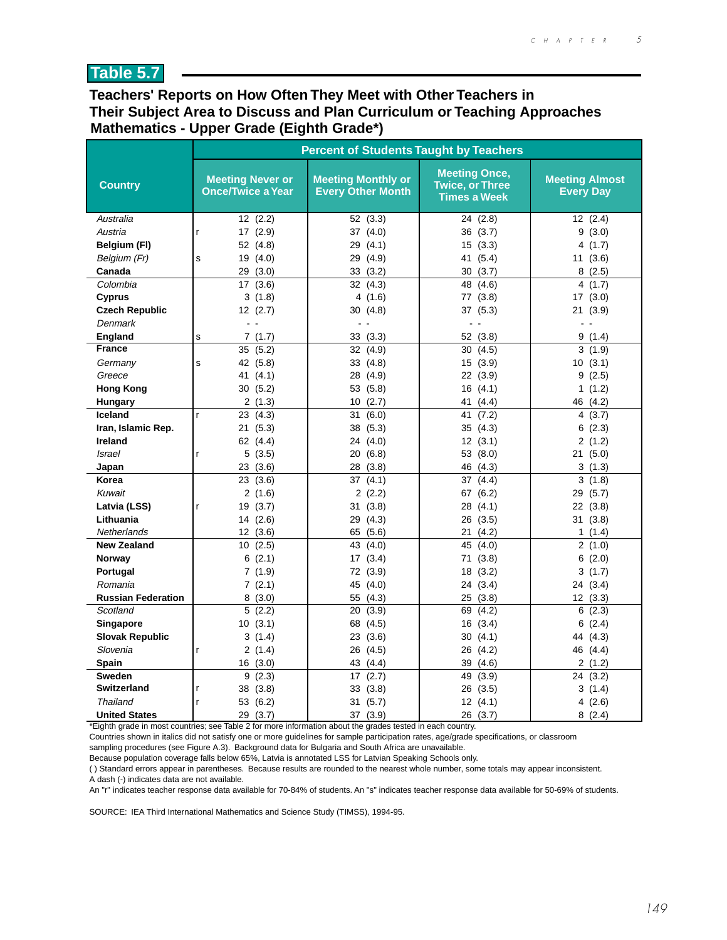### **Teachers' Reports on How Often They Meet with Other Teachers in Their Subject Area to Discuss and Plan Curriculum or Teaching Approaches Mathematics - Upper Grade (Eighth Grade\*)**

|                           | <b>Percent of Students Taught by Teachers</b>       |                                                       |                                                                       |                                           |  |  |  |  |  |  |  |  |
|---------------------------|-----------------------------------------------------|-------------------------------------------------------|-----------------------------------------------------------------------|-------------------------------------------|--|--|--|--|--|--|--|--|
| <b>Country</b>            | <b>Meeting Never or</b><br><b>Once/Twice a Year</b> | <b>Meeting Monthly or</b><br><b>Every Other Month</b> | <b>Meeting Once,</b><br><b>Twice, or Three</b><br><b>Times a Week</b> | <b>Meeting Almost</b><br><b>Every Day</b> |  |  |  |  |  |  |  |  |
| Australia                 | 12 (2.2)                                            | 52 (3.3)                                              | 24(2.8)                                                               | 12(2.4)                                   |  |  |  |  |  |  |  |  |
| Austria                   | 17 (2.9)<br>r                                       | 37(4.0)                                               | 36 (3.7)                                                              | 9(3.0)                                    |  |  |  |  |  |  |  |  |
| Belgium (FI)              | 52 (4.8)                                            | 29 (4.1)                                              | 15(3.3)                                                               | 4 (1.7)                                   |  |  |  |  |  |  |  |  |
| Belgium (Fr)              | 19(4.0)<br>s                                        | 29 (4.9)                                              | 41 (5.4)                                                              | 11(3.6)                                   |  |  |  |  |  |  |  |  |
| Canada                    | 29 (3.0)                                            | 33(3.2)                                               | 30(3.7)                                                               | 8(2.5)                                    |  |  |  |  |  |  |  |  |
| Colombia                  | $\overline{17}$ (3.6)                               | 32 (4.3)                                              | 48(4.6)                                                               | 4(1.7)                                    |  |  |  |  |  |  |  |  |
| Cyprus                    | 3(1.8)                                              | 4 (1.6)                                               | 77 (3.8)                                                              | 17(3.0)                                   |  |  |  |  |  |  |  |  |
| <b>Czech Republic</b>     | 12(2.7)                                             | 30 (4.8)                                              | 37 (5.3)                                                              | 21(3.9)                                   |  |  |  |  |  |  |  |  |
| <b>Denmark</b>            |                                                     |                                                       |                                                                       | $\Box$<br>$\blacksquare$                  |  |  |  |  |  |  |  |  |
| England                   | 7(1.7)<br>s                                         | 33(3.3)                                               | 52(3.8)                                                               | 9(1.4)                                    |  |  |  |  |  |  |  |  |
| <b>France</b>             | 35(5.2)                                             | 32(4.9)                                               | 30(4.5)                                                               | 3(1.9)                                    |  |  |  |  |  |  |  |  |
| Germany                   | 42 (5.8)<br>s                                       | 33 (4.8)                                              | 15 (3.9)                                                              | 10(3.1)                                   |  |  |  |  |  |  |  |  |
| Greece                    | 41 (4.1)                                            | 28 (4.9)                                              | 22 (3.9)                                                              | 9(2.5)                                    |  |  |  |  |  |  |  |  |
| <b>Hong Kong</b>          | 30(5.2)                                             | 53 (5.8)                                              | 16(4.1)                                                               | 1(1.2)                                    |  |  |  |  |  |  |  |  |
| Hungary                   | 2(1.3)                                              | 10(2.7)                                               | 41<br>(4.4)                                                           | 46 (4.2)                                  |  |  |  |  |  |  |  |  |
| <b>Iceland</b>            | r<br>23<br>(4.3)                                    | 31<br>(6.0)                                           | (7.2)<br>41                                                           | 4(3.7)                                    |  |  |  |  |  |  |  |  |
| Iran, Islamic Rep.        | 21(5.3)                                             | 38 (5.3)                                              | 35(4.3)                                                               | 6(2.3)                                    |  |  |  |  |  |  |  |  |
| <b>Ireland</b>            | 62 (4.4)                                            | 24 (4.0)                                              | 12(3.1)                                                               | 2(1.2)                                    |  |  |  |  |  |  |  |  |
| Israel                    | 5(3.5)<br>r                                         | 20(6.8)                                               | 53 (8.0)                                                              | 21(5.0)                                   |  |  |  |  |  |  |  |  |
| Japan                     | 23(3.6)                                             | 28 (3.8)                                              | 46 (4.3)                                                              | 3(1.3)                                    |  |  |  |  |  |  |  |  |
| Korea                     | 23 (3.6)                                            | 37(4.1)                                               | 37(4.4)                                                               | 3(1.8)                                    |  |  |  |  |  |  |  |  |
| Kuwait                    | 2(1.6)                                              | 2(2.2)                                                | 67 (6.2)                                                              | 29 (5.7)                                  |  |  |  |  |  |  |  |  |
| Latvia (LSS)              | 19(3.7)<br>r                                        | 31(3.8)                                               | 28 (4.1)                                                              | 22(3.8)                                   |  |  |  |  |  |  |  |  |
| Lithuania                 | 14(2.6)                                             | 29 (4.3)                                              | 26 (3.5)                                                              | 31(3.8)                                   |  |  |  |  |  |  |  |  |
| Netherlands               | 12(3.6)                                             | 65 (5.6)                                              | 21(4.2)                                                               | 1(1.4)                                    |  |  |  |  |  |  |  |  |
| <b>New Zealand</b>        | 10(2.5)                                             | 43 (4.0)                                              | 45 (4.0)                                                              | 2(1.0)                                    |  |  |  |  |  |  |  |  |
| <b>Norway</b>             | 6(2.1)                                              | 17(3.4)                                               | 71 (3.8)                                                              | 6(2.0)                                    |  |  |  |  |  |  |  |  |
| Portugal                  | 7(1.9)                                              | 72 (3.9)                                              | 18(3.2)                                                               | 3(1.7)                                    |  |  |  |  |  |  |  |  |
| Romania                   | 7(2.1)                                              | 45 (4.0)                                              | 24 (3.4)                                                              | 24 (3.4)                                  |  |  |  |  |  |  |  |  |
| <b>Russian Federation</b> | 8(3.0)                                              | 55 (4.3)                                              | 25(3.8)                                                               | 12(3.3)                                   |  |  |  |  |  |  |  |  |
| Scotland                  | 5(2.2)                                              | (3.9)<br>20                                           | (4.2)<br>69                                                           | 6(2.3)                                    |  |  |  |  |  |  |  |  |
| Singapore                 | 10(3.1)                                             | 68 (4.5)                                              | 16(3.4)                                                               | 6(2.4)                                    |  |  |  |  |  |  |  |  |
| <b>Slovak Republic</b>    | 3(1.4)                                              | 23(3.6)                                               | 30(4.1)                                                               | 44 (4.3)                                  |  |  |  |  |  |  |  |  |
| Slovenia                  | 2(1.4)<br>r                                         | 26 (4.5)                                              | 26 (4.2)                                                              | 46 (4.4)                                  |  |  |  |  |  |  |  |  |
| Spain                     | 16(3.0)                                             | 43 (4.4)                                              | 39 (4.6)                                                              | 2(1.2)                                    |  |  |  |  |  |  |  |  |
| Sweden                    | 9(2.3)                                              | 17(2.7)                                               | (3.9)<br>49                                                           | 24 (3.2)                                  |  |  |  |  |  |  |  |  |
| <b>Switzerland</b>        | r<br>38 (3.8)                                       | 33 (3.8)                                              | 26 (3.5)                                                              | 3(1.4)                                    |  |  |  |  |  |  |  |  |
| Thailand                  | 53<br>(6.2)<br>r                                    | (5.7)<br>31                                           | 12(4.1)                                                               | 4(2.6)                                    |  |  |  |  |  |  |  |  |
| <b>United States</b>      | 29 (3.7)                                            | 37 (3.9)                                              | 26 (3.7)                                                              | 8(2.4)                                    |  |  |  |  |  |  |  |  |

\*Eighth grade in most countries; see Table 2 for more information about the grades tested in each country.

Countries shown in italics did not satisfy one or more guidelines for sample participation rates, age/grade specifications, or classroom

sampling procedures (see Figure A.3). Background data for Bulgaria and South Africa are unavailable.

Because population coverage falls below 65%, Latvia is annotated LSS for Latvian Speaking Schools only.

( ) Standard errors appear in parentheses. Because results are rounded to the nearest whole number, some totals may appear inconsistent.

A dash (-) indicates data are not available.

An "r" indicates teacher response data available for 70-84% of students. An "s" indicates teacher response data available for 50-69% of students.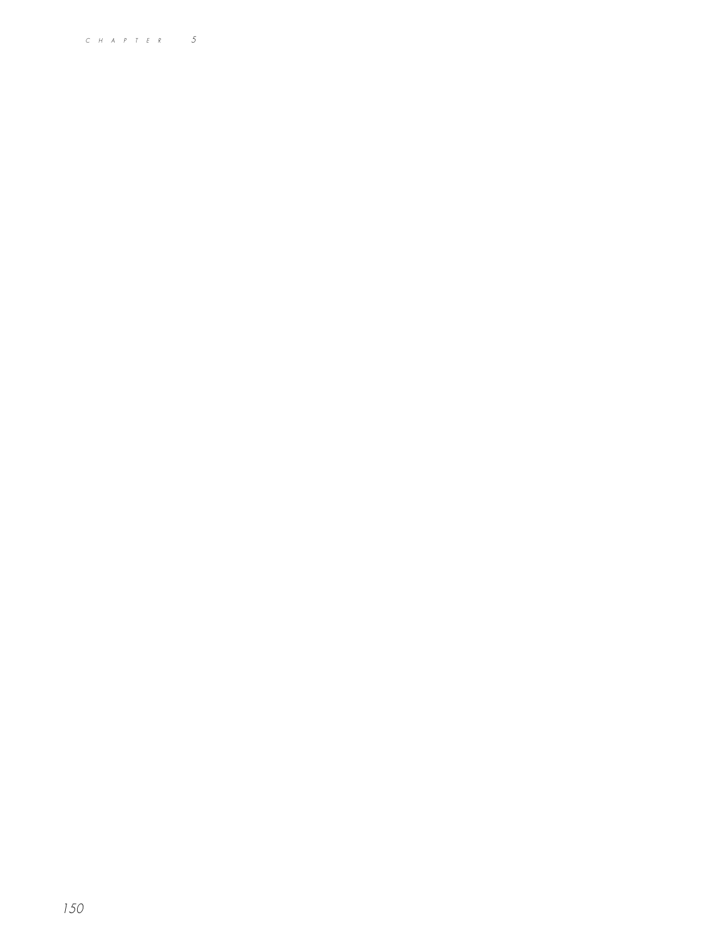#### C H A P T E R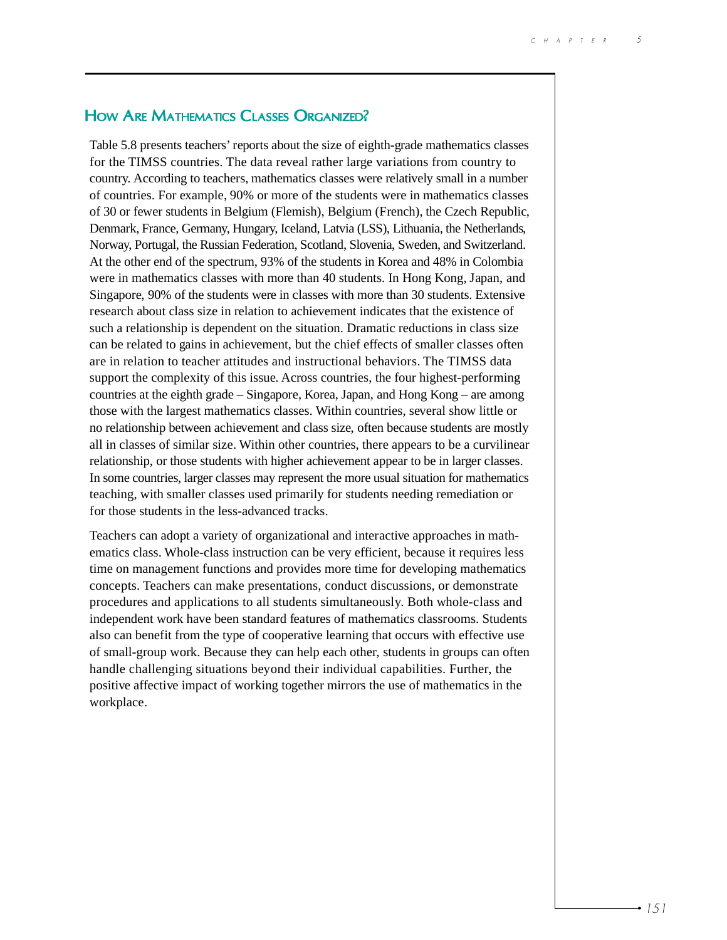#### HOW ARE MATHEMATICS CLASSES ORGANIZED?

Table 5.8 presents teachers' reports about the size of eighth-grade mathematics classes for the TIMSS countries. The data reveal rather large variations from country to country. According to teachers, mathematics classes were relatively small in a number of countries. For example, 90% or more of the students were in mathematics classes of 30 or fewer students in Belgium (Flemish), Belgium (French), the Czech Republic, Denmark, France, Germany, Hungary, Iceland, Latvia (LSS), Lithuania, the Netherlands, Norway, Portugal, the Russian Federation, Scotland, Slovenia, Sweden, and Switzerland. At the other end of the spectrum, 93% of the students in Korea and 48% in Colombia were in mathematics classes with more than 40 students. In Hong Kong, Japan, and Singapore, 90% of the students were in classes with more than 30 students. Extensive research about class size in relation to achievement indicates that the existence of such a relationship is dependent on the situation. Dramatic reductions in class size can be related to gains in achievement, but the chief effects of smaller classes often are in relation to teacher attitudes and instructional behaviors. The TIMSS data support the complexity of this issue. Across countries, the four highest-performing countries at the eighth grade – Singapore, Korea, Japan, and Hong Kong – are among those with the largest mathematics classes. Within countries, several show little or no relationship between achievement and class size, often because students are mostly all in classes of similar size. Within other countries, there appears to be a curvilinear relationship, or those students with higher achievement appear to be in larger classes. In some countries, larger classes may represent the more usual situation for mathematics teaching, with smaller classes used primarily for students needing remediation or for those students in the less-advanced tracks.

Teachers can adopt a variety of organizational and interactive approaches in mathematics class. Whole-class instruction can be very efficient, because it requires less time on management functions and provides more time for developing mathematics concepts. Teachers can make presentations, conduct discussions, or demonstrate procedures and applications to all students simultaneously. Both whole-class and independent work have been standard features of mathematics classrooms. Students also can benefit from the type of cooperative learning that occurs with effective use of small-group work. Because they can help each other, students in groups can often handle challenging situations beyond their individual capabilities. Further, the positive affective impact of working together mirrors the use of mathematics in the workplace.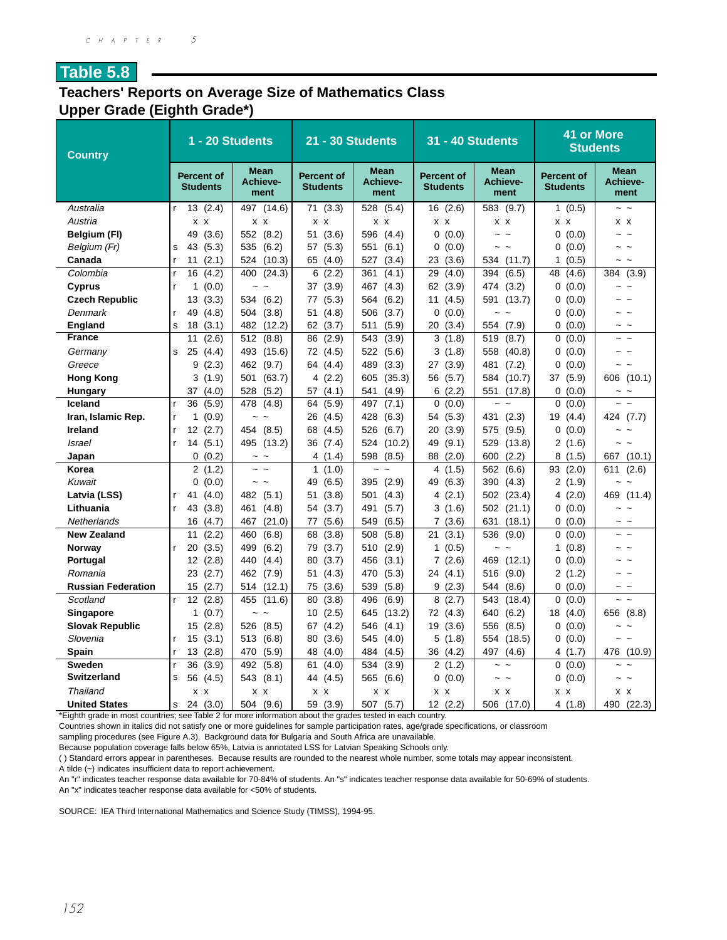# **Teachers' Reports on Average Size of Mathematics Class Upper Grade (Eighth Grade\*)**

| <b>Country</b>                                                                                                                     | 1 - 20 Students                      |                                        |                                      | 21 - 30 Students                                     | 31 - 40 Students        |                                 | <b>41 or More</b><br><b>Students</b> |                                        |  |
|------------------------------------------------------------------------------------------------------------------------------------|--------------------------------------|----------------------------------------|--------------------------------------|------------------------------------------------------|-------------------------|---------------------------------|--------------------------------------|----------------------------------------|--|
|                                                                                                                                    | <b>Percent of</b><br><b>Students</b> | <b>Mean</b><br><b>Achieve-</b><br>ment | <b>Percent of</b><br><b>Students</b> | Mean<br><b>Percent of</b><br><b>Achieve-</b><br>ment |                         | Mean<br><b>Achieve-</b><br>ment | <b>Percent of</b><br><b>Students</b> | Mean<br><b>Achieve-</b><br>ment        |  |
| Australia                                                                                                                          | 13(2.4)<br>$\mathbf{r}$              | 497 (14.6)                             | 71(3.3)                              | 528<br>(5.4)                                         | 16(2.6)                 | 583 (9.7)                       | 1(0.5)                               | ~ ~                                    |  |
| Austria                                                                                                                            | x x                                  | x x                                    | x x                                  | x x                                                  | x x                     | x x                             | x x                                  | x x                                    |  |
| Belgium (FI)                                                                                                                       | 49<br>(3.6)                          | 552<br>(8.2)                           | 51<br>(3.6)                          | 596<br>(4.4)                                         | 0<br>(0.0)              | $\sim$<br>$\sim$                | 0(0.0)                               | ∼                                      |  |
| Belgium (Fr)                                                                                                                       | (5.3)<br>43<br>s                     | (6.2)<br>535                           | (5.3)<br>57                          | 551<br>(6.1)                                         | (0.0)<br>0              | $\sim$<br>$\sim$                | 0(0.0)                               | ~~                                     |  |
| Canada                                                                                                                             | 11<br>(2.1)<br>$\mathbf{r}$          | (10.3)<br>524                          | 65<br>(4.0)                          | 527<br>(3.4)                                         | 23<br>(3.6)             | (11.7)<br>534                   | 1<br>(0.5)                           | $\sim$<br>÷                            |  |
| Colombia                                                                                                                           | 16<br>(4.2)<br>$\mathsf{r}$          | 400<br>(24.3)                          | 6<br>(2.2)                           | 361<br>(4.1)                                         | 29<br>(4.0)             | 394<br>(6.5)                    | 48<br>(4.6)                          | 384 (3.9)                              |  |
| <b>Cyprus</b>                                                                                                                      | (0.0)<br>1<br>r                      | $\sim$                                 | 37<br>(3.9)                          | 467<br>(4.3)                                         | 62 (3.9)                | (3.2)<br>474                    | 0(0.0)                               | $\sim$<br>÷                            |  |
| <b>Czech Republic</b>                                                                                                              | 13<br>(3.3)                          | 534<br>(6.2)                           | (5.3)<br>77                          | 564<br>(6.2)                                         | (4.5)<br>11             | (13.7)<br>591                   | 0(0.0)                               |                                        |  |
| <b>Denmark</b>                                                                                                                     | 49<br>(4.8)<br>r                     | 504<br>(3.8)                           | (4.8)<br>51                          | 506<br>(3.7)                                         | 0(0.0)                  | $\sim$                          | 0<br>(0.0)                           |                                        |  |
| <b>England</b>                                                                                                                     | s<br>18<br>(3.1)                     | 482<br>(12.2)                          | (3.7)<br>62                          | 511<br>(5.9)                                         | 20<br>(3.4)             | 554<br>(7.9)                    | (0.0)<br>0                           | ~~                                     |  |
| <b>France</b>                                                                                                                      | 11<br>(2.6)                          | 512<br>(8.8)                           | 86<br>(2.9)                          | 543<br>(3.9)                                         | 3<br>(1.8)              | (8.7)<br>519                    | 0<br>(0.0)                           | ~ ~                                    |  |
| Germany                                                                                                                            | 25<br>(4.4)<br>s                     | 493<br>(15.6)                          | 72 (4.5)                             | 522<br>(5.6)                                         | 3<br>(1.8)              | 558<br>(40.8)                   | 0(0.0)                               | $\sim$<br>$\sim$                       |  |
| Greece                                                                                                                             | 9<br>(2.3)                           | 462<br>(9.7)                           | 64<br>(4.4)                          | 489<br>(3.3)                                         | (3.9)<br>27             | 481<br>(7.2)                    | 0<br>(0.0)                           | ∼<br>$\sim$                            |  |
| <b>Hong Kong</b>                                                                                                                   | 3<br>(1.9)                           | 501<br>(63.7)                          | 4(2.2)                               | 605<br>(35.3)                                        | 56<br>(5.7)             | 584<br>(10.7)                   | 37 (5.9)                             | 606 (10.1)                             |  |
| <b>Hungary</b>                                                                                                                     | 37<br>(4.0)                          | (5.2)<br>528                           | (4.1)<br>57                          | 541<br>(4.9)                                         | (2.2)<br>6              | (17.8)<br>551                   | 0<br>(0.0)                           | $\ddot{ }$<br>$\sim$                   |  |
| <b>Iceland</b>                                                                                                                     | 36<br>(5.9)<br>r                     | 478<br>(4.8)                           | 64<br>(5.9)                          | 497<br>(7.1)                                         | $\mathbf 0$<br>(0.0)    | $\ddot{\phantom{1}}$            | 0<br>(0.0)                           | $\ddot{\phantom{0}}$<br>$\sim$         |  |
| Iran, Islamic Rep.                                                                                                                 | (0.9)<br>1<br>$\mathbf{r}$           |                                        | 26<br>(4.5)                          | 428<br>(6.3)                                         | (5.3)<br>54             | 431<br>(2.3)                    | 19 (4.4)                             | 424 (7.7)                              |  |
| Ireland                                                                                                                            | 12<br>(2.7)                          | 454<br>(8.5)                           | (4.5)<br>68                          | 526<br>(6.7)                                         | 20<br>(3.9)             | (9.5)<br>575                    | 0(0.0)                               | ∼<br>$\sim$                            |  |
| <b>Israel</b>                                                                                                                      | 14(5.1)<br>r                         | 495 (13.2)                             | 36<br>(7.4)                          | 524<br>(10.2)                                        | 49<br>(9.1)             | 529<br>(13.8)                   | 2(1.6)                               |                                        |  |
| Japan                                                                                                                              | 0(0.2)                               | $\sim$ $\sim$                          | 4(1.4)                               | 598<br>(8.5)                                         | (2.0)<br>88             | (2.2)<br>600                    | 8(1.5)                               | 667 (10.1)                             |  |
| Korea                                                                                                                              | 2<br>(1.2)                           | $\sim$                                 | 1<br>(1.0)                           |                                                      | 4<br>(1.5)              | 562<br>(6.6)                    | 93<br>(2.0)                          | (2.6)<br>611                           |  |
| Kuwait                                                                                                                             | 0<br>(0.0)                           | $\sim$<br>$\ddot{\phantom{1}}$         | 49<br>(6.5)                          | 395<br>(2.9)                                         | 49<br>(6.3)             | 390<br>(4.3)                    | 2(1.9)                               | ∼                                      |  |
| Latvia (LSS)                                                                                                                       | 41<br>(4.0)<br>r                     | 482<br>(5.1)                           | 51<br>(3.8)                          | 501<br>(4.3)                                         | (2.1)<br>4              | (23.4)<br>502                   | 4(2.0)                               | 469 (11.4)                             |  |
| Lithuania                                                                                                                          | 43<br>(3.8)                          | 461<br>(4.8)                           | (3.7)<br>54                          | 491<br>(5.7)                                         | 3<br>(1.6)              | (21.1)<br>502                   | 0(0.0)                               | $\tilde{}$<br>$\tilde{\phantom{a}}$    |  |
| Netherlands                                                                                                                        | 16 (4.7)                             | 467<br>(21.0)                          | 77<br>(5.6)                          | 549<br>(6.5)                                         | $\overline{7}$<br>(3.6) | 631<br>(18.1)                   | 0<br>(0.0)                           | $\sim$<br>∼                            |  |
| <b>New Zealand</b>                                                                                                                 | 11<br>(2.2)                          | (6.8)<br>460                           | 68<br>(3.8)                          | 508<br>(5.8)                                         | 21<br>(3.1)             | 536<br>(9.0)                    | 0<br>(0.0)                           | $\sim$ $\sim$                          |  |
| Norway                                                                                                                             | (3.5)<br>r<br>20                     | (6.2)<br>499                           | (3.7)<br>79                          | (2.9)<br>510                                         | (0.5)<br>1              | $\sim$                          | (0.8)<br>1.                          | $\overline{ }$                         |  |
| Portugal                                                                                                                           | 12(2.8)                              | 440<br>(4.4)                           | 80<br>(3.7)                          | 456<br>(3.1)                                         | 7<br>(2.6)              | 469<br>(12.1)                   | 0(0.0)                               |                                        |  |
| Romania                                                                                                                            | 23<br>(2.7)                          | (7.9)<br>462                           | 51<br>(4.3)                          | (5.3)<br>470                                         | 24<br>(4.1)             | (9.0)<br>516                    | 2(1.2)                               | ~ ~                                    |  |
| <b>Russian Federation</b>                                                                                                          | 15<br>(2.7)                          | (12.1)<br>514                          | (3.6)<br>75                          | 539<br>(5.8)                                         | 9<br>(2.3)              | (8.6)<br>544                    | 0<br>(0.0)                           | $\tilde{\phantom{a}}$                  |  |
| Scotland                                                                                                                           | r<br>12 <sup>2</sup><br>(2.8)        | (11.6)<br>455                          | (3.8)<br>80                          | 496<br>(6.9)                                         | 8<br>(2.7)              | (18.4)<br>543                   | 0(0.0)                               | $\overline{ }$<br>$\ddot{\phantom{0}}$ |  |
| Singapore                                                                                                                          | (0.7)<br>1                           |                                        | 10<br>(2.5)                          | 645<br>(13.2)                                        | 72<br>(4.3)             | 640<br>(6.2)                    | 18 (4.0)                             | 656 (8.8)                              |  |
| <b>Slovak Republic</b>                                                                                                             | 15(2.8)                              | (8.5)<br>526                           | 67 (4.2)                             | 546<br>(4.1)                                         | (3.6)<br>19             | (8.5)<br>556                    | 0(0.0)                               | ∼                                      |  |
| Slovenia                                                                                                                           | (3.1)<br>15                          | 513<br>(6.8)                           | (3.6)<br>80                          | 545<br>(4.0)                                         | 5<br>(1.8)              | (18.5)<br>554                   | 0(0.0)                               | $\sim$                                 |  |
| Spain                                                                                                                              | (2.8)<br>r<br>13                     | (5.9)<br>470                           | 48<br>(4.0)                          | 484<br>(4.5)                                         | 36<br>(4.2)             | 497<br>(4.6)                    | 4<br>(1.7)                           | 476 (10.9)                             |  |
| <b>Sweden</b>                                                                                                                      | 36<br>(3.9)<br>r                     | 492<br>(5.8)                           | 61<br>(4.0)                          | 534<br>(3.9)                                         | 2<br>(1.2)              | $\sim$                          | 0<br>(0.0)                           | ∼                                      |  |
| <b>Switzerland</b>                                                                                                                 | $\mathsf{s}$<br>56 (4.5)             | 543<br>(8.1)                           | (4.5)<br>44                          | 565<br>(6.6)                                         | 0<br>(0.0)              | $\tilde{\phantom{a}}$<br>$\sim$ | 0(0.0)                               | ~<br>$\sim$                            |  |
| <b>Thailand</b>                                                                                                                    | x x                                  | x x                                    | x x                                  | x x                                                  | x x                     | x x                             | x x                                  | x x                                    |  |
| <b>United States</b><br>*Eighth grade in most countries; see Table 2 for more information about the grades tested in each country. | 24(3.0)<br>s                         | 504 (9.6)                              | 59 (3.9)                             | 507<br>(5.7)                                         | 12(2.2)                 | 506<br>(17.0)                   | 4(1.8)                               | 490<br>(22.3)                          |  |

Countries shown in italics did not satisfy one or more guidelines for sample participation rates, age/grade specifications, or classroom

sampling procedures (see Figure A.3). Background data for Bulgaria and South Africa are unavailable.

Because population coverage falls below 65%, Latvia is annotated LSS for Latvian Speaking Schools only.

( ) Standard errors appear in parentheses. Because results are rounded to the nearest whole number, some totals may appear inconsistent.

A tilde (~) indicates insufficient data to report achievement.

An "r" indicates teacher response data available for 70-84% of students. An "s" indicates teacher response data available for 50-69% of students. An "x" indicates teacher response data available for <50% of students.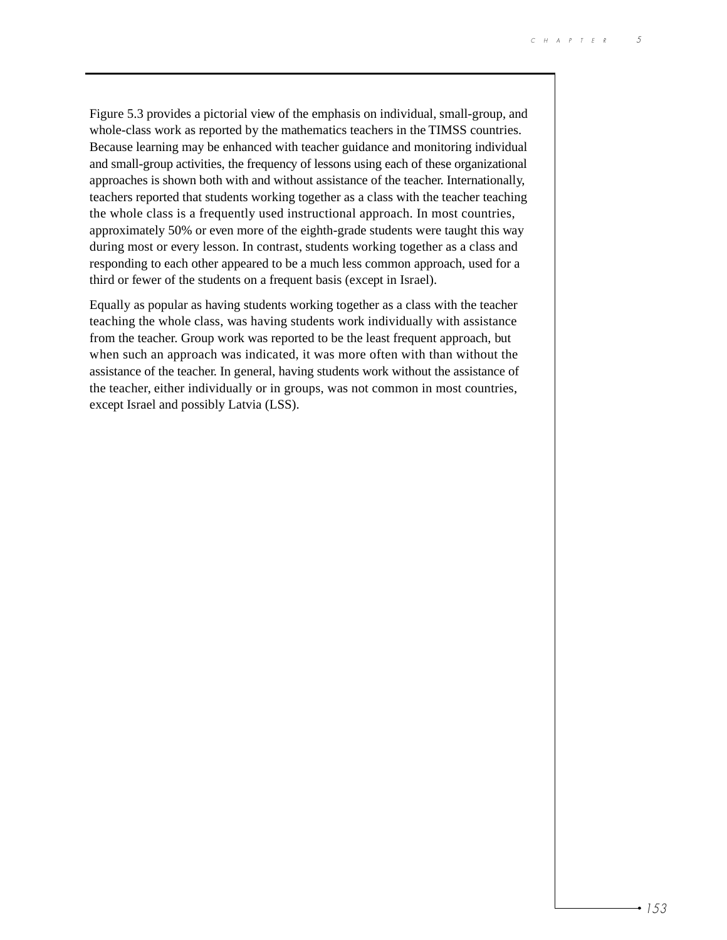Figure 5.3 provides a pictorial view of the emphasis on individual, small-group, and whole-class work as reported by the mathematics teachers in the TIMSS countries. Because learning may be enhanced with teacher guidance and monitoring individual and small-group activities, the frequency of lessons using each of these organizational approaches is shown both with and without assistance of the teacher. Internationally, teachers reported that students working together as a class with the teacher teaching the whole class is a frequently used instructional approach. In most countries, approximately 50% or even more of the eighth-grade students were taught this way during most or every lesson. In contrast, students working together as a class and responding to each other appeared to be a much less common approach, used for a third or fewer of the students on a frequent basis (except in Israel).

Equally as popular as having students working together as a class with the teacher teaching the whole class, was having students work individually with assistance from the teacher. Group work was reported to be the least frequent approach, but when such an approach was indicated, it was more often with than without the assistance of the teacher. In general, having students work without the assistance of the teacher, either individually or in groups, was not common in most countries, except Israel and possibly Latvia (LSS).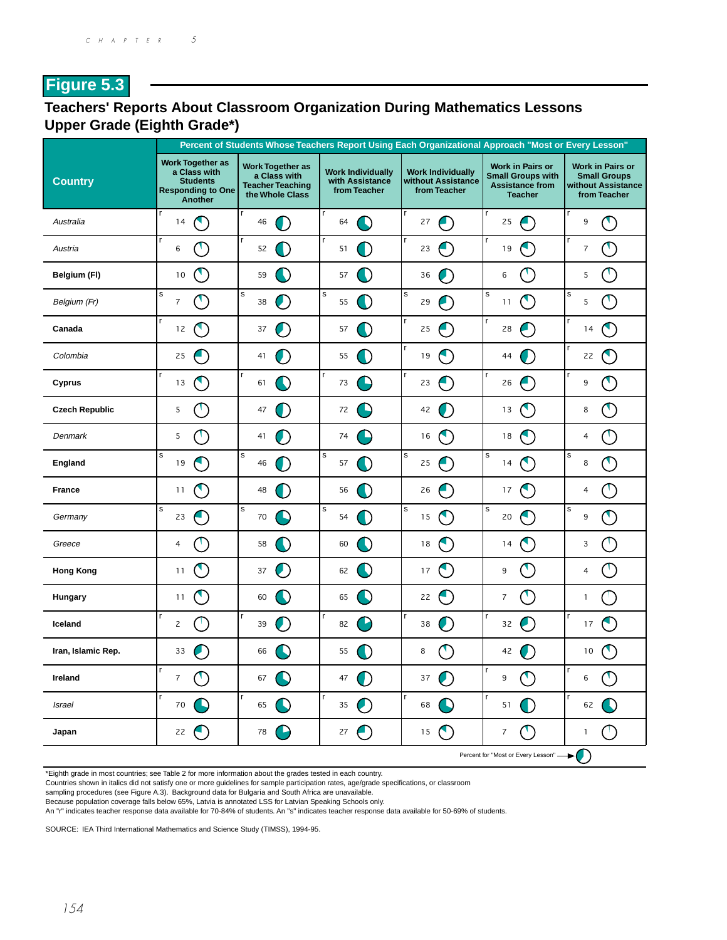# **Figure 5.3**

# **Teachers' Reports About Classroom Organization During Mathematics Lessons Upper Grade (Eighth Grade\*)**

|                       | Percent of Students Whose Teachers Report Using Each Organizational Approach "Most or Every Lesson"                                                                                                                                  |                                                                                       |                                                             |                                                                |                                                                                          |                                                                               |  |  |  |  |  |
|-----------------------|--------------------------------------------------------------------------------------------------------------------------------------------------------------------------------------------------------------------------------------|---------------------------------------------------------------------------------------|-------------------------------------------------------------|----------------------------------------------------------------|------------------------------------------------------------------------------------------|-------------------------------------------------------------------------------|--|--|--|--|--|
| <b>Country</b>        | <b>Work Together as</b><br>a Class with<br><b>Students</b><br><b>Responding to One</b><br>Another                                                                                                                                    | <b>Work Together as</b><br>a Class with<br><b>Teacher Teaching</b><br>the Whole Class | <b>Work Individually</b><br>with Assistance<br>from Teacher | <b>Work Individually</b><br>without Assistance<br>from Teacher | <b>Work in Pairs or</b><br><b>Small Groups with</b><br>Assistance from<br><b>Teacher</b> | Work in Pairs or<br><b>Small Groups</b><br>without Assistance<br>from Teacher |  |  |  |  |  |
| Australia             | $\bigodot$<br>14                                                                                                                                                                                                                     | r<br>46<br>D                                                                          | 64<br>L)                                                    | r<br>27<br>9                                                   | r<br>25                                                                                  | r<br>9                                                                        |  |  |  |  |  |
| Austria               | $\mathsf{r}$<br>6<br>$\left(\begin{smallmatrix} 1\\ 1\end{smallmatrix}\right)$                                                                                                                                                       | r.<br>52<br>$\big( \big  \big)$                                                       | r<br>51<br>H)                                               | r<br>$(\cdot)$<br>23                                           | r<br>19                                                                                  | r<br>$\overline{7}$                                                           |  |  |  |  |  |
| Belgium (FI)          | $\mathbf C$ )<br>10                                                                                                                                                                                                                  | D.<br>59                                                                              | 57<br>JU.                                                   | 36                                                             | 6                                                                                        | 5                                                                             |  |  |  |  |  |
| Belgium (Fr)          | $\mathbf S$<br>$\overline{7}$                                                                                                                                                                                                        | $\mathbf s$<br>$\left(\begin{smallmatrix} 1\\ 1\end{smallmatrix}\right)$<br>38        | $\mathsf{s}$<br>$\Box$<br>55                                | s<br>29<br>9                                                   | $\mathbf S$<br>11                                                                        | s<br>5                                                                        |  |  |  |  |  |
| Canada                | $\left(\begin{matrix} \bullet \\ \bullet \end{matrix}\right)$<br>12                                                                                                                                                                  | 37<br>J.                                                                              | 57<br>$\blacklozenge$                                       | 25<br>9                                                        | r<br>28                                                                                  | r<br>14                                                                       |  |  |  |  |  |
| Colombia              | 25<br>9)                                                                                                                                                                                                                             | 41<br>$\bm{O}$ )                                                                      | 55<br>$\Box$                                                | 19<br>$(\cdot)$                                                | 44                                                                                       | r<br>22                                                                       |  |  |  |  |  |
| Cyprus                | $\mathsf{r}$<br>13                                                                                                                                                                                                                   | r<br>$\cup$<br>61                                                                     | 73<br>$\blacklozenge$                                       | r<br>23                                                        | r<br>26                                                                                  | r<br>9                                                                        |  |  |  |  |  |
| <b>Czech Republic</b> | 5                                                                                                                                                                                                                                    | 47<br>$\cup$                                                                          | D<br>72                                                     | 42<br>75                                                       | 13                                                                                       | 8                                                                             |  |  |  |  |  |
| <b>Denmark</b>        | $\bigcirc$<br>5                                                                                                                                                                                                                      | $\bm{C}$<br>41                                                                        | D<br>74                                                     | $\left( \begin{matrix} \textbf{0} \end{matrix} \right)$<br>16  | 18                                                                                       | 4                                                                             |  |  |  |  |  |
| <b>England</b>        | ls.<br>$\bigcap$<br>19                                                                                                                                                                                                               | $\mathsf{s}$<br>D<br>46                                                               | $\mathbf S$<br>57<br>L)                                     | $\mathbf s$<br>9<br>25                                         | $\mathsf{s}$<br>14                                                                       | $\sf s$<br>8                                                                  |  |  |  |  |  |
| <b>France</b>         | $\left(\begin{smallmatrix} 1\\ 1\end{smallmatrix}\right)$<br>11                                                                                                                                                                      | 48<br>$\Box$                                                                          | 56<br>L)                                                    | 26                                                             | 17                                                                                       | 4                                                                             |  |  |  |  |  |
| Germany               | ls.<br>Α)<br>23                                                                                                                                                                                                                      | $\mathsf{s}$<br>L<br>70                                                               | $\mathbf s$<br>54<br>H.                                     | $\mathbf s$<br>15                                              | $\mathbf s$<br>20                                                                        | $\mathbf S$<br>9                                                              |  |  |  |  |  |
| Greece                | 4                                                                                                                                                                                                                                    | $\bigodot$<br>58                                                                      | 60<br>L)                                                    | 18                                                             | 14                                                                                       | 3                                                                             |  |  |  |  |  |
| <b>Hong Kong</b>      | $\left(\begin{matrix} \blacksquare \\ \blacksquare \end{matrix}\right)$<br>11                                                                                                                                                        | $(\cdot)$<br>37                                                                       | D)<br>62                                                    | $(\cdot)$<br>17                                                | 9                                                                                        | $\overline{4}$                                                                |  |  |  |  |  |
| Hungary               | $\left(\begin{smallmatrix} 1\\ 1\end{smallmatrix}\right)$<br>11                                                                                                                                                                      | $\cup$<br>60                                                                          | L)<br>65                                                    | 22                                                             | $\overline{7}$                                                                           | $\mathbf{1}$                                                                  |  |  |  |  |  |
| Iceland               | $\mathbf{2}$                                                                                                                                                                                                                         | $\bigodot$<br>39                                                                      | 82                                                          | 38<br>7.                                                       | r<br>32                                                                                  | r<br>17                                                                       |  |  |  |  |  |
| Iran, Islamic Rep.    | 33<br>2)                                                                                                                                                                                                                             | 66<br>L,                                                                              | 55<br>J)                                                    | 8                                                              | 42                                                                                       | 10                                                                            |  |  |  |  |  |
| Ireland               | $\overline{7}$                                                                                                                                                                                                                       | 67                                                                                    | 47                                                          | 37                                                             | 9                                                                                        | 6                                                                             |  |  |  |  |  |
| Israel                | 70<br>g and the second second second second second second second second second second second second second second second second second second second second second second second second second second second second second second se | 65                                                                                    | 35                                                          | 68                                                             | 51                                                                                       | r<br>62                                                                       |  |  |  |  |  |
| Japan                 | 22                                                                                                                                                                                                                                   | 78                                                                                    | 27                                                          | 15                                                             | $\overline{7}$                                                                           | 1                                                                             |  |  |  |  |  |
|                       |                                                                                                                                                                                                                                      |                                                                                       |                                                             |                                                                | Percent for "Most or Every Lesson" -                                                     | 7)                                                                            |  |  |  |  |  |

\*Eighth grade in most countries; see Table 2 for more information about the grades tested in each country.

Countries shown in italics did not satisfy one or more guidelines for sample participation rates, age/grade specifications, or classroom

sampling procedures (see Figure A.3). Background data for Bulgaria and South Africa are unavailable.

Because population coverage falls below 65%, Latvia is annotated LSS for Latvian Speaking Schools only.

An "r" indicates teacher response data available for 70-84% of students. An "s" indicates teacher response data available for 50-69% of students.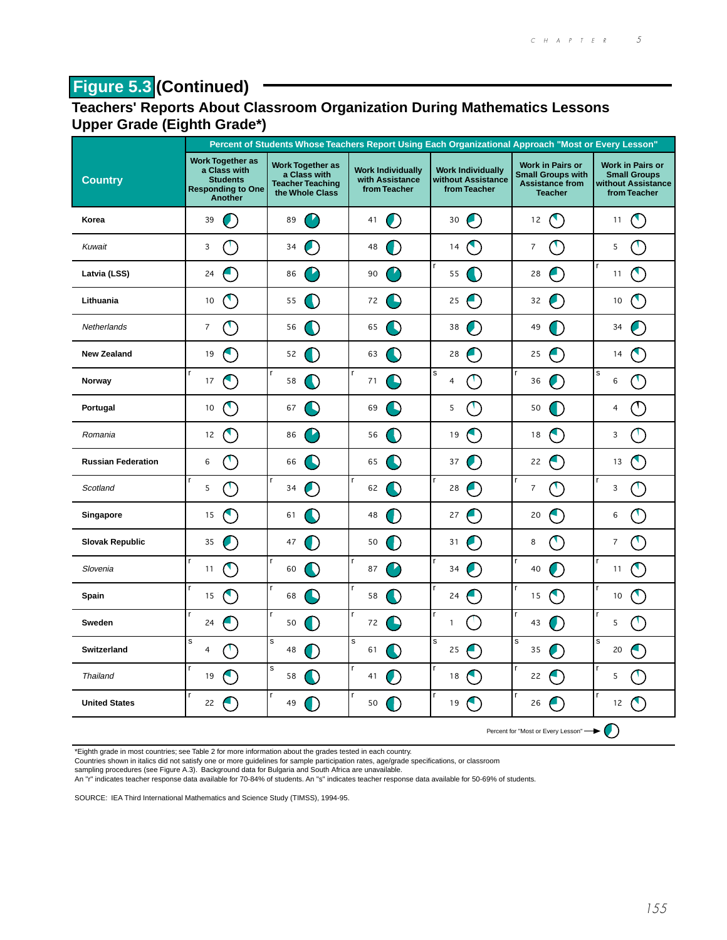# **Figure 5.3 (Continued)**

# **Teachers' Reports About Classroom Organization During Mathematics Lessons Upper Grade (Eighth Grade\*)**

|                           |                                                                                                   |                                                                                       |                                                             | Percent of Students Whose Teachers Report Using Each Organizational Approach "Most or Every Lesson" |                                                                                          |                                                                               |
|---------------------------|---------------------------------------------------------------------------------------------------|---------------------------------------------------------------------------------------|-------------------------------------------------------------|-----------------------------------------------------------------------------------------------------|------------------------------------------------------------------------------------------|-------------------------------------------------------------------------------|
| <b>Country</b>            | <b>Work Together as</b><br>a Class with<br><b>Students</b><br><b>Responding to One</b><br>Another | <b>Work Together as</b><br>a Class with<br><b>Teacher Teaching</b><br>the Whole Class | <b>Work Individually</b><br>with Assistance<br>from Teacher | <b>Work Individually</b><br>without Assistance<br>from Teacher                                      | Work in Pairs or<br><b>Small Groups with</b><br><b>Assistance from</b><br><b>Teacher</b> | Work in Pairs or<br><b>Small Groups</b><br>without Assistance<br>from Teacher |
| Korea                     | 39<br>2                                                                                           | Z<br>89                                                                               | $\blacklozenge$<br>41                                       | 30<br>2)                                                                                            | 12                                                                                       | 11                                                                            |
| Kuwait                    | 3                                                                                                 | 34<br>$\bm{\sigma}$                                                                   | 48<br>D                                                     | 14                                                                                                  | $\overline{\mathcal{L}}$                                                                 | 5                                                                             |
| Latvia (LSS)              | ∩<br>24                                                                                           | 86                                                                                    | 90                                                          | r<br>55<br>Ð                                                                                        | 28<br>$(\hspace{-0.1cm}\Box)$                                                            | 11                                                                            |
| Lithuania                 | $\mathbf{N}$ )<br>10                                                                              | D)<br>55                                                                              | D<br>72                                                     | 25                                                                                                  | 32<br>л,                                                                                 | 10                                                                            |
| Netherlands               | $\overline{7}$                                                                                    | 56<br>Ð                                                                               | 65                                                          | 38                                                                                                  | 49                                                                                       | 34                                                                            |
| <b>New Zealand</b>        | €<br>19                                                                                           | 52<br>D                                                                               | 63<br>L)                                                    | 28                                                                                                  | 25                                                                                       | 14                                                                            |
| Norway                    | $\mathsf{r}$<br>$\left(\begin{matrix} \bullet \\ \bullet \end{matrix}\right)$<br>17               | r<br>$\bigodot$<br>58                                                                 | r<br>D<br>71                                                | $\sf s$<br>$\overline{4}$                                                                           | r<br>36                                                                                  | s<br>6                                                                        |
| Portugal                  | 10                                                                                                | D<br>67                                                                               | D<br>69                                                     | 5                                                                                                   | 50<br>D                                                                                  | $\overline{4}$                                                                |
| Romania                   | 12                                                                                                | Z<br>86                                                                               | 56<br>J)                                                    | 19                                                                                                  | 18                                                                                       | 3                                                                             |
| <b>Russian Federation</b> | 6<br>P                                                                                            | 66<br>D                                                                               | 65<br>L)                                                    | 37<br>2                                                                                             | $(\hspace{-0.3ex}\bullet\hspace{-0.3ex})$<br>22                                          | 13                                                                            |
| Scotland                  | $\mathsf{r}$<br>5<br>$\mathcal{A}$                                                                | r<br>$\mathcal{O}$<br>34                                                              | r<br>62<br>L)                                               | r<br>9<br>28                                                                                        | r<br>$\overline{7}$                                                                      | 3                                                                             |
| Singapore                 | $\blacksquare$<br>15                                                                              | L)<br>61                                                                              | 48<br>Ð                                                     | 27<br>9                                                                                             | 20<br>$(\cdot)$                                                                          | 6                                                                             |
| <b>Slovak Republic</b>    | 35<br>5                                                                                           | 47<br>D                                                                               | 50<br>B                                                     | 31<br>9                                                                                             | 8                                                                                        | $\overline{7}$                                                                |
| Slovenia                  | <b>r</b><br>11                                                                                    | r<br>T)<br>60                                                                         | $\mathsf{r}$<br>87                                          | r<br>34<br>9                                                                                        | r<br>40<br>Л                                                                             | 11                                                                            |
| Spain                     | r.<br>$\bigcap$<br>15                                                                             | r<br>68<br>D                                                                          | r<br>58<br>$\blacklozenge$                                  | r<br>24<br>$\mathcal{L}$                                                                            | r<br>15                                                                                  | 10                                                                            |
| Sweden                    | 24<br>$\Box$                                                                                      | 50<br>$\Box$                                                                          | 72<br>$\blacklozenge$                                       | r<br>$\mathbf{1}$                                                                                   | 43<br>,                                                                                  | 5                                                                             |
| Switzerland               | s<br>$\overline{4}$                                                                               | s<br>48<br>D                                                                          | $\mathsf{s}$<br>61<br>L)                                    | $\mathbf s$<br>25<br>€                                                                              | $\mathsf{s}$<br>35<br>2                                                                  | s<br>20                                                                       |
| Thailand                  | r.<br>ŋ<br>19                                                                                     | s<br>58<br>U                                                                          | r<br>41<br>Л                                                | r<br>18                                                                                             | r<br>22<br>$(\overline{\phantom{a}})$                                                    | 5                                                                             |
| <b>United States</b>      | €.<br>22                                                                                          | 49<br>IJ                                                                              | 50<br>IJ                                                    | r<br>$\left( \begin{matrix} \bullet \\ \bullet \end{matrix} \right)$<br>19                          | r<br>26<br>9)                                                                            | 12                                                                            |

Percent for "Most or Every Lesson"  $\longrightarrow$ 

\*Eighth grade in most countries; see Table 2 for more information about the grades tested in each country.

Countries shown in italics did not satisfy one or more guidelines for sample participation rates, age/grade specifications, or classroom

sampling procedures (see Figure A.3). Background data for Bulgaria and South Africa are unavailable.

An "r" indicates teacher response data available for 70-84% of students. An "s" indicates teacher response data available for 50-69% of students.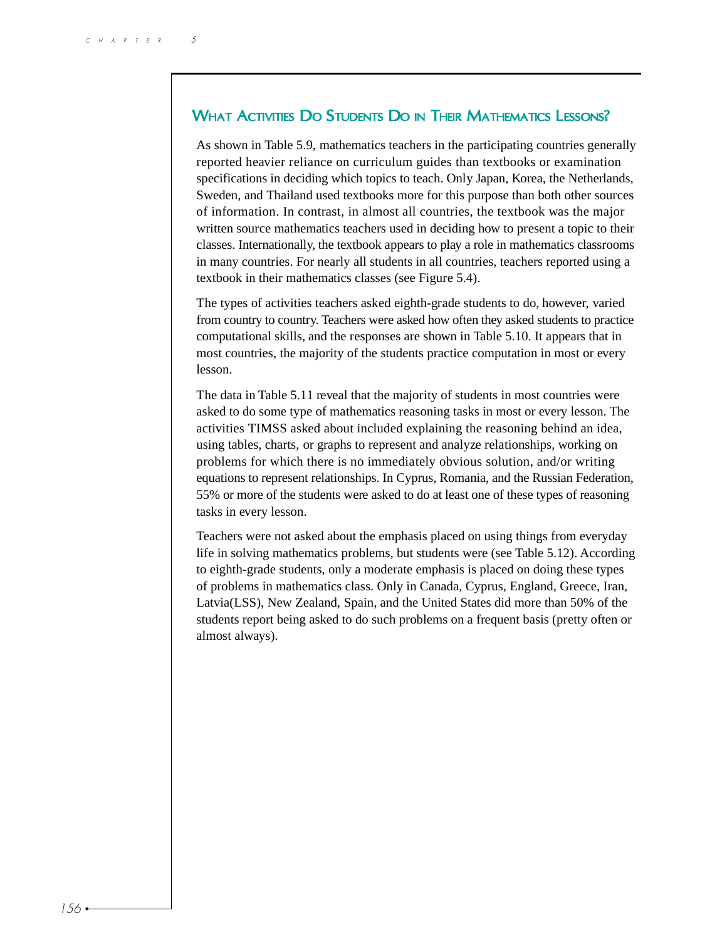### WHAT ACTIVITIES DO STUDENTS DO IN THEIR MATHEMATICS LESSONS?

As shown in Table 5.9, mathematics teachers in the participating countries generally reported heavier reliance on curriculum guides than textbooks or examination specifications in deciding which topics to teach. Only Japan, Korea, the Netherlands, Sweden, and Thailand used textbooks more for this purpose than both other sources of information. In contrast, in almost all countries, the textbook was the major written source mathematics teachers used in deciding how to present a topic to their classes. Internationally, the textbook appears to play a role in mathematics classrooms in many countries. For nearly all students in all countries, teachers reported using a textbook in their mathematics classes (see Figure 5.4).

The types of activities teachers asked eighth-grade students to do, however, varied from country to country. Teachers were asked how often they asked students to practice computational skills, and the responses are shown in Table 5.10. It appears that in most countries, the majority of the students practice computation in most or every lesson.

The data in Table 5.11 reveal that the majority of students in most countries were asked to do some type of mathematics reasoning tasks in most or every lesson. The activities TIMSS asked about included explaining the reasoning behind an idea, using tables, charts, or graphs to represent and analyze relationships, working on problems for which there is no immediately obvious solution, and/or writing equations to represent relationships. In Cyprus, Romania, and the Russian Federation, 55% or more of the students were asked to do at least one of these types of reasoning tasks in every lesson.

Teachers were not asked about the emphasis placed on using things from everyday life in solving mathematics problems, but students were (see Table 5.12). According to eighth-grade students, only a moderate emphasis is placed on doing these types of problems in mathematics class. Only in Canada, Cyprus, England, Greece, Iran, Latvia(LSS), New Zealand, Spain, and the United States did more than 50% of the students report being asked to do such problems on a frequent basis (pretty often or almost always).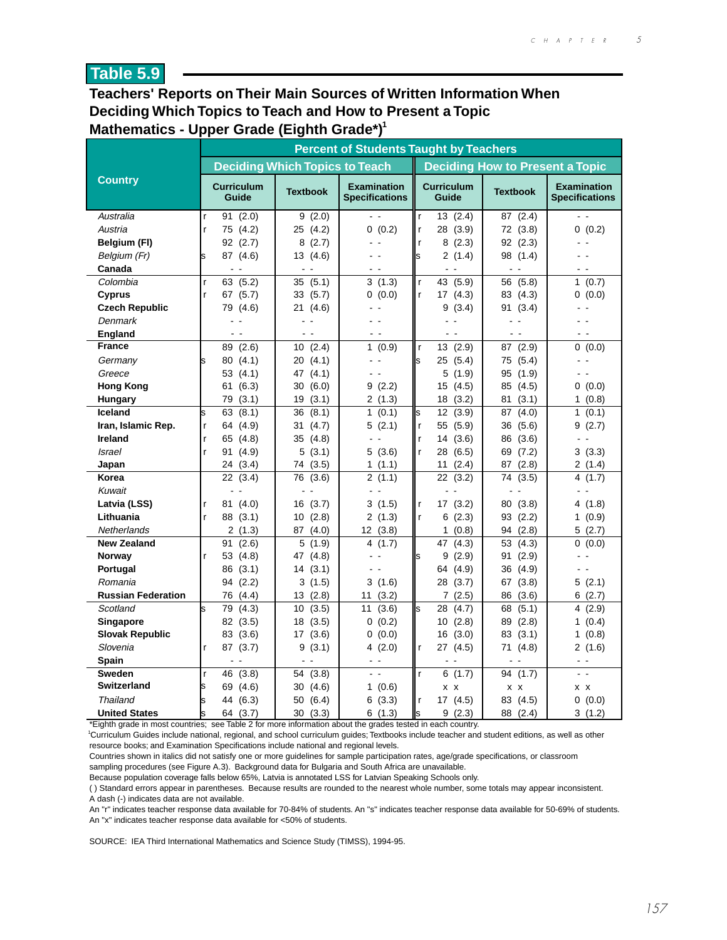# **Teachers' Reports on Their Main Sources of Written Information When Deciding Which Topics to Teach and How to Present a Topic Mathematics - Upper Grade (Eighth Grade\*)1**

|                           | <b>Percent of Students Taught by Teachers</b> |                                       |                                             |                            |                                        |                                             |  |  |  |  |  |  |
|---------------------------|-----------------------------------------------|---------------------------------------|---------------------------------------------|----------------------------|----------------------------------------|---------------------------------------------|--|--|--|--|--|--|
|                           |                                               | <b>Deciding Which Topics to Teach</b> |                                             |                            | <b>Deciding How to Present a Topic</b> |                                             |  |  |  |  |  |  |
| <b>Country</b>            | <b>Curriculum</b><br>Guide                    | <b>Textbook</b>                       | <b>Examination</b><br><b>Specifications</b> | <b>Curriculum</b><br>Guide | <b>Textbook</b>                        | <b>Examination</b><br><b>Specifications</b> |  |  |  |  |  |  |
| Australia                 | 91(2.0)<br>$\mathsf{r}$                       | 9(2.0)                                | $ -$                                        | $\mathsf{r}$<br>13(2.4)    | 87 (2.4)                               |                                             |  |  |  |  |  |  |
| Austria                   | $\mathbf{r}$<br>75 (4.2)                      | 25 (4.2)                              | 0(0.2)                                      | 28 (3.9)<br>$\mathsf{r}$   | 72 (3.8)                               | 0(0.2)                                      |  |  |  |  |  |  |
| Belgium (FI)              | 92 (2.7)                                      | 8(2.7)                                | ۰.                                          | 8(2.3)<br>$\mathsf{r}$     | 92 (2.3)                               | . .                                         |  |  |  |  |  |  |
| Belgium (Fr)              | 87 (4.6)<br>ls                                | 13 (4.6)                              |                                             | 2(1.4)<br>s                | 98 (1.4)                               |                                             |  |  |  |  |  |  |
| Canada                    | $\sim$ $\sim$                                 | $\blacksquare$                        |                                             | $\omega_{\rm c}$ .         | $\blacksquare$<br>$\blacksquare$       |                                             |  |  |  |  |  |  |
| Colombia                  | $\mathbf{r}$<br>63 (5.2)                      | 35 (5.1)                              | 3(1.3)                                      | r<br>43 (5.9)              | 56 (5.8)                               | 1(0.7)                                      |  |  |  |  |  |  |
| Cyprus                    | $\mathsf{r}$<br>67 (5.7)                      | 33 (5.7)                              | 0(0.0)                                      | $\mathsf{r}$<br>17(4.3)    | 83 (4.3)                               | 0(0.0)                                      |  |  |  |  |  |  |
| <b>Czech Republic</b>     | 79 (4.6)                                      | 21(4.6)                               |                                             | 9(3.4)                     | 91 (3.4)                               |                                             |  |  |  |  |  |  |
| Denmark                   | $\overline{a}$                                |                                       |                                             | 44                         | ä,                                     |                                             |  |  |  |  |  |  |
| England                   | . .                                           | $\sim$ $\sim$                         |                                             | 24                         | $\sim$ $\sim$                          |                                             |  |  |  |  |  |  |
| <b>France</b>             | (2.6)<br>89                                   | (2.4)<br>10                           | 1(0.9)                                      | 13 (2.9)<br>r              | (2.9)<br>87                            | 0(0.0)                                      |  |  |  |  |  |  |
| Germany                   | 80(4.1)<br>ls                                 | 20<br>(4.1)                           | $\sim$ $\sim$                               | 25 (5.4)<br>ls             | 75 (5.4)                               | - -                                         |  |  |  |  |  |  |
| Greece                    | 53 (4.1)                                      | (4.1)<br>47                           |                                             | 5(1.9)                     | 95<br>(1.9)                            |                                             |  |  |  |  |  |  |
| <b>Hong Kong</b>          | (6.3)<br>61                                   | (6.0)<br>30                           | (2.2)<br>9                                  | 15(4.5)                    | 85 (4.5)                               | 0(0.0)                                      |  |  |  |  |  |  |
| <b>Hungary</b>            | (3.1)<br>79                                   | (3.1)<br>19                           | 2(1.3)                                      | 18(3.2)                    | 81(3.1)                                | 1(0.8)                                      |  |  |  |  |  |  |
| <b>Iceland</b>            | (8.1)<br>s<br>63                              | (8.1)<br>36                           | 1<br>(0.1)                                  | 12(3.9)<br>ls              | (4.0)<br>87                            | 1(0.1)                                      |  |  |  |  |  |  |
| Iran, Islamic Rep.        | 64 (4.9)<br>$\mathbf{r}$                      | 31<br>(4.7)                           | 5<br>(2.1)                                  | 55 (5.9)<br>$\mathsf{r}$   | 36<br>(5.6)                            | 9(2.7)                                      |  |  |  |  |  |  |
| <b>Ireland</b>            | $\mathsf{r}$<br>65 (4.8)                      | 35<br>(4.8)                           |                                             | $\mathsf{r}$<br>14 (3.6)   | (3.6)<br>86                            | $\blacksquare$                              |  |  |  |  |  |  |
| <b>Israel</b>             | $\mathsf{r}$<br>91(4.9)                       | 5(3.1)                                | 5(3.6)                                      | $\mathsf{r}$<br>28 (6.5)   | 69 (7.2)                               | 3(3.3)                                      |  |  |  |  |  |  |
| Japan                     | 24 (3.4)                                      | 74 (3.5)                              | 1 $(1.1)$                                   | 11(2.4)                    | 87 (2.8)                               | 2(1.4)                                      |  |  |  |  |  |  |
| Korea                     | 22 (3.4)                                      | 76 (3.6)                              | 2(1.1)                                      | 22 (3.2)                   | 74 (3.5)                               | 4 (1.7)                                     |  |  |  |  |  |  |
| Kuwait                    | $\blacksquare$<br>$\overline{a}$              | $\overline{a}$                        |                                             | ä,                         | ä,<br>$\overline{a}$                   | $\blacksquare$                              |  |  |  |  |  |  |
| Latvia (LSS)              | 81 (4.0)<br>r                                 | 16<br>(3.7)                           | 3(1.5)                                      | $\mathsf{r}$<br>17(3.2)    | 80 (3.8)                               | 4 (1.8)                                     |  |  |  |  |  |  |
| Lithuania                 | $\mathsf{r}$<br>88 (3.1)                      | (2.8)<br>10                           | 2(1.3)                                      | $\mathsf{r}$<br>6(2.3)     | 93(2.2)                                | 1(0.9)                                      |  |  |  |  |  |  |
| Netherlands               | 2(1.3)                                        | 87 (4.0)                              | 12(3.8)                                     | 1(0.8)                     | 94 (2.8)                               | 5(2.7)                                      |  |  |  |  |  |  |
| <b>New Zealand</b>        | 91(2.6)                                       | 5(1.9)                                | 4 (1.7)                                     | 47 (4.3)                   | 53(4.3)                                | 0(0.0)                                      |  |  |  |  |  |  |
| Norway                    | 53 (4.8)<br>r                                 | 47 (4.8)                              |                                             | 9(2.9)<br>lls              | 91<br>(2.9)                            | . .                                         |  |  |  |  |  |  |
| Portugal                  | 86<br>(3.1)                                   | 14(3.1)                               |                                             | 64 (4.9)                   | 36<br>(4.9)                            |                                             |  |  |  |  |  |  |
| Romania                   | 94 (2.2)                                      | 3(1.5)                                | 3 (1.6)                                     | 28 (3.7)                   | 67 (3.8)                               | 5(2.1)                                      |  |  |  |  |  |  |
| <b>Russian Federation</b> | (4.4)<br>76                                   | (2.8)<br>13                           | 11<br>(3.2)                                 | 7(2.5)                     | (3.6)<br>86                            | 6(2.7)                                      |  |  |  |  |  |  |
| Scotland                  | 79<br>s<br>(4.3)                              | 10<br>(3.5)                           | (3.6)<br>11                                 | ls<br>28<br>(4.7)          | 68<br>(5.1)                            | 4(2.9)                                      |  |  |  |  |  |  |
| <b>Singapore</b>          | 82 (3.5)                                      | 18<br>(3.5)                           | (0.2)<br>0                                  | 10(2.8)                    | 89 (2.8)                               | 1(0.4)                                      |  |  |  |  |  |  |
| <b>Slovak Republic</b>    | 83 (3.6)                                      | 17(3.6)                               | 0<br>(0.0)                                  | 16(3.0)                    | (3.1)<br>83                            | 1(0.8)                                      |  |  |  |  |  |  |
| Slovenia                  | $\mathsf{r}$<br>87 (3.7)                      | 9(3.1)                                | 4 (2.0)                                     | $\mathsf{r}$<br>27 (4.5)   | 71 (4.8)                               | 2 (1.6)                                     |  |  |  |  |  |  |
| <b>Spain</b>              | $\sim$ $\sim$                                 | $\sim$ $\sim$                         |                                             | $\sim$ $\sim$              | ÷                                      | $\sim$ $\sim$                               |  |  |  |  |  |  |
| Sweden                    | $\mathbf{r}$<br>46 (3.8)                      | 54 (3.8)                              |                                             | $\mathbf{r}$<br>6(1.7)     | 94 (1.7)                               | $\sim$                                      |  |  |  |  |  |  |
| <b>Switzerland</b>        | ls<br>69 (4.6)                                | 30<br>(4.6)                           | 1<br>(0.6)                                  | $x \times$                 | x x                                    | x x                                         |  |  |  |  |  |  |
| Thailand                  | 44<br>(6.3)<br>ls                             | 50<br>(6.4)                           | 6<br>(3.3)                                  | 17(4.5)<br>r               | 83 (4.5)                               | 0(0.0)                                      |  |  |  |  |  |  |
| <b>United States</b>      | ls<br>64 (3.7)                                | 30<br>(3.3)                           | 6<br>(1.3)                                  | 9(2.3)<br>lls              | 88 (2.4)                               | 3(1.2)                                      |  |  |  |  |  |  |

\*Eighth grade in most countries; see Table 2 for more information about the grades tested in each country.

1 Curriculum Guides include national, regional, and school curriculum guides; Textbooks include teacher and student editions, as well as other resource books; and Examination Specifications include national and regional levels.

Countries shown in italics did not satisfy one or more guidelines for sample participation rates, age/grade specifications, or classroom

sampling procedures (see Figure A.3). Background data for Bulgaria and South Africa are unavailable.

Because population coverage falls below 65%, Latvia is annotated LSS for Latvian Speaking Schools only.

( ) Standard errors appear in parentheses. Because results are rounded to the nearest whole number, some totals may appear inconsistent.

A dash (-) indicates data are not available.

An "r" indicates teacher response data available for 70-84% of students. An "s" indicates teacher response data available for 50-69% of students. An "x" indicates teacher response data available for <50% of students.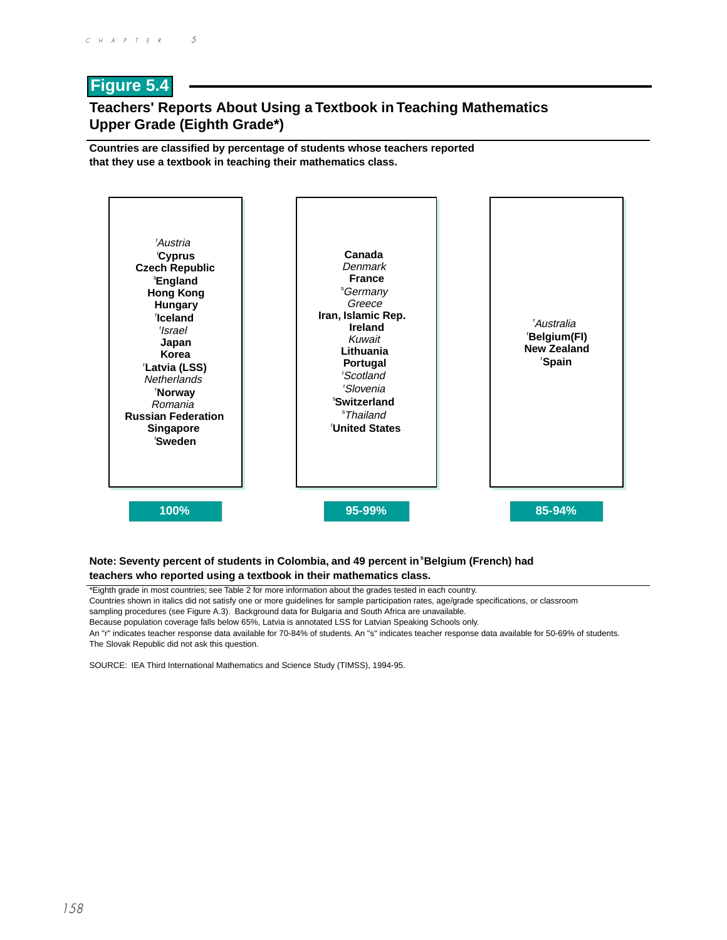#### **Figure 5.4**

### **Teachers' Reports About Using a Textbook in Teaching Mathematics Upper Grade (Eighth Grade\*)**

**Countries are classified by percentage of students whose teachers reported that they use a textbook in teaching their mathematics class.**



#### **Note: Seventy percent of students in Colombia, and 49 percent in <sup>s</sup>Belgium (French) had teachers who reported using a textbook in their mathematics class.**

\*Eighth grade in most countries; see Table 2 for more information about the grades tested in each country.

Countries shown in italics did not satisfy one or more guidelines for sample participation rates, age/grade specifications, or classroom

sampling procedures (see Figure A.3). Background data for Bulgaria and South Africa are unavailable.

Because population coverage falls below 65%, Latvia is annotated LSS for Latvian Speaking Schools only.

An "r" indicates teacher response data available for 70-84% of students. An "s" indicates teacher response data available for 50-69% of students. The Slovak Republic did not ask this question.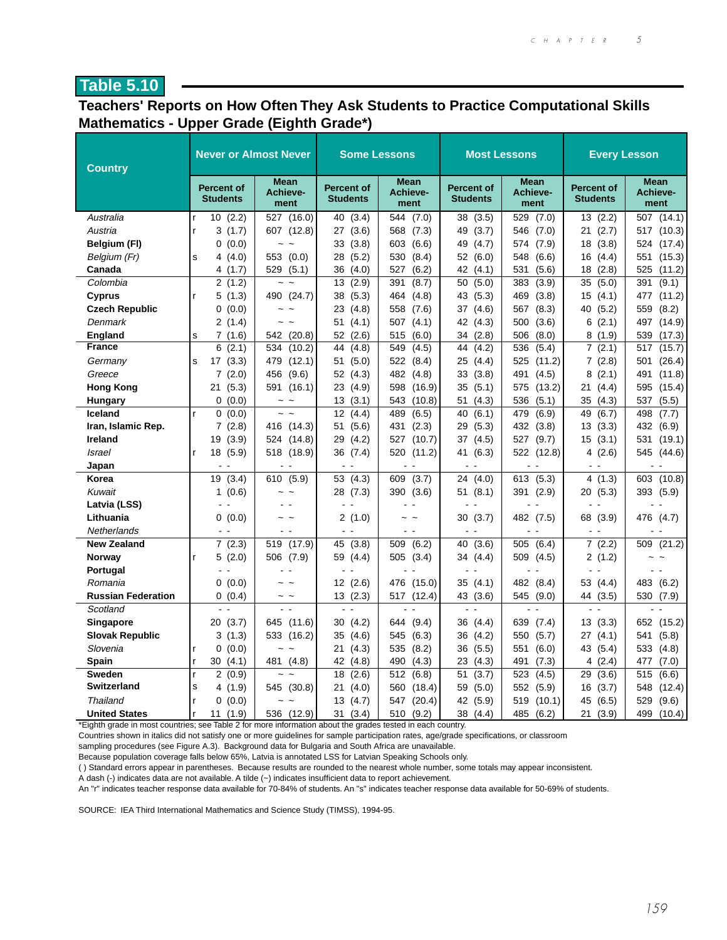# **Teachers' Reports on How Often They Ask Students to Practice Computational Skills Mathematics - Upper Grade (Eighth Grade\*)**

| <b>Country</b>            |                                      | <b>Never or Almost Never</b>                      | <b>Some Lessons</b>                  |                                        | <b>Most Lessons</b>                        |                                        | <b>Every Lesson</b>                        |                                 |  |
|---------------------------|--------------------------------------|---------------------------------------------------|--------------------------------------|----------------------------------------|--------------------------------------------|----------------------------------------|--------------------------------------------|---------------------------------|--|
|                           | <b>Percent of</b><br><b>Students</b> | <b>Mean</b><br><b>Achieve-</b><br>ment            | <b>Percent of</b><br><b>Students</b> | <b>Mean</b><br><b>Achieve-</b><br>ment | Percent of<br><b>Students</b>              | <b>Mean</b><br><b>Achieve-</b><br>ment | <b>Percent of</b><br><b>Students</b>       | <b>Mean</b><br>Achieve-<br>ment |  |
| Australia                 | 10(2.2)<br>$\mathsf{r}$              | 527 (16.0)                                        | 40<br>(3.4)                          | 544<br>(7.0)                           | 38<br>(3.5)                                | 529<br>(7.0)                           | 13(2.2)                                    | 507<br>(14.1)                   |  |
| Austria                   | 3(1.7)<br>$\mathbf{r}$               | 607 (12.8)                                        | 27 (3.6)                             | 568<br>(7.3)                           | (3.7)<br>49                                | (7.0)<br>546                           | 21 (2.7)                                   | 517 (10.3)                      |  |
| Belgium (FI)              | 0(0.0)                               | $\overline{\phantom{0}}$<br>$\tilde{\phantom{a}}$ | 33<br>(3.8)                          | 603<br>(6.6)                           | 49<br>(4.7)                                | (7.9)<br>574                           | 18 (3.8)                                   | 524<br>(17.4)                   |  |
| Belgium (Fr)              | 4(4.0)<br>s                          | 553 (0.0)                                         | 28<br>(5.2)                          | 530<br>(8.4)                           | 52<br>(6.0)                                | 548<br>(6.6)                           | 16(4.4)                                    | 551<br>(15.3)                   |  |
| Canada                    | 4(1.7)                               | 529 (5.1)                                         | 36<br>(4.0)                          | 527<br>(6.2)                           | 42<br>(4.1)                                | 531<br>(5.6)                           | 18(2.8)                                    | 525 (11.2)                      |  |
| Colombia                  | 2(1.2)                               | $\ddot{\phantom{0}}$                              | 13<br>(2.9)                          | 391<br>(8.7)                           | 50<br>(5.0)                                | 383<br>(3.9)                           | 35 (5.0)                                   | 391<br>(9.1)                    |  |
| Cyprus                    | 5(1.3)<br>r                          | 490 (24.7)                                        | 38<br>(5.3)                          | 464<br>(4.8)                           | (5.3)<br>43                                | 469<br>(3.8)                           | 15(4.1)                                    | 477<br>(11.2)                   |  |
| <b>Czech Republic</b>     | 0(0.0)                               | $\sim$ $\sim$                                     | 23 (4.8)                             | 558<br>(7.6)                           | (4.6)<br>37                                | (8.3)<br>567                           | 40 (5.2)                                   | 559<br>(8.2)                    |  |
| <b>Denmark</b>            | 2(1.4)                               | $\overline{ }$<br>$\sim$                          | 51<br>(4.1)                          | 507<br>(4.1)                           | 42<br>(4.3)                                | (3.6)<br>500                           | 6(2.1)                                     | 497<br>(14.9)                   |  |
| <b>England</b>            | 7(1.6)<br>s                          | 542 (20.8)                                        | (2.6)<br>52                          | 515<br>(6.0)                           | 34<br>(2.8)                                | 506<br>(8.0)                           | 8(1.9)                                     | 539<br>(17.3)                   |  |
| <b>France</b>             | (2.1)<br>6                           | 534<br>(10.2)                                     | 44<br>(4.8)                          | 549<br>(4.5)                           | (4.2)<br>44                                | 536<br>(5.4)                           | 7(2.1)                                     | 517<br>(15.7)                   |  |
| Germany                   | 17<br>(3.3)<br>s                     | 479<br>(12.1)                                     | (5.0)<br>51                          | 522<br>(8.4)                           | 25<br>(4.4)                                | 525<br>(11.2)                          | 7(2.8)                                     | (26.4)<br>501                   |  |
| Greece                    | 7(2.0)                               | (9.6)<br>456                                      | 52 (4.3)                             | 482<br>(4.8)                           | (3.8)<br>33                                | 491<br>(4.5)                           | 8(2.1)                                     | 491<br>(11.8)                   |  |
| <b>Hong Kong</b>          | (5.3)<br>21                          | 591 (16.1)                                        | 23 (4.9)                             | 598<br>(16.9)                          | (5.1)<br>35                                | (13.2)<br>575                          | 21 (4.4)                                   | 595 (15.4)                      |  |
| <b>Hungary</b>            | 0<br>(0.0)                           | $\sim$ $\sim$                                     | 13(3.1)                              | 543<br>(10.8)                          | 51<br>(4.3)                                | 536<br>(5.1)                           | 35 (4.3)                                   | 537<br>(5.5)                    |  |
| Iceland                   | r<br>0(0.0)                          | $\overline{\phantom{0}}$<br>$\sim$                | 12<br>(4.4)                          | 489<br>(6.5)                           | 40<br>(6.1)                                | 479<br>(6.9)                           | 49<br>(6.7)                                | 498<br>(7.7)                    |  |
| Iran, Islamic Rep.        | 7(2.8)                               | 416 (14.3)                                        | 51 (5.6)                             | 431<br>(2.3)                           | (5.3)<br>29                                | 432<br>(3.8)                           | 13(3.3)                                    | 432 (6.9)                       |  |
| <b>Ireland</b>            | 19<br>(3.9)                          | (14.8)<br>524                                     | 29<br>(4.2)                          | 527<br>(10.7)                          | 37<br>(4.5)                                | (9.7)<br>527                           | 15(3.1)                                    | 531 (19.1)                      |  |
| <b>Israel</b>             | 18 (5.9)<br>$\mathsf{r}$             | 518 (18.9)                                        | 36 (7.4)                             | 520 (11.2)                             | 41 (6.3)                                   | 522 (12.8)                             | 4 (2.6)                                    | 545 (44.6)                      |  |
| Japan                     | $\sim$ $\sim$                        | $ -$                                              | $\sim$ $\sim$                        | $\sim$ $\sim$                          | $\sim$ $\sim$                              | $\sim$ $\sim$                          | $\sim$ $\sim$                              | $\sim$ $\sim$                   |  |
| Korea                     | 19(3.4)                              | 610 (5.9)                                         | 53 (4.3)                             | 609<br>(3.7)                           | 24<br>(4.0)                                | (5.3)<br>613                           | 4(1.3)                                     | 603 (10.8)                      |  |
| Kuwait                    | 1(0.6)                               | $\sim$ $\sim$                                     | 28 (7.3)                             | 390 (3.6)                              | 51(8.1)                                    | 391 (2.9)                              | 20 (5.3)                                   | 393 (5.9)                       |  |
| Latvia (LSS)              | $\sim$ $\sim$                        | $\sim$ $\sim$                                     |                                      | . .                                    | $\overline{a}$<br>$\overline{a}$           | ÷.                                     | $\blacksquare$<br>$\overline{\phantom{a}}$ |                                 |  |
| Lithuania                 | 0(0.0)                               | $\sim$ $\sim$                                     | 2(1.0)                               | $\sim$                                 | 30(3.7)                                    | 482 (7.5)                              | 68 (3.9)                                   | 476 (4.7)                       |  |
| Netherlands               | $\sim$ $\sim$                        | $\sim$ $-$                                        | $\sim$ $-$                           | $\blacksquare$                         | $\blacksquare$<br>$\overline{\phantom{a}}$ | $\blacksquare$                         | $\sim$ $-$                                 |                                 |  |
| <b>New Zealand</b>        | 7(2.3)                               | 519 (17.9)                                        | 45 (3.8)                             | 509<br>(6.2)                           | (3.6)<br>40                                | 505<br>(6.4)                           | 7(2.2)                                     | 509 (21.2)                      |  |
| Norway                    | 5(2.0)<br>$\mathbf{r}$               | 506<br>(7.9)                                      | 59<br>(4.4)                          | 505 (3.4)                              | 34 (4.4)                                   | (4.5)<br>509                           | 2 (1.2)                                    | $\sim$<br>$\sim$                |  |
| Portugal                  | $\sim$ $\sim$                        | - -                                               |                                      |                                        |                                            |                                        | $\overline{a}$                             | $\sim$ $\sim$                   |  |
| Romania                   | 0(0.0)                               | $\sim$ $\sim$                                     | 12(2.6)                              | (15.0)<br>476                          | 35(4.1)                                    | 482 (8.4)                              | 53 (4.4)                                   | 483 (6.2)                       |  |
| <b>Russian Federation</b> | 0(0.4)                               | $\sim$ $\sim$                                     | 13(2.3)                              | 517 (12.4)                             | 43 (3.6)                                   | 545 (9.0)                              | 44 (3.5)                                   | 530 (7.9)                       |  |
| Scotland                  | $\mathbf{r}$                         | $\blacksquare$<br>$\overline{\phantom{a}}$        | $\overline{a}$                       |                                        | $\overline{a}$<br>L.                       | $\overline{a}$                         | $\sim$<br>$\overline{\phantom{a}}$         |                                 |  |
| <b>Singapore</b>          | 20 (3.7)                             | 645 (11.6)                                        | 30 (4.2)                             | (9.4)<br>644                           | 36<br>(4.4)                                | 639<br>(7.4)                           | 13 (3.3)                                   | 652 (15.2)                      |  |
| <b>Slovak Republic</b>    | 3(1.3)                               | 533 (16.2)                                        | 35<br>(4.6)                          | 545<br>(6.3)                           | 36 (4.2)                                   | 550<br>(5.7)                           | 27 (4.1)                                   | 541<br>(5.8)                    |  |
| Slovenia                  | (0.0)<br>0                           |                                                   | 21<br>(4.3)                          | 535<br>(8.2)                           | (5.5)<br>36                                | 551<br>(6.0)                           | 43 (5.4)                                   | 533 (4.8)                       |  |
| Spain                     | 30 (4.1)<br>r                        | 481 (4.8)                                         | 42 (4.8)                             | 490<br>(4.3)                           | 23<br>(4.3)                                | 491<br>(7.3)                           | 4(2.4)                                     | (7.0)<br>477                    |  |
| Sweden                    | 2(0.9)<br>$\mathbf{r}$               |                                                   | 18<br>(2.6)                          | (6.8)<br>512                           | 51<br>(3.7)                                | (4.5)<br>523                           | 29 (3.6)                                   | 515<br>(6.6)                    |  |
| <b>Switzerland</b>        | s<br>4(1.9)                          | 545 (30.8)                                        | 21<br>(4.0)                          | (18.4)<br>560                          | (5.0)<br>59                                | 552<br>(5.9)                           | 16(3.7)                                    | 548<br>(12.4)                   |  |
| Thailand                  | (0.0)<br>0<br>r                      | $\sim$                                            | 13<br>(4.7)                          | 547<br>(20.4)                          | 42<br>(5.9)                                | 519<br>(10.1)                          | 45<br>(6.5)                                | 529<br>(9.6)                    |  |
| <b>United States</b>      | (1.9)<br>11<br>r                     | 536 (12.9)                                        | 31<br>(3.4)                          | (9.2)<br>510                           | 38 (4.4)                                   | (6.2)<br>485                           | 21<br>(3.9)                                | 499<br>(10.4)                   |  |

\*Eighth grade in most countries; see Table 2 for more information about the grades tested in each country.

Countries shown in italics did not satisfy one or more guidelines for sample participation rates, age/grade specifications, or classroom

sampling procedures (see Figure A.3). Background data for Bulgaria and South Africa are unavailable.

Because population coverage falls below 65%, Latvia is annotated LSS for Latvian Speaking Schools only.

( ) Standard errors appear in parentheses. Because results are rounded to the nearest whole number, some totals may appear inconsistent.

A dash (-) indicates data are not available. A tilde (~) indicates insufficient data to report achievement.

An "r" indicates teacher response data available for 70-84% of students. An "s" indicates teacher response data available for 50-69% of students.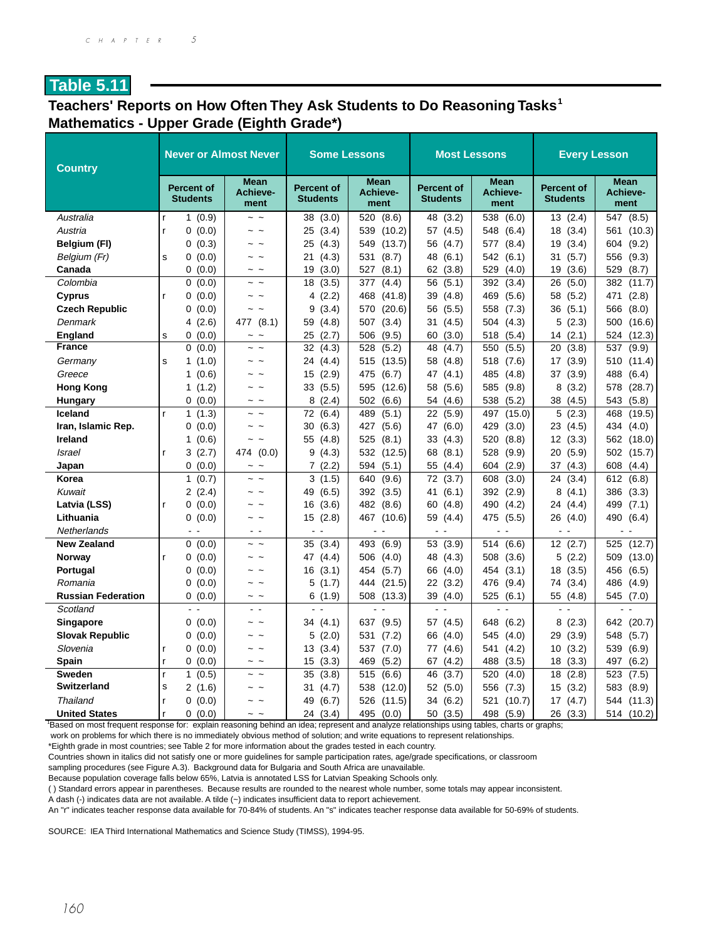### **Teachers' Reports on How Often They Ask Students to Do Reasoning Tasks1 Mathematics - Upper Grade (Eighth Grade\*)**

| <b>Country</b>            |                                      | <b>Never or Almost Never</b>                      | <b>Some Lessons</b>                   |                                        | <b>Most Lessons</b>                  |                                 | <b>Every Lesson</b>              |                                 |  |
|---------------------------|--------------------------------------|---------------------------------------------------|---------------------------------------|----------------------------------------|--------------------------------------|---------------------------------|----------------------------------|---------------------------------|--|
|                           | <b>Percent of</b><br><b>Students</b> | Mean<br><b>Achieve-</b><br>ment                   | <b>Percent of</b><br><b>Students</b>  | <b>Mean</b><br><b>Achieve-</b><br>ment | <b>Percent of</b><br><b>Students</b> | <b>Mean</b><br>Achieve-<br>ment | Percent of<br><b>Students</b>    | <b>Mean</b><br>Achieve-<br>ment |  |
| Australia                 | $\mathbf{1}$<br>(0.9)<br>r           | $\sim$ $\sim$                                     | 38<br>(3.0)                           | 520<br>(8.6)                           | 48<br>(3.2)                          | 538<br>(6.0)                    | 13<br>(2.4)                      | 547<br>(8.5)                    |  |
| Austria                   | (0.0)<br>0<br>r                      | $\sim$ $\sim$                                     | 25<br>(3.4)                           | 539<br>(10.2)                          | 57<br>(4.5)                          | (6.4)<br>548                    | 18<br>(3.4)                      | 561<br>(10.3)                   |  |
| Belgium (FI)              | (0.3)<br>0                           | $\sim$ $\sim$                                     | 25<br>(4.3)                           | 549<br>(13.7)                          | 56<br>(4.7)                          | (8.4)<br>577                    | 19<br>(3.4)                      | (9.2)<br>604                    |  |
| Belgium (Fr)              | (0.0)<br>0<br>s                      | $\sim$ $\sim$                                     | 21<br>(4.3)                           | (8.7)<br>531                           | (6.1)<br>48                          | 542<br>(6.1)                    | (5.7)<br>31                      | 556<br>(9.3)                    |  |
| Canada                    | 0<br>(0.0)                           | $\sim$ $\sim$                                     | 19<br>(3.0)                           | (8.1)<br>527                           | (3.8)<br>62                          | (4.0)<br>529                    | 19<br>(3.6)                      | 529<br>(8.7)                    |  |
| Colombia                  | 0<br>(0.0)                           | $\sim$ $\sim$                                     | 18<br>(3.5)                           | 377<br>(4.4)                           | 56<br>(5.1)                          | (3.4)<br>392                    | 26<br>(5.0)                      | 382<br>(11.7)                   |  |
| <b>Cyprus</b>             | (0.0)<br>0<br>r                      | $\sim$ $\sim$                                     | 4 (2.2)                               | (41.8)<br>468                          | 39<br>(4.8)                          | 469<br>(5.6)                    | 58<br>(5.2)                      | 471<br>(2.8)                    |  |
| <b>Czech Republic</b>     | 0<br>(0.0)                           | $\sim$<br>$\sim$                                  | 9<br>(3.4)                            | 570<br>(20.6)                          | 56<br>(5.5)                          | 558<br>(7.3)                    | 36(5.1)                          | (8.0)<br>566                    |  |
| <b>Denmark</b>            | (2.6)<br>4                           | (8.1)<br>477                                      | 59<br>(4.8)                           | (3.4)<br>507                           | 31<br>(4.5)                          | (4.3)<br>504                    | 5(2.3)                           | 500<br>(16.6)                   |  |
| <b>England</b>            | (0.0)<br>0<br>s                      | $\sim$ $\sim$                                     | 25<br>(2.7)                           | (9.5)<br>506                           | (3.0)<br>60                          | 518<br>(5.4)                    | 14(2.1)                          | 524<br>(12.3)                   |  |
| <b>France</b>             | (0.0)<br>0                           | $\sim$ $\sim$                                     | 32<br>(4.3)                           | 528<br>(5.2)                           | 48<br>(4.7)                          | (5.5)<br>550                    | (3.8)<br>20                      | 537<br>(9.9)                    |  |
| Germany                   | (1.0)<br>1<br>s                      |                                                   | 24<br>(4.4)                           | (13.5)<br>515                          | 58<br>(4.8)                          | 518<br>(7.6)                    | (3.9)<br>17                      | 510<br>(11.4)                   |  |
| Greece                    | 1<br>(0.6)                           |                                                   | (2.9)<br>15                           | 475<br>(6.7)                           | 47<br>(4.1)                          | 485<br>(4.8)                    | (3.9)<br>37                      | 488<br>(6.4)                    |  |
| <b>Hong Kong</b>          | (1.2)<br>1                           | $\sim$ $\sim$                                     | 33<br>(5.5)                           | (12.6)<br>595                          | 58<br>(5.6)                          | (9.8)<br>585                    | 8(3.2)                           | 578<br>(28.7)                   |  |
| <b>Hungary</b>            | (0.0)<br>0                           | ~ ~                                               | (2.4)<br>8                            | 502<br>(6.6)                           | (4.6)<br>54                          | (5.2)<br>538                    | 38<br>(4.5)                      | 543<br>(5.8)                    |  |
| Iceland                   | 1<br>(1.3)<br>r                      | $\sim$ $\sim$                                     | 72<br>(6.4)                           | 489<br>(5.1)                           | 22<br>(5.9)                          | 497<br>(15.0)                   | 5<br>(2.3)                       | 468<br>(19.5)                   |  |
| Iran, Islamic Rep.        | (0.0)<br>0                           | $\sim$ $\sim$                                     | 30<br>(6.3)                           | (5.6)<br>427                           | 47 (6.0)                             | (3.0)<br>429                    | 23 (4.5)                         | 434<br>(4.0)                    |  |
| <b>Ireland</b>            | (0.6)<br>1                           | $\tilde{}$<br>$\overline{\phantom{0}}$            | 55<br>(4.8)                           | 525<br>(8.1)                           | 33<br>(4.3)                          | (8.8)<br>520                    | (3.3)<br>12                      | 562<br>(18.0)                   |  |
| <b>Israel</b>             | 3<br>(2.7)<br>r                      | 474 (0.0)                                         | (4.3)<br>9                            | 532<br>(12.5)                          | (8.1)<br>68                          | 528<br>(9.9)                    | 20<br>(5.9)                      | 502<br>(15.7)                   |  |
| Japan                     | (0.0)<br>0                           | $\sim$ $\sim$                                     | 7(2.2)                                | (5.1)<br>594                           | 55<br>(4.4)                          | (2.9)<br>604                    | (4.3)<br>37                      | 608<br>(4.4)                    |  |
| Korea                     | $\mathbf{1}$<br>(0.7)                | $\sim$<br>$\overline{\phantom{0}}$                | (1.5)<br>3                            | 640<br>(9.6)                           | 72<br>(3.7)                          | (3.0)<br>608                    | 24<br>(3.4)                      | 612<br>(6.8)                    |  |
| Kuwait                    | 2(2.4)                               | $\sim$ $\sim$                                     | 49<br>(6.5)                           | 392<br>(3.5)                           | 41<br>(6.1)                          | 392 (2.9)                       | 8(4.1)                           | 386<br>(3.3)                    |  |
| Latvia (LSS)              | (0.0)<br>0<br>r                      | $\sim$ $\sim$                                     | 16<br>(3.6)                           | 482<br>(8.6)                           | 60<br>(4.8)                          | (4.2)<br>490                    | 24 (4.4)                         | 499<br>(7.1)                    |  |
| Lithuania                 | 0<br>(0.0)                           | $\overline{\phantom{a}}$                          | 15 (2.8)                              | (10.6)<br>467                          | 59<br>(4.4)                          | 475<br>(5.5)                    | 26 (4.0)                         | (6.4)<br>490                    |  |
| Netherlands               | $\sim$ $\sim$                        | $\sim$ $\sim$                                     | $\tilde{\phantom{a}}$<br>$\mathbf{r}$ | $\blacksquare$                         | J.<br>$\sim$                         | $\blacksquare$                  | $\blacksquare$<br>$\overline{a}$ | $\overline{a}$                  |  |
| <b>New Zealand</b>        | (0.0)<br>0                           | $\sim$ $\sim$                                     | (3.4)<br>35                           | 493<br>(6.9)                           | 53<br>(3.9)                          | 514<br>(6.6)                    | 12(2.7)                          | (12.7)<br>525                   |  |
| <b>Norway</b>             | 0<br>(0.0)<br>r                      | $\sim$ $\sim$                                     | 47<br>(4.4)                           | 506<br>(4.0)                           | 48 (4.3)                             | 508<br>(3.6)                    | 5(2.2)                           | 509<br>(13.0)                   |  |
| Portugal                  | 0<br>(0.0)                           | $\sim$ $\sim$                                     | (3.1)<br>16                           | 454<br>(5.7)                           | 66<br>(4.0)                          | 454<br>(3.1)                    | 18 (3.5)                         | 456<br>(6.5)                    |  |
| Romania                   | (0.0)<br>0                           | $\sim$ $\sim$                                     | 5 (1.7)                               | (21.5)<br>444                          | 22 (3.2)                             | 476 (9.4)                       | 74 (3.4)                         | 486 (4.9)                       |  |
| <b>Russian Federation</b> | 0<br>(0.0)                           | $\tilde{\phantom{a}}$<br>$\overline{\phantom{a}}$ | 6(1.9)                                | (13.3)<br>508                          | 39 (4.0)                             | 525<br>(6.1)                    | 55 (4.8)                         | 545<br>(7.0)                    |  |
| Scotland                  | $\blacksquare$                       | - -                                               |                                       |                                        |                                      | $\blacksquare$                  |                                  |                                 |  |
| Singapore                 | (0.0)<br>0                           | $\sim$ $\sim$                                     | 34 (4.1)                              | 637<br>(9.5)                           | 57<br>(4.5)                          | 648<br>(6.2)                    | (2.3)<br>8                       | 642<br>(20.7)                   |  |
| <b>Slovak Republic</b>    | 0<br>(0.0)                           | $\overline{\phantom{a}}$                          | 5(2.0)                                | 531<br>(7.2)                           | 66<br>(4.0)                          | 545<br>(4.0)                    | 29<br>(3.9)                      | 548<br>(5.7)                    |  |
| Slovenia                  | 0<br>(0.0)<br>r                      | $\sim$ $\sim$                                     | (3.4)<br>13                           | 537<br>(7.0)                           | (4.6)<br>77                          | 541<br>(4.2)                    | 10(3.2)                          | 539<br>(6.9)                    |  |
| Spain                     | (0.0)<br>0<br>$\mathsf{r}$           | $\sim$ $\sim$                                     | 15<br>(3.3)                           | (5.2)<br>469                           | (4.2)<br>67                          | 488<br>(3.5)                    | (3.3)<br>18                      | 497<br>(6.2)                    |  |
| Sweden                    | $\mathbf{1}$<br>(0.5)<br>r           | $\sim$ $\sim$                                     | 35<br>(3.8)                           | 515<br>(6.6)                           | (3.7)<br>46                          | 520<br>(4.0)                    | (2.8)<br>18                      | 523<br>(7.5)                    |  |
| <b>Switzerland</b>        | s<br>2(1.6)                          | $\sim$ $\sim$                                     | 31<br>(4.7)                           | 538<br>(12.0)                          | 52 (5.0)                             | 556<br>(7.3)                    | 15(3.2)                          | (8.9)<br>583                    |  |
| Thailand                  | (0.0)<br>0<br>r                      | ~ ~                                               | 49<br>(6.7)                           | 526<br>(11.5)                          | (6.2)<br>34                          | (10.7)<br>521                   | (4.7)<br>17                      | 544<br>(11.3)                   |  |
| <b>United States</b>      | 0<br>(0.0)<br>r                      | ~ ~                                               | 24<br>(3.4)                           | 495<br>(0.0)                           | (3.5)<br>50                          | 498<br>(5.9)                    | 26<br>(3.3)                      | 514<br>(10.2)                   |  |

1 Based on most frequent response for: explain reasoning behind an idea; represent and analyze relationships using tables, charts or graphs;

work on problems for which there is no immediately obvious method of solution; and write equations to represent relationships.

\*Eighth grade in most countries; see Table 2 for more information about the grades tested in each country.

Countries shown in italics did not satisfy one or more guidelines for sample participation rates, age/grade specifications, or classroom

sampling procedures (see Figure A.3). Background data for Bulgaria and South Africa are unavailable.

Because population coverage falls below 65%, Latvia is annotated LSS for Latvian Speaking Schools only.

( ) Standard errors appear in parentheses. Because results are rounded to the nearest whole number, some totals may appear inconsistent.

A dash (-) indicates data are not available. A tilde (~) indicates insufficient data to report achievement.

An "r" indicates teacher response data available for 70-84% of students. An "s" indicates teacher response data available for 50-69% of students.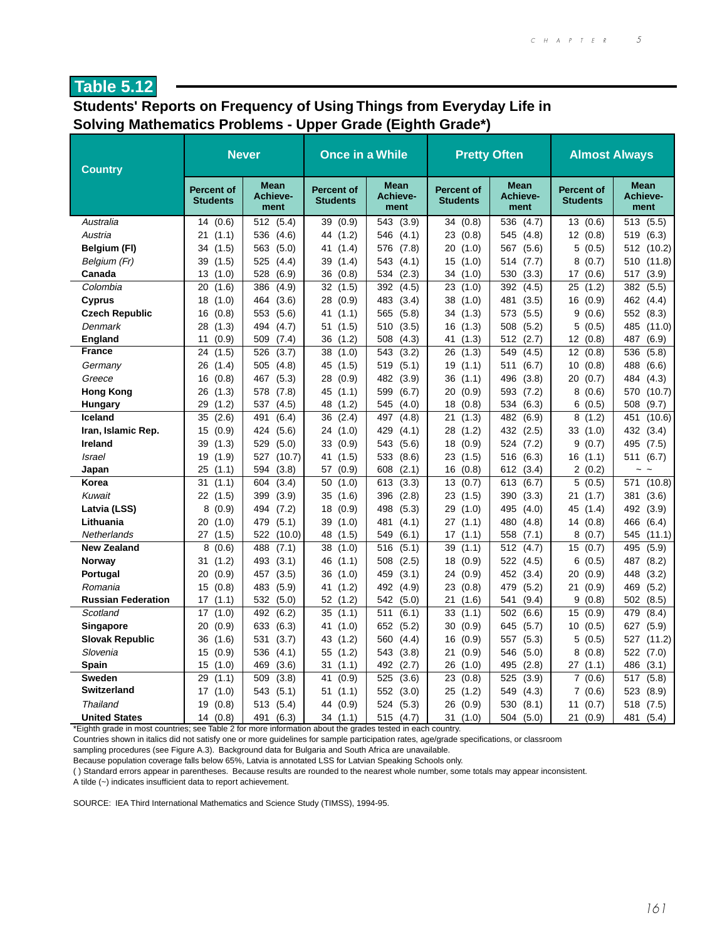# **Students' Reports on Frequency of Using Things from Everyday Life in Solving Mathematics Problems - Upper Grade (Eighth Grade\*)**

| <b>Country</b>            | <b>Never</b><br><b>Once in a While</b><br>Mean<br>Mean<br>Percent of<br><b>Percent of</b><br><b>Percent of</b><br>Achieve-<br><b>Achieve-</b><br><b>Students</b><br><b>Students</b><br><b>Students</b><br>ment<br>ment |               |             | <b>Pretty Often</b> | <b>Almost Always</b> |                                 |                                      |                           |
|---------------------------|------------------------------------------------------------------------------------------------------------------------------------------------------------------------------------------------------------------------|---------------|-------------|---------------------|----------------------|---------------------------------|--------------------------------------|---------------------------|
|                           |                                                                                                                                                                                                                        |               |             |                     |                      | Mean<br><b>Achieve-</b><br>ment | <b>Percent of</b><br><b>Students</b> | Mean<br>Achieve-<br>ment  |
| Australia                 | (0.6)                                                                                                                                                                                                                  | 512           | (0.9)       | (3.9)               | (0.8)                | 536                             | (0.6)                                | 513                       |
|                           | 14                                                                                                                                                                                                                     | (5.4)         | 39          | 543                 | 34                   | (4.7)                           | 13                                   | (5.5)                     |
| Austria                   | 21<br>(1.1)                                                                                                                                                                                                            | 536<br>(4.6)  | (1.2)<br>44 | 546<br>(4.1)        | 23<br>(0.8)          | 545<br>(4.8)                    | 12(0.8)                              | 519<br>(6.3)              |
| Belgium (FI)              | (1.5)<br>34                                                                                                                                                                                                            | (5.0)<br>563  | 41<br>(1.4) | (7.8)<br>576        | 20<br>(1.0)          | (5.6)<br>567                    | 5(0.5)                               | 512<br>(10.2)             |
| Belgium (Fr)              | 39<br>(1.5)                                                                                                                                                                                                            | 525<br>(4.4)  | 39<br>(1.4) | 543<br>(4.1)        | 15<br>(1.0)          | 514<br>(7.7)                    | 8(0.7)                               | 510<br>(11.8)             |
| Canada                    | 13                                                                                                                                                                                                                     | 528           | 36          | 534                 | 34                   | 530                             | 17                                   | (3.9)                     |
|                           | (1.0)                                                                                                                                                                                                                  | (6.9)         | (0.8)       | (2.3)               | (1.0)                | (3.3)                           | (0.6)                                | 517                       |
| Colombia                  | 20                                                                                                                                                                                                                     | 386           | 32          | 392                 | 23                   | 392                             | 25                                   | 382                       |
|                           | (1.6)                                                                                                                                                                                                                  | (4.9)         | (1.5)       | (4.5)               | (1.0)                | (4.5)                           | (1.2)                                | (5.5)                     |
| Cyprus                    | 18<br>(1.0)                                                                                                                                                                                                            | 464<br>(3.6)  | 28<br>(0.9) | 483<br>(3.4)        | 38<br>(1.0)          | 481<br>(3.5)                    | (0.9)<br>16                          | 462 (4.4)                 |
| <b>Czech Republic</b>     | (0.8)                                                                                                                                                                                                                  | 553           | 41          | (5.8)               | (1.3)                | (5.5)                           | 9                                    | 552                       |
|                           | 16                                                                                                                                                                                                                     | (5.6)         | (1.1)       | 565                 | 34                   | 573                             | (0.6)                                | (8.3)                     |
| Denmark                   | (1.3)                                                                                                                                                                                                                  | 494           | 51          | (3.5)               | 16                   | 508                             | 5                                    | 485                       |
|                           | 28                                                                                                                                                                                                                     | (4.7)         | (1.5)       | 510                 | (1.3)                | (5.2)                           | (0.5)                                | (11.0)                    |
| England                   | (0.9)<br>11                                                                                                                                                                                                            | 509<br>(7.4)  | 36<br>(1.2) | (4.3)<br>508        | 41<br>(1.3)          | (2.7)<br>512                    | 12(0.8)                              | 487<br>(6.9)              |
| <b>France</b>             | 24                                                                                                                                                                                                                     | 526           | 38          | 543                 | 26                   | (4.5)                           | 12                                   | 536                       |
|                           | (1.5)                                                                                                                                                                                                                  | (3.7)         | (1.0)       | (3.2)               | (1.3)                | 549                             | (0.8)                                | (5.8)                     |
| Germany                   | 26<br>(1.4)                                                                                                                                                                                                            | 505<br>(4.8)  | 45<br>(1.5) | 519<br>(5.1)        | 19<br>(1.1)          | (6.7)<br>511                    | 10 (0.8)                             | 488<br>(6.6)              |
| Greece                    | (0.8)                                                                                                                                                                                                                  | (5.3)         | 28          | 482                 | 36                   | (3.8)                           | (0.7)                                | (4.3)                     |
|                           | 16                                                                                                                                                                                                                     | 467           | (0.9)       | (3.9)               | (1.1)                | 496                             | 20                                   | 484                       |
| <b>Hong Kong</b>          | (1.3)                                                                                                                                                                                                                  | 578           | 45          | 599                 | (0.9)                | (7.2)                           | 8                                    | 570                       |
|                           | 26                                                                                                                                                                                                                     | (7.8)         | (1.1)       | (6.7)               | 20                   | 593                             | (0.6)                                | (10.7)                    |
| Hungary                   | 29                                                                                                                                                                                                                     | 537           | 48          | 545                 | 18                   | 534                             | 6                                    | 508                       |
|                           | (1.2)                                                                                                                                                                                                                  | (4.5)         | (1.2)       | (4.0)               | (0.8)                | (6.3)                           | (0.5)                                | (9.7)                     |
| Iceland                   | (2.6)                                                                                                                                                                                                                  | 491           | (2.4)       | (4.8)               | 21                   | 482                             | 8                                    | (10.6)                    |
|                           | 35                                                                                                                                                                                                                     | (6.4)         | 36          | 497                 | (1.3)                | (6.9)                           | (1.2)                                | 451                       |
| Iran, Islamic Rep.        | (0.9)                                                                                                                                                                                                                  | 424           | (1.0)       | 429                 | 28                   | 432                             | 33                                   | 432                       |
|                           | 15                                                                                                                                                                                                                     | (5.6)         | 24          | (4.1)               | (1.2)                | (2.5)                           | (1.0)                                | (3.4)                     |
| <b>Ireland</b>            | 39<br>(1.3)                                                                                                                                                                                                            | 529<br>(5.0)  | 33<br>(0.9) | 543<br>(5.6)        | 18<br>(0.9)          | 524<br>(7.2)                    | 9(0.7)                               | 495<br>(7.5)              |
| <b>Israel</b>             | 19<br>(1.9)                                                                                                                                                                                                            | 527<br>(10.7) | 41<br>(1.5) | 533<br>(8.6)        | 23<br>(1.5)          | 516<br>(6.3)                    | 16(1.1)                              | (6.7)<br>511              |
| Japan                     | 25<br>(1.1)                                                                                                                                                                                                            | 594<br>(3.8)  | 57<br>(0.9) | 608<br>(2.1)        | 16<br>(0.8)          | 612<br>(3.4)                    | 2(0.2)                               | $\widetilde{\phantom{m}}$ |
| Korea                     | 31<br>(1.1)                                                                                                                                                                                                            | 604<br>(3.4)  | 50<br>(1.0) | 613<br>(3.3)        | 13<br>(0.7)          | 613<br>(6.7)                    | 5(0.5)                               | (10.8)<br>571             |
| Kuwait                    | 22                                                                                                                                                                                                                     | 399           | 35          | 396                 | 23                   | (3.3)                           | 21                                   | 381                       |
|                           | (1.5)                                                                                                                                                                                                                  | (3.9)         | (1.6)       | (2.8)               | (1.5)                | 390                             | (1.7)                                | (3.6)                     |
| Latvia (LSS)              | (0.9)                                                                                                                                                                                                                  | 494           | 18          | 498                 | 29                   | 495                             | 45                                   | 492                       |
|                           | 8                                                                                                                                                                                                                      | (7.2)         | (0.9)       | (5.3)               | (1.0)                | (4.0)                           | (1.4)                                | (3.9)                     |
| Lithuania                 | 20<br>(1.0)                                                                                                                                                                                                            | 479<br>(5.1)  | 39<br>(1.0) | 481<br>(4.1)        | 27<br>(1.1)          | 480<br>(4.8)                    | 14(0.8)                              | 466<br>(6.4)              |
| Netherlands               | 27                                                                                                                                                                                                                     | 522           | 48          | 549                 | 17                   | (7.1)                           | 8                                    | 545                       |
|                           | (1.5)                                                                                                                                                                                                                  | (10.0)        | (1.5)       | (6.1)               | (1.1)                | 558                             | (0.7)                                | (11.1)                    |
| <b>New Zealand</b>        | 8                                                                                                                                                                                                                      | 488           | 38          | (5.1)               | 39                   | 512                             | 15                                   | 495                       |
|                           | (0.6)                                                                                                                                                                                                                  | (7.1)         | (1.0)       | 516                 | (1.1)                | (4.7)                           | (0.7)                                | (5.9)                     |
| Norway                    | (1.2)<br>31                                                                                                                                                                                                            | (3.1)<br>493  | 46<br>(1.1) | 508<br>(2.5)        | 18<br>(0.9)          | 522<br>(4.5)                    | 6(0.5)                               | 487<br>(8.2)              |
| Portugal                  | (0.9)                                                                                                                                                                                                                  | (3.5)         | 36          | (3.1)               | 24                   | 452                             | 20                                   | (3.2)                     |
|                           | 20                                                                                                                                                                                                                     | 457           | (1.0)       | 459                 | (0.9)                | (3.4)                           | (0.9)                                | 448                       |
| Romania                   | 15                                                                                                                                                                                                                     | 483           | (1.2)       | 492                 | 23                   | 479                             | 21                                   | 469                       |
|                           | (0.8)                                                                                                                                                                                                                  | (5.9)         | 41          | (4.9)               | (0.8)                | (5.2)                           | (0.9)                                | (5.2)                     |
| <b>Russian Federation</b> | 17                                                                                                                                                                                                                     | (5.0)         | (1.2)       | (5.0)               | 21                   | (9.4)                           | 9                                    | 502                       |
|                           | (1.1)                                                                                                                                                                                                                  | 532           | 52          | 542                 | (1.6)                | 541                             | (0.8)                                | (8.5)                     |
| Scotland                  | 17                                                                                                                                                                                                                     | 492           | 35          | 511                 | 33                   | 502                             | 15                                   | 479                       |
|                           | (1.0)                                                                                                                                                                                                                  | (6.2)         | (1.1)       | (6.1)               | (1.1)                | (6.6)                           | (0.9)                                | (8.4)                     |
| Singapore                 | 20                                                                                                                                                                                                                     | (6.3)         | 41          | (5.2)               | 30                   | 645                             | 10                                   | (5.9)                     |
|                           | (0.9)                                                                                                                                                                                                                  | 633           | (1.0)       | 652                 | (0.9)                | (5.7)                           | (0.5)                                | 627                       |
| <b>Slovak Republic</b>    | (1.6)<br>36                                                                                                                                                                                                            | (3.7)<br>531  | 43<br>(1.2) | 560<br>(4.4)        | 16<br>(0.9)          | (5.3)<br>557                    | 5(0.5)                               | 527<br>(11.2)             |
| Slovenia                  | 15                                                                                                                                                                                                                     | 536           | 55          | 543                 | 21                   | 546                             | 8                                    | 522                       |
|                           | (0.9)                                                                                                                                                                                                                  | (4.1)         | (1.2)       | (3.8)               | (0.9)                | (5.0)                           | (0.8)                                | (7.0)                     |
| Spain                     | 15<br>(1.0)                                                                                                                                                                                                            | (3.6)<br>469  | 31<br>(1.1) | (2.7)<br>492        | 26<br>(1.0)          | (2.8)<br>495                    | 27 (1.1)                             | 486<br>(3.1)              |
| <b>Sweden</b>             | 29                                                                                                                                                                                                                     | 509           | 41          | 525                 | 23                   | 525                             | $\overline{7}$                       | (5.8)                     |
|                           | (1.1)                                                                                                                                                                                                                  | (3.8)         | (0.9)       | (3.6)               | (0.8)                | (3.9)                           | (0.6)                                | 517                       |
| <b>Switzerland</b>        | 17<br>(1.0)                                                                                                                                                                                                            | 543<br>(5.1)  | 51<br>(1.1) | 552<br>(3.0)        | 25<br>(1.2)          | 549<br>(4.3)                    | 7(0.6)                               | (8.9)<br>523              |
| <b>Thailand</b>           | 19                                                                                                                                                                                                                     | (5.4)         | 44          | (5.3)               | 26                   | 530                             | 11                                   | (7.5)                     |
|                           | (0.8)                                                                                                                                                                                                                  | 513           | (0.9)       | 524                 | (0.9)                | (8.1)                           | (0.7)                                | 518                       |
| <b>United States</b>      | (0.8)                                                                                                                                                                                                                  | 491           | 34          | 515                 | 31                   | (5.0)                           | 21                                   | (5.4)                     |
|                           | 14                                                                                                                                                                                                                     | (6.3)         | (1.1)       | (4.7)               | (1.0)                | 504                             | (0.9)                                | 481                       |

\*Eighth grade in most countries; see Table 2 for more information about the grades tested in each country.

Countries shown in italics did not satisfy one or more guidelines for sample participation rates, age/grade specifications, or classroom

sampling procedures (see Figure A.3). Background data for Bulgaria and South Africa are unavailable.

Because population coverage falls below 65%, Latvia is annotated LSS for Latvian Speaking Schools only.

( ) Standard errors appear in parentheses. Because results are rounded to the nearest whole number, some totals may appear inconsistent.

A tilde (~) indicates insufficient data to report achievement.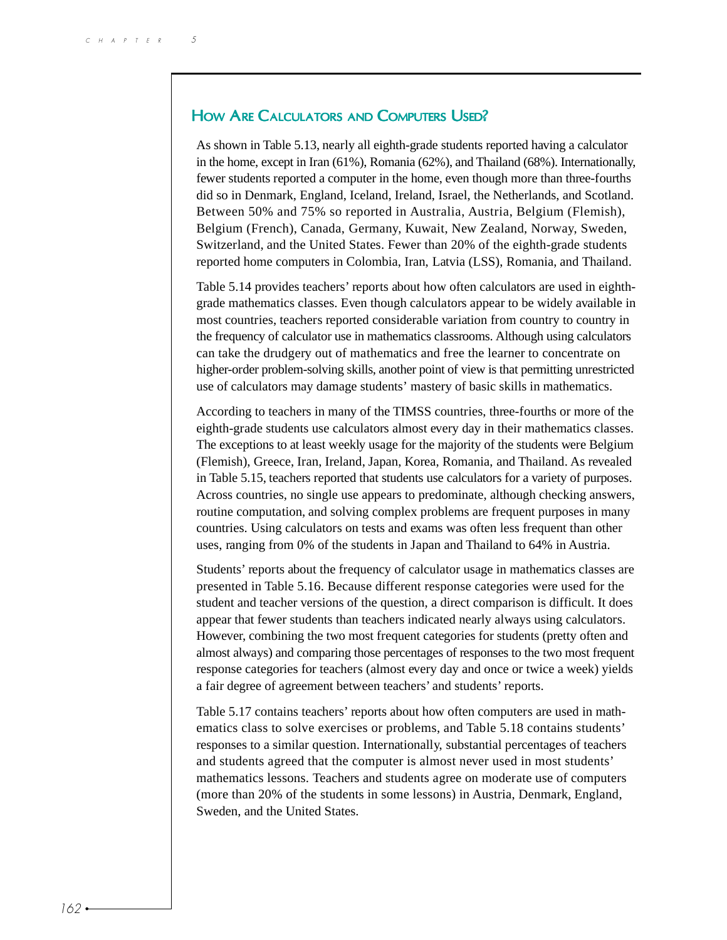#### HOW ARE CALCULATORS AND COMPUTERS USED?

As shown in Table 5.13, nearly all eighth-grade students reported having a calculator in the home, except in Iran (61%), Romania (62%), and Thailand (68%). Internationally, fewer students reported a computer in the home, even though more than three-fourths did so in Denmark, England, Iceland, Ireland, Israel, the Netherlands, and Scotland. Between 50% and 75% so reported in Australia, Austria, Belgium (Flemish), Belgium (French), Canada, Germany, Kuwait, New Zealand, Norway, Sweden, Switzerland, and the United States. Fewer than 20% of the eighth-grade students reported home computers in Colombia, Iran, Latvia (LSS), Romania, and Thailand.

Table 5.14 provides teachers' reports about how often calculators are used in eighthgrade mathematics classes. Even though calculators appear to be widely available in most countries, teachers reported considerable variation from country to country in the frequency of calculator use in mathematics classrooms. Although using calculators can take the drudgery out of mathematics and free the learner to concentrate on higher-order problem-solving skills, another point of view is that permitting unrestricted use of calculators may damage students' mastery of basic skills in mathematics.

According to teachers in many of the TIMSS countries, three-fourths or more of the eighth-grade students use calculators almost every day in their mathematics classes. The exceptions to at least weekly usage for the majority of the students were Belgium (Flemish), Greece, Iran, Ireland, Japan, Korea, Romania, and Thailand. As revealed in Table 5.15, teachers reported that students use calculators for a variety of purposes. Across countries, no single use appears to predominate, although checking answers, routine computation, and solving complex problems are frequent purposes in many countries. Using calculators on tests and exams was often less frequent than other uses, ranging from 0% of the students in Japan and Thailand to 64% in Austria.

Students' reports about the frequency of calculator usage in mathematics classes are presented in Table 5.16. Because different response categories were used for the student and teacher versions of the question, a direct comparison is difficult. It does appear that fewer students than teachers indicated nearly always using calculators. However, combining the two most frequent categories for students (pretty often and almost always) and comparing those percentages of responses to the two most frequent response categories for teachers (almost every day and once or twice a week) yields a fair degree of agreement between teachers' and students' reports.

Table 5.17 contains teachers' reports about how often computers are used in mathematics class to solve exercises or problems, and Table 5.18 contains students' responses to a similar question. Internationally, substantial percentages of teachers and students agreed that the computer is almost never used in most students' mathematics lessons. Teachers and students agree on moderate use of computers (more than 20% of the students in some lessons) in Austria, Denmark, England, Sweden, and the United States.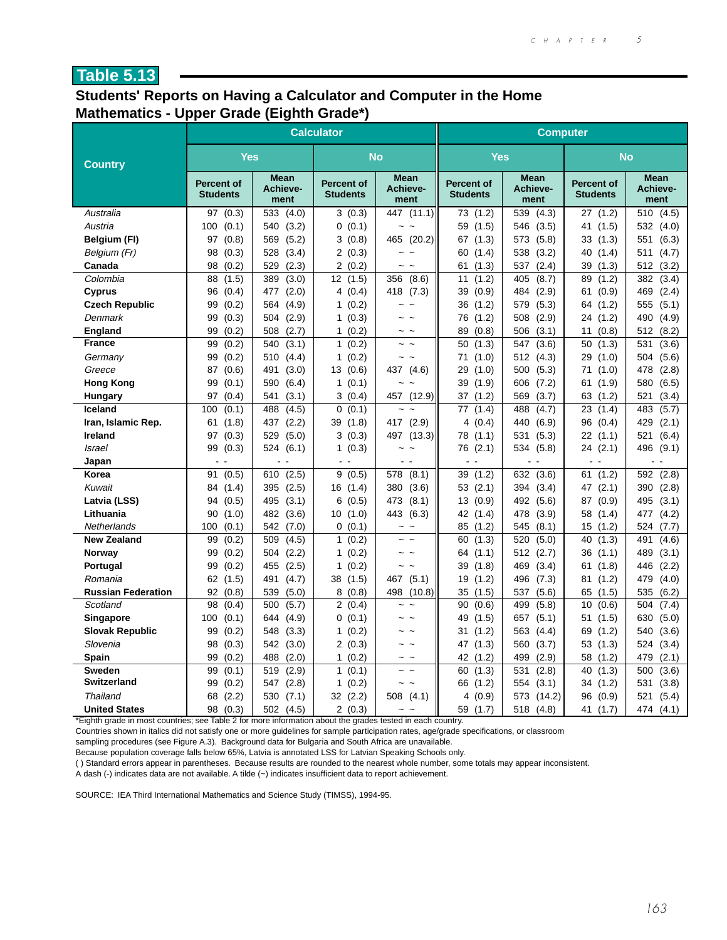### **Students' Reports on Having a Calculator and Computer in the Home Mathematics - Upper Grade (Eighth Grade\*)**

|                                                                                                                                    |                                      |                                        | <b>Calculator</b>                    |                                                   | <b>Computer</b>                      |                                 |                                      |                                        |  |  |
|------------------------------------------------------------------------------------------------------------------------------------|--------------------------------------|----------------------------------------|--------------------------------------|---------------------------------------------------|--------------------------------------|---------------------------------|--------------------------------------|----------------------------------------|--|--|
| <b>Country</b>                                                                                                                     | <b>Yes</b>                           |                                        | <b>No</b>                            |                                                   | <b>Yes</b>                           |                                 |                                      | <b>No</b>                              |  |  |
|                                                                                                                                    | <b>Percent of</b><br><b>Students</b> | <b>Mean</b><br><b>Achieve-</b><br>ment | <b>Percent of</b><br><b>Students</b> | Mean<br>Achieve-<br>ment                          | <b>Percent of</b><br><b>Students</b> | <b>Mean</b><br>Achieve-<br>ment | <b>Percent of</b><br><b>Students</b> | <b>Mean</b><br><b>Achieve-</b><br>ment |  |  |
| Australia                                                                                                                          | 97<br>(0.3)                          | 533<br>(4.0)                           | 3(0.3)                               | 447<br>(11.1)                                     | 73 (1.2)                             | 539<br>(4.3)                    | (1.2)<br>27                          | 510<br>(4.5)                           |  |  |
| Austria                                                                                                                            | 100<br>(0.1)                         | (3.2)<br>540                           | 0(0.1)                               |                                                   | 59<br>(1.5)                          | 546<br>(3.5)                    | 41<br>(1.5)                          | 532<br>(4.0)                           |  |  |
| Belgium (FI)                                                                                                                       | 97<br>(0.8)                          | (5.2)<br>569                           | 3(0.8)                               | 465<br>(20.2)                                     | 67<br>(1.3)                          | (5.8)<br>573                    | 33<br>(1.3)                          | 551<br>(6.3)                           |  |  |
| Belgium (Fr)                                                                                                                       | 98<br>(0.3)                          | 528<br>(3.4)                           | 2(0.3)                               |                                                   | 60<br>(1.4)                          | 538<br>(3.2)                    | 40<br>(1.4)                          | 511<br>(4.7)                           |  |  |
| Canada                                                                                                                             | 98<br>(0.2)                          | 529<br>(2.3)                           | 2 (0.2)                              | $\sim$                                            | 61<br>(1.3)                          | (2.4)<br>537                    | 39<br>(1.3)                          | 512<br>(3.2)                           |  |  |
| Colombia                                                                                                                           | 88<br>(1.5)                          | (3.0)<br>389                           | 12 <sup>°</sup><br>(1.5)             | 356<br>(8.6)                                      | (1.2)<br>11                          | (8.7)<br>405                    | (1.2)<br>89                          | 382<br>(3.4)                           |  |  |
| <b>Cyprus</b>                                                                                                                      | 96<br>(0.4)                          | 477<br>(2.0)                           | 4 (0.4)                              | 418<br>(7.3)                                      | 39<br>(0.9)                          | 484<br>(2.9)                    | (0.9)<br>61                          | 469<br>(2.4)                           |  |  |
| <b>Czech Republic</b>                                                                                                              | 99<br>(0.2)                          | (4.9)<br>564                           | 1<br>(0.2)                           |                                                   | 36<br>(1.2)                          | (5.3)<br>579                    | 64<br>(1.2)                          | (5.1)<br>555                           |  |  |
| Denmark                                                                                                                            | 99<br>(0.3)                          | 504<br>(2.9)                           | (0.3)<br>1                           |                                                   | 76<br>(1.2)                          | 508<br>(2.9)                    | 24<br>(1.2)                          | 490<br>(4.9)                           |  |  |
| England                                                                                                                            | 99<br>(0.2)                          | 508<br>(2.7)                           | (0.2)<br>1.                          | $\sim$<br>÷                                       | 89<br>(0.8)                          | 506<br>(3.1)                    | (0.8)<br>11                          | 512<br>(8.2)                           |  |  |
| <b>France</b>                                                                                                                      | 99<br>(0.2)                          | 540<br>(3.1)                           | 1<br>(0.2)                           | $\sim$<br>$\sim$                                  | 50<br>(1.3)                          | 547<br>(3.6)                    | 50<br>(1.3)                          | 531<br>(3.6)                           |  |  |
| Germany                                                                                                                            | 99<br>(0.2)                          | 510<br>(4.4)                           | 1 $(0.2)$                            | ∼<br>$\ddot{\phantom{1}}$                         | 71<br>(1.0)                          | 512<br>(4.3)                    | 29<br>(1.0)                          | 504<br>(5.6)                           |  |  |
| Greece                                                                                                                             | 87<br>(0.6)                          | 491<br>(3.0)                           | 13(0.6)                              | 437 (4.6)                                         | 29<br>(1.0)                          | 500<br>(5.3)                    | (1.0)<br>71                          | (2.8)<br>478                           |  |  |
| <b>Hong Kong</b>                                                                                                                   | 99<br>(0.1)                          | 590<br>(6.4)                           | (0.1)<br>1                           |                                                   | 39<br>(1.9)                          | 606<br>(7.2)                    | 61<br>(1.9)                          | 580<br>(6.5)                           |  |  |
| <b>Hungary</b>                                                                                                                     | 97<br>(0.4)                          | 541<br>(3.1)                           | 3 (0.4)                              | 457 (12.9)                                        | 37<br>(1.2)                          | (3.7)<br>569                    | 63<br>(1.2)                          | 521<br>(3.4)                           |  |  |
| <b>Iceland</b>                                                                                                                     | 100<br>(0.1)                         | 488<br>(4.5)                           | 0<br>(0.1)                           |                                                   | 77<br>(1.4)                          | 488<br>(4.7)                    | 23<br>(1.4)                          | 483<br>(5.7)                           |  |  |
| Iran, Islamic Rep.                                                                                                                 | (1.8)<br>61                          | 437<br>(2.2)                           | 39 (1.8)                             | 417 (2.9)                                         | 4<br>(0.4)                           | 440<br>(6.9)                    | (0.4)<br>96                          | 429<br>(2.1)                           |  |  |
| Ireland                                                                                                                            | 97<br>(0.3)                          | 529<br>(5.0)                           | 3(0.3)                               | 497 (13.3)                                        | (1.1)<br>78                          | 531<br>(5.3)                    | 22 (1.1)                             | 521<br>(6.4)                           |  |  |
| <b>Israel</b>                                                                                                                      | 99<br>(0.3)                          | 524<br>(6.1)                           | 1(0.3)                               | ∼<br>$\ddot{\phantom{1}}$                         | 76<br>(2.1)                          | 534<br>(5.8)                    | 24 (2.1)                             | 496<br>(9.1)                           |  |  |
| Japan                                                                                                                              |                                      |                                        | $\sim$ $\sim$                        |                                                   |                                      |                                 |                                      |                                        |  |  |
| Korea                                                                                                                              | 91<br>(0.5)                          | 610<br>(2.5)                           | 9(0.5)                               | (8.1)<br>578                                      | (1.2)<br>39                          | 632<br>(3.6)                    | 61<br>(1.2)                          | 592 (2.8)                              |  |  |
| Kuwait                                                                                                                             | 84<br>(1.4)                          | (2.5)<br>395                           | 16(1.4)                              | (3.6)<br>380                                      | (2.1)<br>53                          | 394<br>(3.4)                    | (2.1)<br>47                          | 390<br>(2.8)                           |  |  |
| Latvia (LSS)                                                                                                                       | 94 (0.5)                             | 495<br>(3.1)                           | 6 (0.5)                              | 473<br>(8.1)                                      | (0.9)<br>13                          | 492<br>(5.6)                    | (0.9)<br>87                          | 495<br>(3.1)                           |  |  |
| Lithuania                                                                                                                          | 90<br>(1.0)                          | 482<br>(3.6)                           | (1.0)<br>10                          | 443<br>(6.3)                                      | 42<br>(1.4)                          | 478<br>(3.9)                    | 58<br>(1.4)                          | 477<br>(4.2)                           |  |  |
| Netherlands                                                                                                                        | 100<br>(0.1)                         | 542<br>(7.0)                           | 0<br>(0.1)                           | $\overline{\phantom{a}}$<br>$\tilde{\phantom{a}}$ | 85<br>(1.2)                          | 545<br>(8.1)                    | 15<br>(1.2)                          | 524<br>(7.7)                           |  |  |
| <b>New Zealand</b>                                                                                                                 | 99<br>(0.2)                          | 509<br>(4.5)                           | (0.2)<br>1                           | $\sim$                                            | (1.3)<br>60                          | 520<br>(5.0)                    | 40<br>(1.3)                          | 491<br>(4.6)                           |  |  |
| Norway                                                                                                                             | 99<br>(0.2)                          | (2.2)<br>504                           | (0.2)<br>1.                          | $\overline{\phantom{a}}$                          | 64<br>(1.1)                          | 512<br>(2.7)                    | 36<br>(1.1)                          | 489<br>(3.1)                           |  |  |
| Portugal                                                                                                                           | (0.2)<br>99                          | (2.5)<br>455                           | 1 $(0.2)$                            | $\ddot{\phantom{1}}$                              | 39<br>(1.8)                          | 469<br>(3.4)                    | 61<br>(1.8)                          | 446<br>(2.2)                           |  |  |
| Romania                                                                                                                            | 62 (1.5)                             | 491<br>(4.7)                           | 38<br>(1.5)                          | (5.1)<br>467                                      | 19<br>(1.2)                          | 496<br>(7.3)                    | 81<br>(1.2)                          | 479<br>(4.0)                           |  |  |
| <b>Russian Federation</b>                                                                                                          | 92<br>(0.8)                          | (5.0)<br>539                           | 8(0.8)                               | 498<br>(10.8)                                     | (1.5)<br>35                          | 537<br>(5.6)                    | (1.5)<br>65                          | 535<br>(6.2)                           |  |  |
| Scotland                                                                                                                           | 98<br>(0.4)                          | 500<br>(5.7)                           | 2(0.4)                               |                                                   | 90<br>(0.6)                          | 499<br>(5.8)                    | 10<br>(0.6)                          | 504<br>(7.4)                           |  |  |
| <b>Singapore</b>                                                                                                                   | 100<br>(0.1)                         | 644<br>(4.9)                           | 0<br>(0.1)                           |                                                   | 49<br>(1.5)                          | (5.1)<br>657                    | 51<br>(1.5)                          | 630<br>(5.0)                           |  |  |
| <b>Slovak Republic</b>                                                                                                             | 99<br>(0.2)                          | 548<br>(3.3)                           | 1 $(0.2)$                            |                                                   | (1.2)<br>31                          | 563<br>(4.4)                    | (1.2)<br>69                          | (3.6)<br>540                           |  |  |
| Slovenia                                                                                                                           | 98<br>(0.3)                          | 542<br>(3.0)                           | 2 (0.3)                              | $\sim$                                            | 47<br>(1.3)                          | (3.7)<br>560                    | 53<br>(1.3)                          | (3.4)<br>524                           |  |  |
| <b>Spain</b>                                                                                                                       | 99<br>(0.2)                          | 488<br>(2.0)                           | (0.2)<br>1                           | $\sim$<br>$\sim$                                  | 42<br>(1.2)                          | 499<br>(2.9)                    | 58<br>(1.2)                          | 479<br>(2.1)                           |  |  |
| <b>Sweden</b>                                                                                                                      | 99<br>(0.1)                          | 519<br>(2.9)                           | 1<br>(0.1)                           |                                                   | 60<br>(1.3)                          | 531<br>(2.8)                    | 40<br>(1.3)                          | 500<br>(3.6)                           |  |  |
| <b>Switzerland</b>                                                                                                                 | 99<br>(0.2)                          | (2.8)<br>547                           | (0.2)<br>1                           |                                                   | 66<br>(1.2)                          | (3.1)<br>554                    | (1.2)<br>34                          | (3.8)<br>531                           |  |  |
| Thailand                                                                                                                           | 68<br>(2.2)                          | 530<br>(7.1)                           | 32 (2.2)                             | 508<br>(4.1)                                      | (0.9)<br>4                           | (14.2)<br>573                   | 96<br>(0.9)                          | (5.4)<br>521                           |  |  |
| <b>United States</b><br>*Eighth grade in most countries: see Table 2 for more information about the grades tested in each country. | 98 (0.3)                             | 502 (4.5)                              | 2(0.3)                               | $\sim$<br>÷                                       | 59<br>(1.7)                          | 518<br>(4.8)                    | (1.7)<br>41                          | 474<br>(4.1)                           |  |  |

Countries shown in italics did not satisfy one or more guidelines for sample participation rates, age/grade specifications, or classroom

sampling procedures (see Figure A.3). Background data for Bulgaria and South Africa are unavailable.

Because population coverage falls below 65%, Latvia is annotated LSS for Latvian Speaking Schools only.

( ) Standard errors appear in parentheses. Because results are rounded to the nearest whole number, some totals may appear inconsistent.

A dash (-) indicates data are not available. A tilde (~) indicates insufficient data to report achievement.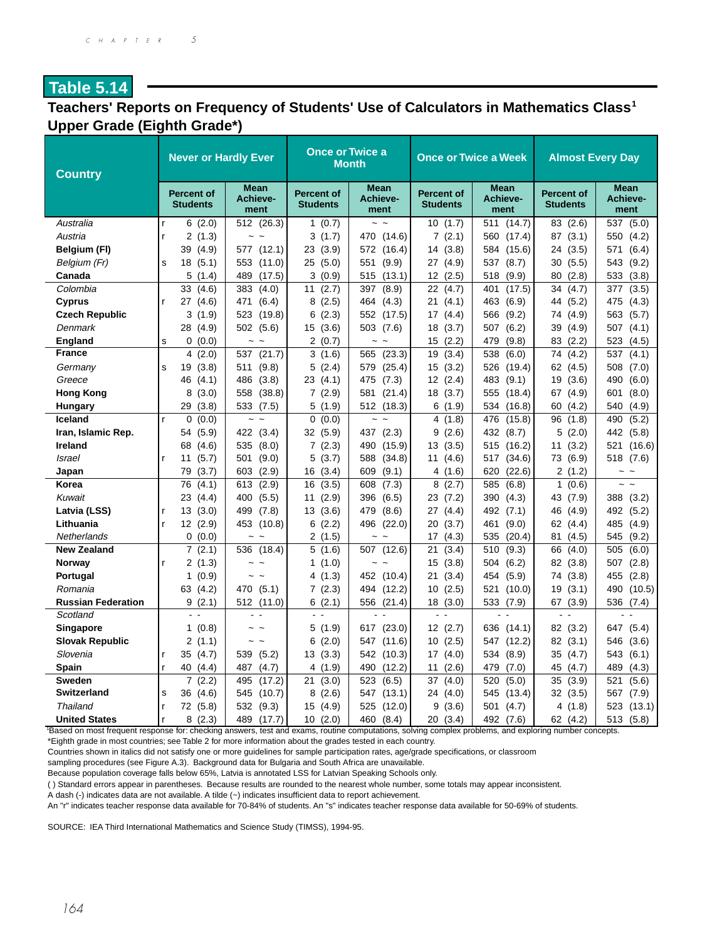### **Teachers' Reports on Frequency of Students' Use of Calculators in Mathematics Class1 Upper Grade (Eighth Grade\*)**

| <b>Country</b>            | <b>Never or Hardly Ever</b>                                             | <b>Once or Twice a</b><br><b>Month</b>                           | <b>Once or Twice a Week</b>                                             | <b>Almost Every Day</b>                                                        |  |  |  |
|---------------------------|-------------------------------------------------------------------------|------------------------------------------------------------------|-------------------------------------------------------------------------|--------------------------------------------------------------------------------|--|--|--|
|                           | Mean<br><b>Percent of</b><br><b>Achieve-</b><br><b>Students</b><br>ment | Mean<br>Percent of<br><b>Achieve-</b><br><b>Students</b><br>ment | <b>Mean</b><br><b>Percent of</b><br>Achieve-<br><b>Students</b><br>ment | <b>Mean</b><br><b>Percent of</b><br><b>Achieve-</b><br><b>Students</b><br>ment |  |  |  |
| Australia                 | 6(2.0)<br>512 (26.3)<br>$\mathsf{r}$                                    | 1(0.7)<br>$\sim$ $\sim$                                          | 10(1.7)<br>511<br>(14.7)                                                | (2.6)<br>537<br>83<br>(5.0)                                                    |  |  |  |
| Austria                   | 2(1.3)<br>r<br>$\tilde{\phantom{a}}$                                    | 470<br>3<br>(1.7)<br>(14.6)                                      | (2.1)<br>$\overline{7}$<br>560<br>(17.4)                                | (3.1)<br>87<br>550<br>(4.2)                                                    |  |  |  |
| Belgium (FI)              | 39<br>(4.9)<br>577<br>(12.1)                                            | 23<br>(3.9)<br>572<br>(16.4)                                     | (3.8)<br>584<br>(15.6)<br>14                                            | (3.5)<br>24<br>571<br>(6.4)                                                    |  |  |  |
| Belgium (Fr)              | (5.1)<br>553 (11.0)<br>s<br>18                                          | 25<br>(5.0)<br>551<br>(9.9)                                      | (4.9)<br>537<br>(8.7)<br>27                                             | 30<br>(5.5)<br>543<br>(9.2)                                                    |  |  |  |
| Canada                    | 5<br>489<br>(1.4)<br>(17.5)                                             | 3(0.9)<br>(13.1)<br>515                                          | 12<br>(2.5)<br>518<br>(9.9)                                             | 80<br>(2.8)<br>533<br>(3.8)                                                    |  |  |  |
| Colombia                  | 383<br>33<br>(4.6)<br>(4.0)                                             | (2.7)<br>11<br>397<br>(8.9)                                      | 22<br>(4.7)<br>401<br>(17.5)                                            | 34<br>(4.7)<br>377<br>(3.5)                                                    |  |  |  |
| Cyprus                    | (6.4)<br>27<br>(4.6)<br>471                                             | 8(2.5)<br>464<br>(4.3)                                           | 21<br>(4.1)<br>463<br>(6.9)                                             | (5.2)<br>44<br>475<br>(4.3)                                                    |  |  |  |
| <b>Czech Republic</b>     | 3<br>(1.9)<br>523<br>(19.8)                                             | 6<br>(2.3)<br>552<br>(17.5)                                      | (4.4)<br>566<br>(9.2)<br>17                                             | (4.9)<br>563<br>(5.7)<br>74                                                    |  |  |  |
| Denmark                   | 28<br>(4.9)<br>502 (5.6)                                                | 15(3.6)<br>503 (7.6)                                             | (6.2)<br>18<br>(3.7)<br>507                                             | 39<br>(4.9)<br>507<br>(4.1)                                                    |  |  |  |
| England                   | (0.0)<br>0<br>S<br>$\sim$                                               | 2(0.7)<br>$\tilde{}$<br>$\sim$                                   | (2.2)<br>479<br>(9.8)<br>15                                             | (2.2)<br>83<br>523<br>(4.5)                                                    |  |  |  |
| <b>France</b>             | (21.7)<br>4<br>(2.0)<br>537                                             | (23.3)<br>3<br>(1.6)<br>565                                      | 19<br>(3.4)<br>538<br>(6.0)                                             | 74<br>(4.2)<br>537<br>(4.1)                                                    |  |  |  |
| Germany                   | s<br>19<br>(3.8)<br>(9.8)<br>511                                        | 5(2.4)<br>579<br>(25.4)                                          | (3.2)<br>526<br>(19.4)<br>15                                            | 62 (4.5)<br>508<br>(7.0)                                                       |  |  |  |
| Greece                    | (4.1)<br>486<br>(3.8)<br>46                                             | 23(4.1)<br>475<br>(7.3)                                          | (2.4)<br>483<br>(9.1)<br>12                                             | 19<br>(3.6)<br>490<br>(6.0)                                                    |  |  |  |
| <b>Hong Kong</b>          | (38.8)<br>8<br>(3.0)<br>558                                             | 7(2.9)<br>581<br>(21.4)                                          | 18<br>(3.7)<br>555<br>(18.4)                                            | 67<br>(4.9)<br>601<br>(8.0)                                                    |  |  |  |
| <b>Hungary</b>            | (3.8)<br>29<br>533 (7.5)                                                | 512 (18.3)<br>5 (1.9)                                            | 6<br>(1.9)<br>534<br>(16.8)                                             | 60<br>(4.2)<br>540<br>(4.9)                                                    |  |  |  |
| <b>Iceland</b>            | $\mathbf{r}$<br>(0.0)<br>0<br>$\overline{\phantom{a}}$<br>$\sim$        | 0<br>(0.0)<br>$\overline{\phantom{a}}$<br>$\sim$                 | 4<br>(1.8)<br>476<br>(15.8)                                             | 96<br>(1.8)<br>(5.2)<br>490                                                    |  |  |  |
| Iran, Islamic Rep.        | (5.9)<br>422 (3.4)<br>54                                                | 32 (5.9)<br>437 (2.3)                                            | 9<br>(2.6)<br>432<br>(8.7)                                              | (2.0)<br>442<br>5<br>(5.8)                                                     |  |  |  |
| Ireland                   | 535 (8.0)<br>68<br>(4.6)                                                | 7(2.3)<br>490<br>(15.9)                                          | 515<br>13<br>(3.5)<br>(16.2)                                            | (3.2)<br>521<br>11<br>(16.6)                                                   |  |  |  |
| Israel                    | (5.7)<br>(9.0)<br>$\mathsf{r}$<br>11<br>501                             | 5(3.7)<br>588<br>(34.8)                                          | 517<br>(34.6)<br>11<br>(4.6)                                            | 73<br>(6.9)<br>518<br>(7.6)                                                    |  |  |  |
| Japan                     | 79<br>(3.7)<br>603<br>(2.9)                                             | 16<br>(3.4)<br>609<br>(9.1)                                      | (22.6)<br>(1.6)<br>620<br>4                                             | 2 (1.2)<br>$\sim$ $\sim$                                                       |  |  |  |
| Korea                     | (2.9)<br>76<br>(4.1)<br>613                                             | 16<br>(3.5)<br>608<br>(7.3)                                      | 8<br>(2.7)<br>585<br>(6.8)                                              | $\mathbf{1}$<br>(0.6)<br>$\sim$ $\sim$                                         |  |  |  |
| Kuwait                    | 23<br>(5.5)<br>(4.4)<br>400                                             | (2.9)<br>396<br>(6.5)<br>11                                      | 23<br>(7.2)<br>390<br>(4.3)                                             | 43<br>388<br>(7.9)<br>(3.2)                                                    |  |  |  |
| Latvia (LSS)              | (3.0)<br>13<br>499<br>(7.8)<br>r                                        | 13(3.6)<br>479<br>(8.6)                                          | 27<br>(4.4)<br>492<br>(7.1)                                             | 46<br>(4.9)<br>492<br>(5.2)                                                    |  |  |  |
| Lithuania                 | 12(2.9)<br>$\mathsf{r}$<br>453 (10.8)                                   | 6(2.2)<br>496 (22.0)                                             | (3.7)<br>461<br>(9.0)<br>20                                             | 62 (4.4)<br>485<br>(4.9)                                                       |  |  |  |
| Netherlands               | 0<br>(0.0)<br>$\ddot{ }$                                                | 2(1.5)<br>$\overline{\phantom{a}}$                               | (20.4)<br>(4.3)<br>535<br>17                                            | 81<br>(4.5)<br>545<br>(9.2)                                                    |  |  |  |
| <b>New Zealand</b>        | 7(2.1)<br>536 (18.4)                                                    | 5(1.6)<br>507 (12.6)                                             | 21<br>(3.4)<br>510<br>(9.3)                                             | (4.0)<br>505<br>(6.0)<br>66                                                    |  |  |  |
| <b>Norway</b>             | 2(1.3)<br>r<br>$\tilde{\phantom{a}}$                                    | 1(1.0)<br>$\tilde{\phantom{a}}$                                  | (3.8)<br>15<br>504<br>(6.2)                                             | 82<br>(3.8)<br>507<br>(2.8)                                                    |  |  |  |
| Portugal                  | 1<br>(0.9)<br>$\overline{ }$<br>$\ddot{\phantom{0}}$                    | 4(1.3)<br>452 (10.4)                                             | (3.4)<br>(5.9)<br>21<br>454                                             | (3.8)<br>74<br>455<br>(2.8)                                                    |  |  |  |
| Romania                   | 63 (4.2)<br>470 (5.1)                                                   | 7(2.3)<br>494 (12.2)                                             | (2.5)<br>521<br>(10.0)<br>10                                            | 19<br>(3.1)<br>490<br>(10.5)                                                   |  |  |  |
| <b>Russian Federation</b> | 9(2.1)<br>512 (11.0)                                                    | 6(2.1)<br>556 (21.4)                                             | (3.0)<br>533<br>(7.9)<br>18                                             | 67 (3.9)<br>536<br>(7.4)                                                       |  |  |  |
| Scotland                  | $\sim$ $\sim$<br>$\sim$ $\sim$                                          |                                                                  |                                                                         |                                                                                |  |  |  |
| <b>Singapore</b>          | 1<br>(0.8)<br>$\sim$ $\sim$                                             | 5(1.9)<br>617<br>(23.0)                                          | 12(2.7)<br>636<br>(14.1)                                                | 82<br>(3.2)<br>(5.4)<br>647                                                    |  |  |  |
| <b>Slovak Republic</b>    | 2<br>(1.1)<br>$\sim$<br>$\tilde{}$                                      | 6<br>(2.0)<br>547<br>(11.6)                                      | (2.5)<br>547<br>(12.2)<br>10                                            | 82 (3.1)<br>546<br>(3.6)                                                       |  |  |  |
| Slovenia                  | 35<br>539<br>(5.2)<br>(4.7)                                             | (3.3)<br>542<br>(10.3)<br>13                                     | (4.0)<br>534<br>(8.9)<br>17                                             | 35<br>(4.7)<br>543<br>(6.1)                                                    |  |  |  |
| Spain                     | $\mathsf{r}$<br>40<br>(4.4)<br>487<br>(4.7)                             | (12.2)<br>4 (1.9)<br>490                                         | (2.6)<br>(7.0)<br>11<br>479                                             | 45<br>(4.7)<br>489<br>(4.3)                                                    |  |  |  |
| <b>Sweden</b>             | (2.2)<br>495<br>7<br>(17.2)                                             | 21<br>(3.0)<br>523<br>(6.5)                                      | 37<br>(4.0)<br>520<br>(5.0)                                             | (3.9)<br>521<br>(5.6)<br>35                                                    |  |  |  |
| <b>Switzerland</b>        | s<br>545<br>36<br>(4.6)<br>(10.7)                                       | 8<br>(2.6)<br>547<br>(13.1)                                      | 24<br>(4.0)<br>545<br>(13.4)                                            | 32<br>(3.5)<br>567<br>(7.9)                                                    |  |  |  |
| Thailand                  | $\mathsf{r}$<br>72<br>(5.8)<br>(9.3)<br>532                             | (12.0)<br>15<br>(4.9)<br>525                                     | 9<br>(3.6)<br>(4.7)<br>501                                              | (1.8)<br>523<br>(13.1)<br>4                                                    |  |  |  |
| <b>United States</b>      | (2.3)<br>8<br>489<br>(17.7)<br>$\mathsf{r}$                             | (8.4)<br>10(2.0)<br>460                                          | 492<br>20<br>(3.4)<br>(7.6)                                             | 62 (4.2)<br>513<br>(5.8)                                                       |  |  |  |

1 Based on most frequent response for: checking answers, test and exams, routine computations, solving complex problems, and exploring number concepts.

\*Eighth grade in most countries; see Table 2 for more information about the grades tested in each country.

Countries shown in italics did not satisfy one or more guidelines for sample participation rates, age/grade specifications, or classroom

sampling procedures (see Figure A.3). Background data for Bulgaria and South Africa are unavailable.

Because population coverage falls below 65%, Latvia is annotated LSS for Latvian Speaking Schools only.

( ) Standard errors appear in parentheses. Because results are rounded to the nearest whole number, some totals may appear inconsistent.

A dash  $(-)$  indicates data are not available. A tilde  $(-)$  indicates insufficient data to report achievement.

An "r" indicates teacher response data available for 70-84% of students. An "s" indicates teacher response data available for 50-69% of students.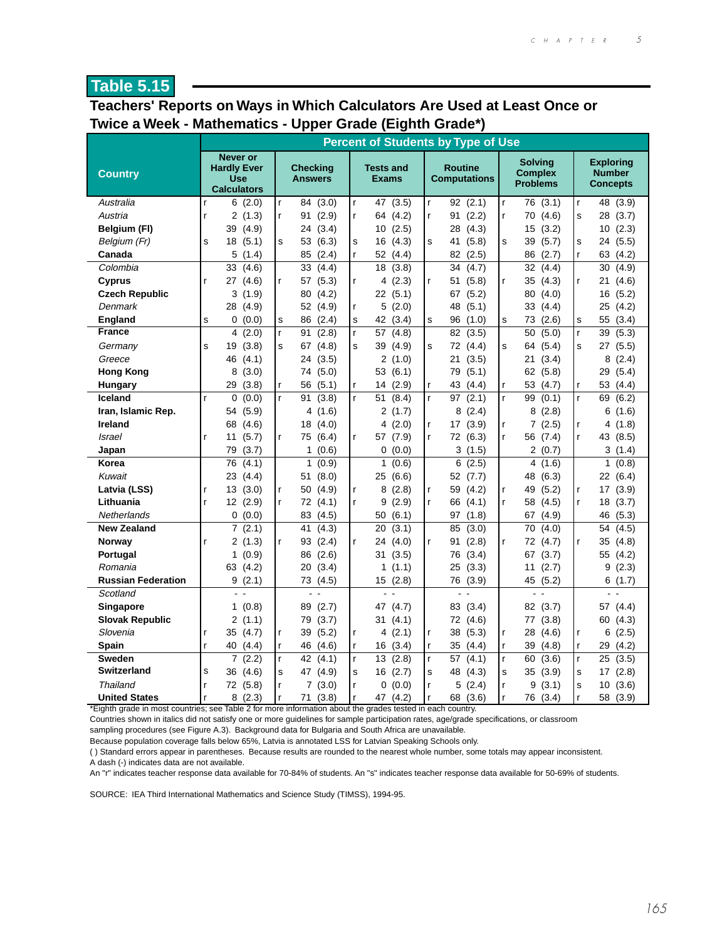# **Teachers' Reports on Ways in Which Calculators Are Used at Least Once or Twice a Week - Mathematics - Upper Grade (Eighth Grade\*)**

|                           | <b>Percent of Students by Type of Use</b> |                                                                    |   |                                   |   |                                  |              |                                       |              |                                                     |   |                                                      |
|---------------------------|-------------------------------------------|--------------------------------------------------------------------|---|-----------------------------------|---|----------------------------------|--------------|---------------------------------------|--------------|-----------------------------------------------------|---|------------------------------------------------------|
| <b>Country</b>            |                                           | Never or<br><b>Hardly Ever</b><br><b>Use</b><br><b>Calculators</b> |   | <b>Checking</b><br><b>Answers</b> |   | <b>Tests and</b><br><b>Exams</b> |              | <b>Routine</b><br><b>Computations</b> |              | <b>Solving</b><br><b>Complex</b><br><b>Problems</b> |   | <b>Exploring</b><br><b>Number</b><br><b>Concepts</b> |
| Australia                 | r                                         | 6(2.0)                                                             | r | (3.0)<br>84                       | r | (3.5)<br>47                      | r            | 92(2.1)                               | $\mathsf{r}$ | 76 (3.1)                                            | r | 48 (3.9)                                             |
| Austria                   | r                                         | $\overline{2}$<br>(1.3)                                            | r | (2.9)<br>91                       | r | 64 (4.2)                         | r            | 91(2.2)                               | r            | 70<br>(4.6)                                         | s | 28<br>(3.7)                                          |
| Belgium (FI)              |                                           | 39<br>(4.9)                                                        |   | (3.4)<br>24                       |   | (2.5)<br>10                      |              | (4.3)<br>28                           |              | (3.2)<br>15                                         |   | (2.3)<br>10                                          |
| Belgium (Fr)              | s                                         | (5.1)<br>18                                                        | s | 53<br>(6.3)                       | s | 16<br>(4.3)                      | s            | (5.8)<br>41                           | s            | (5.7)<br>39                                         | s | (5.5)<br>24                                          |
| Canada                    |                                           | 5<br>(1.4)                                                         |   | 85<br>(2.4)                       | r | 52<br>(4.4)                      |              | 82<br>(2.5)                           |              | 86<br>(2.7)                                         | r | 63<br>(4.2)                                          |
| Colombia                  |                                           | 33<br>(4.6)                                                        |   | 33<br>(4.4)                       |   | 18<br>(3.8)                      |              | 34<br>(4.7)                           |              | 32<br>(4.4)                                         |   | 30<br>(4.9)                                          |
| <b>Cyprus</b>             | r                                         | 27<br>(4.6)                                                        | r | 57<br>(5.3)                       | r | 4(2.3)                           | r            | (5.8)<br>51                           | r            | 35<br>(4.3)                                         | r | 21<br>(4.6)                                          |
| <b>Czech Republic</b>     |                                           | 3<br>(1.9)                                                         |   | 80<br>(4.2)                       |   | 22(5.1)                          |              | (5.2)<br>67                           |              | 80<br>(4.0)                                         |   | (5.2)<br>16                                          |
| Denmark                   |                                           | 28<br>(4.9)                                                        |   | 52<br>(4.9)                       | r | 5<br>(2.0)                       |              | 48<br>(5.1)                           |              | 33<br>(4.4)                                         |   | 25<br>(4.2)                                          |
| <b>England</b>            | s                                         | 0<br>(0.0)                                                         | s | 86<br>(2.4)                       | s | 42<br>(3.4)                      | s            | 96<br>(1.0)                           | s            | 73<br>(2.6)                                         | s | 55<br>(3.4)                                          |
| <b>France</b>             |                                           | (2.0)<br>4                                                         | r | 91<br>(2.8)                       | r | 57<br>(4.8)                      |              | 82<br>(3.5)                           |              | 50<br>(5.0)                                         | r | 39<br>(5.3)                                          |
| Germany                   | s                                         | 19<br>(3.8)                                                        | s | 67<br>(4.8)                       | s | 39<br>(4.9)                      | s            | 72<br>(4.4)                           | s            | (5.4)<br>64                                         | s | 27<br>(5.5)                                          |
| Greece                    |                                           | (4.1)<br>46                                                        |   | (3.5)<br>24                       |   | 2<br>(1.0)                       |              | 21<br>(3.5)                           |              | 21<br>(3.4)                                         |   | 8<br>(2.4)                                           |
| <b>Hong Kong</b>          |                                           | 8<br>(3.0)                                                         |   | (5.0)<br>74                       |   | (6.1)<br>53                      |              | (5.1)<br>79                           |              | 62<br>(5.8)                                         |   | (5.4)<br>29                                          |
| <b>Hungary</b>            |                                           | 29<br>(3.8)                                                        |   | (5.1)<br>56                       | r | (2.9)<br>14                      | r            | 43<br>(4.4)                           | r            | 53<br>(4.7)                                         | r | 53<br>(4.4)                                          |
| Iceland                   | r.                                        | 0<br>(0.0)                                                         | r | 91<br>(3.8)                       | r | 51<br>(8.4)                      | r            | 97<br>(2.1)                           | $\mathsf{r}$ | 99<br>(0.1)                                         | r | 69<br>(6.2)                                          |
| Iran, Islamic Rep.        |                                           | (5.9)<br>54                                                        |   | 4<br>(1.6)                        |   | 2 (1.7)                          |              | 8<br>(2.4)                            |              | 8<br>(2.8)                                          |   | 6<br>(1.6)                                           |
| Ireland                   |                                           | 68<br>(4.6)                                                        |   | 18<br>(4.0)                       |   | 4<br>(2.0)                       | r            | 17<br>(3.9)                           | r            | 7<br>(2.5)                                          | r | 4<br>(1.8)                                           |
| <b>Israel</b>             | r                                         | (5.7)<br>11                                                        | r | (6.4)<br>75                       | r | (7.9)<br>57                      | $\mathsf{r}$ | 72<br>(6.3)                           | r            | 56<br>(7.4)                                         | r | 43<br>(8.5)                                          |
| Japan                     |                                           | (3.7)<br>79                                                        |   | 1<br>(0.6)                        |   | 0<br>(0.0)                       |              | 3<br>(1.5)                            |              | 2<br>(0.7)                                          |   | 3<br>(1.4)                                           |
| Korea                     |                                           | 76<br>(4.1)                                                        |   | (0.9)<br>1                        |   | 1<br>(0.6)                       |              | 6<br>(2.5)                            |              | 4<br>(1.6)                                          |   | 1<br>(0.8)                                           |
| Kuwait                    |                                           | 23<br>(4.4)                                                        |   | (8.0)<br>51                       |   | 25<br>(6.6)                      |              | 52<br>(7.7)                           |              | 48<br>(6.3)                                         |   | 22<br>(6.4)                                          |
| Latvia (LSS)              | r                                         | 13<br>(3.0)                                                        | r | 50<br>(4.9)                       | r | 8<br>(2.8)                       | r            | 59<br>(4.2)                           | r            | (5.2)<br>49                                         | r | 17<br>(3.9)                                          |
| Lithuania                 | r                                         | 12 (2.9)                                                           | r | 72<br>(4.1)                       | r | (2.9)<br>9                       | r            | 66 (4.1)                              | r            | 58<br>(4.5)                                         | r | 18<br>(3.7)                                          |
| Netherlands               |                                           | 0<br>(0.0)                                                         |   | 83<br>(4.5)                       |   | 50<br>(6.1)                      |              | 97<br>(1.8)                           |              | 67<br>(4.9)                                         |   | 46<br>(5.3)                                          |
| <b>New Zealand</b>        |                                           | $\overline{7}$<br>(2.1)                                            |   | 41<br>(4.3)                       |   | 20<br>(3.1)                      |              | 85<br>(3.0)                           |              | 70<br>(4.0)                                         |   | (4.5)<br>54                                          |
| Norway                    | r                                         | 2(1.3)                                                             | r | 93<br>(2.4)                       | r | (4.0)<br>24                      | r            | (2.8)<br>91                           | r            | 72 (4.7)                                            | r | 35<br>(4.8)                                          |
| Portugal                  |                                           | 1<br>(0.9)                                                         |   | (2.6)<br>86                       |   | (3.5)<br>31                      |              | (3.4)<br>76                           |              | 67<br>(3.7)                                         |   | 55<br>(4.2)                                          |
| Romania                   |                                           | 63<br>(4.2)                                                        |   | (3.4)<br>20                       |   | (1.1)<br>1                       |              | (3.3)<br>25                           |              | (2.7)<br>11                                         |   | (2.3)<br>9                                           |
| <b>Russian Federation</b> |                                           | 9(2.1)                                                             |   | 73<br>(4.5)                       |   | 15 (2.8)                         |              | 76 (3.9)                              |              | 45<br>(5.2)                                         |   | 6<br>(1.7)                                           |
| Scotland                  |                                           | $\overline{a}$                                                     |   |                                   |   | . .                              |              | $\sim$                                |              | $\sim$ $\sim$                                       |   | ÷.                                                   |
| Singapore                 |                                           | (0.8)<br>1                                                         |   | 89<br>(2.7)                       |   | 47<br>(4.7)                      |              | 83 (3.4)                              |              | 82<br>(3.7)                                         |   | (4.4)<br>57                                          |
| <b>Slovak Republic</b>    |                                           | 2<br>(1.1)                                                         |   | 79<br>(3.7)                       |   | 31<br>(4.1)                      |              | 72 (4.6)                              |              | 77<br>(3.8)                                         |   | 60<br>(4.3)                                          |
| Slovenia                  | r                                         | 35 (4.7)                                                           | r | (5.2)<br>39                       | r | 4(2.1)                           | r            | (5.3)<br>38                           | r            | 28<br>(4.6)                                         | r | (2.5)<br>6                                           |
| <b>Spain</b>              | r                                         | 40<br>(4.4)                                                        | r | 46<br>(4.6)                       | r | (3.4)<br>16                      | r            | 35<br>(4.4)                           | r            | 39<br>(4.8)                                         | r | 29<br>(4.2)                                          |
| <b>Sweden</b>             |                                           | $\overline{7}$<br>(2.2)                                            | r | 42<br>(4.1)                       | r | 13<br>(2.8)                      | r            | 57<br>(4.1)                           | r            | 60<br>(3.6)                                         | r | 25<br>(3.5)                                          |
| <b>Switzerland</b>        | s                                         | (4.6)<br>36                                                        | s | 47<br>(4.9)                       | s | 16(2.7)                          | s            | (4.3)<br>48                           | s            | 35<br>(3.9)                                         | s | 17<br>(2.8)                                          |
| Thailand                  | r                                         | 72<br>(5.8)                                                        | r | (3.0)<br>7                        | r | (0.0)<br>0                       | $\mathsf{r}$ | 5<br>(2.4)                            | r            | 9<br>(3.1)                                          | s | (3.6)<br>10                                          |
| <b>United States</b>      | r                                         | (2.3)<br>8                                                         | r | 71<br>(3.8)                       | r | 47<br>(4.2)                      | r            | 68<br>(3.6)                           | r            | (3.4)<br>76                                         | r | 58<br>(3.9)                                          |

\*Eighth grade in most countries; see Table 2 for more information about the grades tested in each country.

Countries shown in italics did not satisfy one or more guidelines for sample participation rates, age/grade specifications, or classroom

sampling procedures (see Figure A.3). Background data for Bulgaria and South Africa are unavailable.

Because population coverage falls below 65%, Latvia is annotated LSS for Latvian Speaking Schools only.

( ) Standard errors appear in parentheses. Because results are rounded to the nearest whole number, some totals may appear inconsistent. A dash (-) indicates data are not available.

An "r" indicates teacher response data available for 70-84% of students. An "s" indicates teacher response data available for 50-69% of students.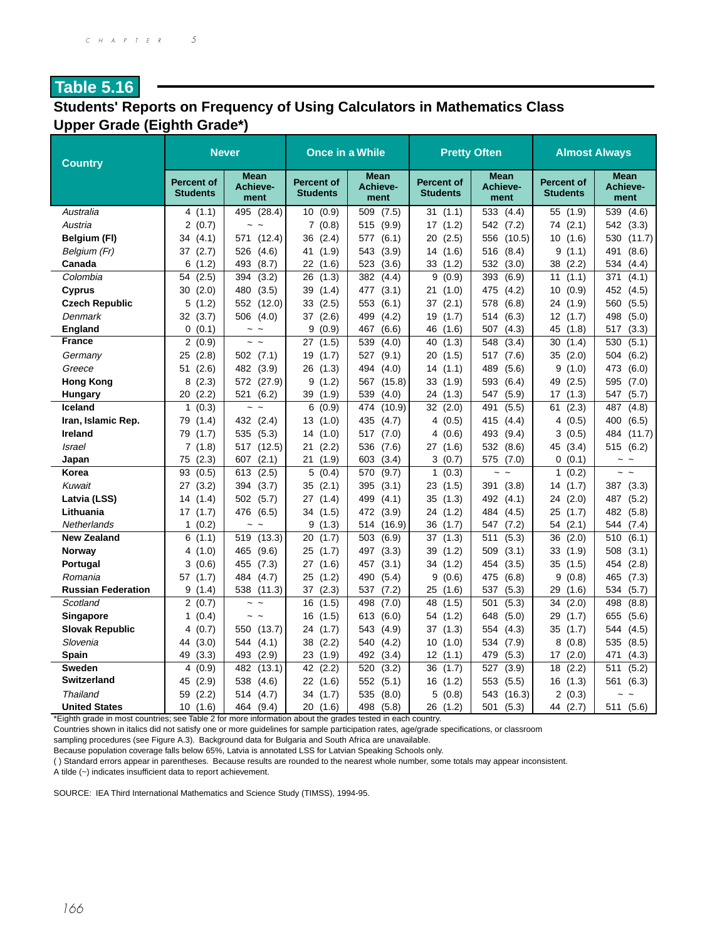# **Students' Reports on Frequency of Using Calculators in Mathematics Class Upper Grade (Eighth Grade\*)**

| <b>Country</b>                                                                                             |                                                                                | <b>Once in a While</b><br><b>Pretty Often</b><br><b>Never</b> |                                      |                                                             | <b>Almost Always</b> |                                        |                                      |                                 |
|------------------------------------------------------------------------------------------------------------|--------------------------------------------------------------------------------|---------------------------------------------------------------|--------------------------------------|-------------------------------------------------------------|----------------------|----------------------------------------|--------------------------------------|---------------------------------|
|                                                                                                            | <b>Mean</b><br><b>Percent of</b><br><b>Achieve-</b><br><b>Students</b><br>ment |                                                               | <b>Percent of</b><br><b>Students</b> | <b>Mean</b><br><b>Percent of</b><br><b>Achieve-</b><br>ment |                      | <b>Mean</b><br><b>Achieve-</b><br>ment | <b>Percent of</b><br><b>Students</b> | <b>Mean</b><br>Achieve-<br>ment |
| Australia                                                                                                  | 4(1.1)                                                                         | 495<br>(28.4)                                                 | 10<br>(0.9)                          | 509<br>(7.5)                                                | 31<br>(1.1)          | 533<br>(4.4)                           | 55<br>(1.9)                          | 539<br>(4.6)                    |
| Austria                                                                                                    | $\overline{2}$<br>(0.7)                                                        |                                                               | 7(0.8)                               | (9.9)<br>515                                                | 17<br>(1.2)          | 542<br>(7.2)                           | 74 (2.1)                             | 542<br>(3.3)                    |
| Belgium (FI)                                                                                               | (4.1)<br>34                                                                    | 571 (12.4)                                                    | (2.4)<br>36                          | (6.1)<br>577                                                | 20<br>(2.5)          | (10.5)<br>556                          | 10(1.6)                              | 530<br>(11.7)                   |
| Belgium (Fr)                                                                                               | (2.7)<br>37                                                                    | 526<br>(4.6)                                                  | 41<br>(1.9)                          | 543<br>(3.9)                                                | 14<br>(1.6)          | (8.4)<br>516                           | 9(1.1)                               | 491<br>(8.6)                    |
| Canada                                                                                                     | 6<br>(1.2)                                                                     | (8.7)<br>493                                                  | 22<br>(1.6)                          | 523<br>(3.6)                                                | 33<br>(1.2)          | 532<br>(3.0)                           | (2.2)<br>38                          | 534<br>(4.4)                    |
| Colombia                                                                                                   | 54<br>(2.5)                                                                    | 394<br>(3.2)                                                  | 26<br>(1.3)                          | 382<br>(4.4)                                                | (0.9)<br>9           | 393<br>(6.9)                           | 11<br>(1.1)                          | 371<br>(4.1)                    |
| Cyprus                                                                                                     | (2.0)<br>30                                                                    | 480<br>(3.5)                                                  | 39<br>(1.4)                          | 477<br>(3.1)                                                | 21<br>(1.0)          | 475<br>(4.2)                           | 10<br>(0.9)                          | 452<br>(4.5)                    |
| <b>Czech Republic</b>                                                                                      | 5<br>(1.2)                                                                     | 552 (12.0)                                                    | 33<br>(2.5)                          | 553<br>(6.1)                                                | (2.1)<br>37          | 578<br>(6.8)                           | 24 (1.9)                             | 560<br>(5.5)                    |
| Denmark                                                                                                    | 32(3.7)                                                                        | 506<br>(4.0)                                                  | 37<br>(2.6)                          | 499<br>(4.2)                                                | 19<br>(1.7)          | 514<br>(6.3)                           | 12(1.7)                              | 498<br>(5.0)                    |
| England                                                                                                    | 0<br>(0.1)                                                                     | $\sim$ $\sim$                                                 | 9<br>(0.9)                           | 467<br>(6.6)                                                | (1.6)<br>46          | 507<br>(4.3)                           | 45<br>(1.8)                          | 517<br>(3.3)                    |
| <b>France</b>                                                                                              | 2<br>(0.9)                                                                     | $\tilde{\phantom{a}}$<br>$\sim$                               | 27<br>(1.5)                          | 539<br>(4.0)                                                | 40<br>(1.3)          | (3.4)<br>548                           | 30<br>(1.4)                          | 530<br>(5.1)                    |
| Germany                                                                                                    | 25<br>(2.8)                                                                    | 502 (7.1)                                                     | 19<br>(1.7)                          | 527<br>(9.1)                                                | 20<br>(1.5)          | (7.6)<br>517                           | 35(2.0)                              | 504<br>(6.2)                    |
| Greece                                                                                                     | (2.6)<br>51                                                                    | 482 (3.9)                                                     | 26<br>(1.3)                          | 494<br>(4.0)                                                | 14<br>(1.1)          | 489<br>(5.6)                           | (1.0)<br>9                           | 473<br>(6.0)                    |
| <b>Hong Kong</b>                                                                                           | (2.3)<br>8                                                                     | 572 (27.9)                                                    | 9<br>(1.2)                           | 567<br>(15.8)                                               | 33<br>(1.9)          | 593<br>(6.4)                           | 49 (2.5)                             | 595<br>(7.0)                    |
| <b>Hungary</b>                                                                                             | 20<br>(2.2)                                                                    | 521<br>(6.2)                                                  | (1.9)<br>39                          | 539<br>(4.0)                                                | 24<br>(1.3)          | 547<br>(5.9)                           | 17(1.3)                              | (5.7)<br>547                    |
| Iceland                                                                                                    | 1<br>(0.3)                                                                     | $\sim$ $\sim$                                                 | 6<br>(0.9)                           | 474<br>(10.9)                                               | 32<br>(2.0)          | 491<br>(5.5)                           | (2.3)<br>61                          | 487<br>(4.8)                    |
| Iran, Islamic Rep.                                                                                         | 79<br>(1.4)                                                                    | 432 (2.4)                                                     | 13<br>(1.0)                          | 435<br>(4.7)                                                | (0.5)<br>4           | 415<br>(4.4)                           | 4 (0.5)                              | 400<br>(6.5)                    |
| Ireland                                                                                                    | (1.7)<br>79                                                                    | (5.3)<br>535                                                  | (1.0)<br>14                          | 517<br>(7.0)                                                | (0.6)<br>4           | 493<br>(9.4)                           | 3(0.5)                               | 484<br>(11.7)                   |
| Israel                                                                                                     | (1.8)<br>7                                                                     | 517 (12.5)                                                    | (2.2)<br>21                          | (7.6)<br>536                                                | 27<br>(1.6)          | 532<br>(8.6)                           | 45 (3.4)                             | 515<br>(6.2)                    |
| Japan                                                                                                      | (2.3)<br>75                                                                    | (2.1)<br>607                                                  | 21<br>(1.9)                          | 603<br>(3.4)                                                | 3<br>(0.7)           | 575<br>(7.0)                           | 0(0.1)                               | $\sim$ $\sim$                   |
| Korea                                                                                                      | (0.5)<br>93                                                                    | 613 (2.5)                                                     | 5<br>(0.4)                           | 570<br>(9.7)                                                | 1<br>(0.3)           | $\overline{ }$                         | 1(0.2)                               | $\sim$                          |
| Kuwait                                                                                                     | 27<br>(3.2)                                                                    | (3.7)<br>394                                                  | 35<br>(2.1)                          | (3.1)<br>395                                                | 23<br>(1.5)          | 391<br>(3.8)                           | 14(1.7)                              | 387<br>(3.3)                    |
| Latvia (LSS)                                                                                               | 14<br>(1.4)                                                                    | 502<br>(5.7)                                                  | 27<br>(1.4)                          | 499<br>(4.1)                                                | 35<br>(1.3)          | 492<br>(4.1)                           | (2.0)<br>24                          | 487<br>(5.2)                    |
| Lithuania                                                                                                  | 17<br>(1.7)                                                                    | 476<br>(6.5)                                                  | 34<br>(1.5)                          | 472<br>(3.9)                                                | 24<br>(1.2)          | 484<br>(4.5)                           | 25 (1.7)                             | 482<br>(5.8)                    |
| Netherlands                                                                                                | 1<br>(0.2)                                                                     | $\overline{ }$                                                | 9<br>(1.3)                           | (16.9)<br>514                                               | 36<br>(1.7)          | (7.2)<br>547                           | (2.1)<br>54                          | (7.4)<br>544                    |
| <b>New Zealand</b>                                                                                         | 6<br>(1.1)                                                                     | 519 (13.3)                                                    | 20<br>(1.7)                          | 503<br>(6.9)                                                | 37<br>(1.3)          | 511<br>(5.3)                           | (2.0)<br>36                          | 510<br>(6.1)                    |
| Norway                                                                                                     | 4 (1.0)                                                                        | (9.6)<br>465                                                  | 25<br>(1.7)                          | 497<br>(3.3)                                                | 39<br>(1.2)          | (3.1)<br>509                           | 33 (1.9)                             | (3.1)<br>508                    |
| Portugal                                                                                                   | 3<br>(0.6)                                                                     | (7.3)<br>455                                                  | 27<br>(1.6)                          | (3.1)<br>457                                                | 34<br>(1.2)          | 454<br>(3.5)                           | 35 (1.5)                             | 454<br>(2.8)                    |
| Romania                                                                                                    | 57<br>(1.7)                                                                    | 484 (4.7)                                                     | 25<br>(1.2)                          | 490<br>(5.4)                                                | 9<br>(0.6)           | (6.8)<br>475                           | 9<br>(0.8)                           | 465<br>(7.3)                    |
| <b>Russian Federation</b>                                                                                  | 9(1.4)                                                                         | 538<br>(11.3)                                                 | (2.3)<br>37                          | (7.2)<br>537                                                | 25<br>(1.6)          | 537<br>(5.3)                           | 29<br>(1.6)                          | (5.7)<br>534                    |
| Scotland                                                                                                   | $\overline{2}$<br>(0.7)                                                        | $\sim$ $\sim$                                                 | 16<br>(1.5)                          | 498<br>(7.0)                                                | 48<br>(1.5)          | (5.3)<br>501                           | (2.0)<br>34                          | 498<br>(8.8)                    |
| Singapore                                                                                                  | 1<br>(0.4)                                                                     | $\tilde{\phantom{a}}$<br>$\sim$                               | 16<br>(1.5)                          | (6.0)<br>613                                                | 54<br>(1.2)          | (5.0)<br>648                           | 29<br>(1.7)                          | 655<br>(5.6)                    |
| <b>Slovak Republic</b>                                                                                     | 4<br>(0.7)                                                                     | 550 (13.7)                                                    | 24<br>(1.7)                          | 543<br>(4.9)                                                | 37<br>(1.3)          | 554<br>(4.3)                           | 35 (1.7)                             | 544<br>(4.5)                    |
| Slovenia                                                                                                   | (3.0)<br>44                                                                    | (4.1)<br>544                                                  | 38<br>(2.2)                          | 540<br>(4.2)                                                | (1.0)<br>10          | 534<br>(7.9)                           | 8(0.8)                               | 535<br>(8.5)                    |
| <b>Spain</b>                                                                                               | 49<br>(3.3)                                                                    | (2.9)<br>493                                                  | 23<br>(1.9)                          | 492<br>(3.4)                                                | 12<br>(1.1)          | 479<br>(5.3)                           | (2.0)<br>17                          | 471<br>(4.3)                    |
| <b>Sweden</b>                                                                                              | 4<br>(0.9)                                                                     | 482<br>(13.1)                                                 | 42<br>(2.2)                          | 520<br>(3.2)                                                | 36<br>(1.7)          | (3.9)<br>527                           | 18(2.2)                              | (5.2)<br>511                    |
| <b>Switzerland</b>                                                                                         | (2.9)<br>45                                                                    | 538<br>(4.6)                                                  | 22<br>(1.6)                          | (5.1)<br>552                                                | 16<br>(1.2)          | 553<br>(5.5)                           | 16(1.3)                              | 561<br>(6.3)                    |
| Thailand                                                                                                   | (2.2)<br>59                                                                    | 514<br>(4.7)                                                  | 34<br>(1.7)                          | 535<br>(8.0)                                                | 5<br>(0.8)           | 543<br>(16.3)                          | 2 (0.3)                              |                                 |
| <b>United States</b>                                                                                       | (1.6)<br>10                                                                    | 464 (9.4)                                                     | 20(1.6)                              | 498<br>(5.8)                                                | (1.2)<br>26          | (5.3)<br>501                           | 44 (2.7)                             | 511<br>(5.6)                    |
| *Eighth grade in most countries; see Table 2 for more information about the grades tested in each country. |                                                                                |                                                               |                                      |                                                             |                      |                                        |                                      |                                 |

Countries shown in italics did not satisfy one or more guidelines for sample participation rates, age/grade specifications, or classroom

sampling procedures (see Figure A.3). Background data for Bulgaria and South Africa are unavailable.

Because population coverage falls below 65%, Latvia is annotated LSS for Latvian Speaking Schools only.

( ) Standard errors appear in parentheses. Because results are rounded to the nearest whole number, some totals may appear inconsistent.

A tilde (~) indicates insufficient data to report achievement.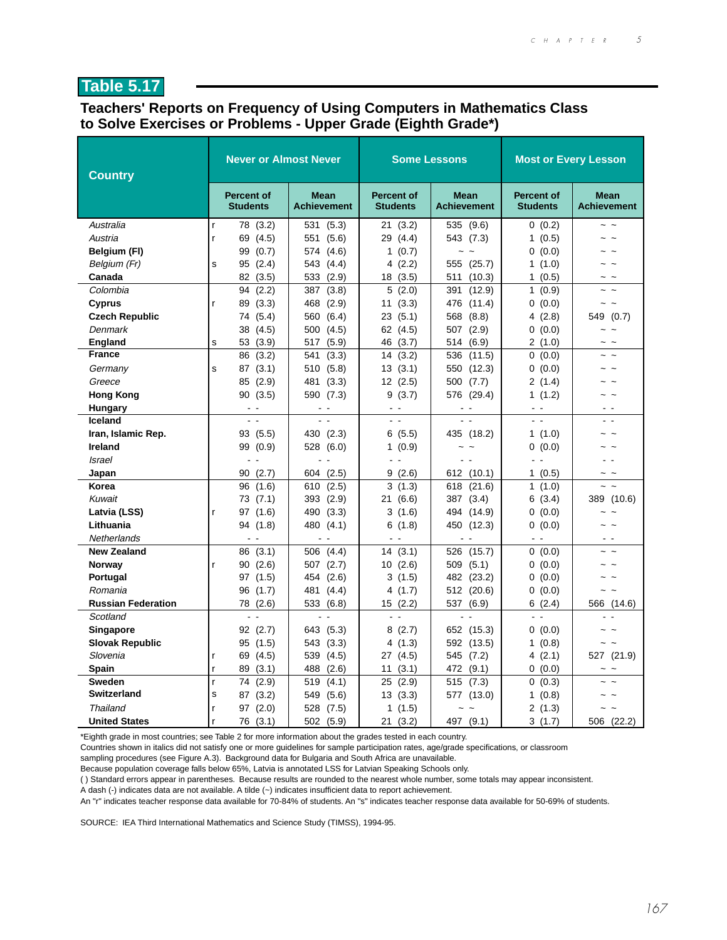### **Teachers' Reports on Frequency of Using Computers in Mathematics Class to Solve Exercises or Problems - Upper Grade (Eighth Grade\*)**

| <b>Country</b>                        |                                      | <b>Never or Almost Never</b>      |                                      | <b>Some Lessons</b>               | <b>Most or Every Lesson</b>          |                                   |  |  |
|---------------------------------------|--------------------------------------|-----------------------------------|--------------------------------------|-----------------------------------|--------------------------------------|-----------------------------------|--|--|
|                                       | <b>Percent of</b><br><b>Students</b> | <b>Mean</b><br><b>Achievement</b> | <b>Percent of</b><br><b>Students</b> | <b>Mean</b><br><b>Achievement</b> | <b>Percent of</b><br><b>Students</b> | <b>Mean</b><br><b>Achievement</b> |  |  |
| Australia                             | 78 (3.2)<br>r                        | 531<br>(5.3)                      | 21(3.2)                              | 535 (9.6)                         | 0(0.2)                               |                                   |  |  |
| Austria                               | 69<br>(4.5)<br>r                     | 551<br>(5.6)                      | 29 (4.4)                             | 543 (7.3)                         | 1(0.5)                               |                                   |  |  |
| Belgium (FI)                          | 99<br>(0.7)                          | 574<br>(4.6)                      | 1 $(0.7)$                            | $\ddot{\phantom{0}}$<br>$\sim$    | 0(0.0)                               |                                   |  |  |
| Belgium (Fr)                          | 95 (2.4)<br>s                        | 543<br>(4.4)                      | 4(2.2)                               | 555 (25.7)                        | 1(1.0)                               |                                   |  |  |
| Canada                                | 82 (3.5)                             | 533<br>(2.9)                      | 18 (3.5)                             | 511 (10.3)                        | 1(0.5)                               |                                   |  |  |
| Colombia                              | 94<br>(2.2)                          | (3.8)<br>387                      | 5(2.0)                               | 391<br>(12.9)                     | 1(0.9)                               | $\sim$<br>$\sim$                  |  |  |
| <b>Cyprus</b>                         | 89<br>(3.3)<br>r                     | 468<br>(2.9)                      | 11(3.3)                              | 476 (11.4)                        | 0(0.0)                               |                                   |  |  |
| <b>Czech Republic</b>                 | 74 (5.4)                             | 560<br>(6.4)                      | 23 (5.1)                             | 568 (8.8)                         | 4 (2.8)                              | 549 (0.7)                         |  |  |
| Denmark                               | 38<br>(4.5)                          | 500<br>(4.5)                      | 62 (4.5)                             | 507 (2.9)                         | 0(0.0)                               | $\sim$ $\sim$                     |  |  |
| <b>England</b>                        | 53 (3.9)<br>s                        | 517<br>(5.9)                      | 46 (3.7)                             | 514 (6.9)                         | 2(1.0)                               | $\sim$                            |  |  |
| <b>France</b>                         | 86 (3.2)                             | 541<br>(3.3)                      | 14 (3.2)                             | 536 (11.5)                        | 0(0.0)                               | $\sim$ $\sim$                     |  |  |
| Germany                               | 87 (3.1)<br>s                        | 510 (5.8)                         | 13 (3.1)                             | 550 (12.3)                        | 0(0.0)                               |                                   |  |  |
| Greece                                | 85 (2.9)                             | 481<br>(3.3)                      | 12(2.5)                              | 500 (7.7)                         | 2(1.4)                               |                                   |  |  |
| <b>Hong Kong</b>                      | 90(3.5)                              | 590 (7.3)                         | 9(3.7)                               | 576 (29.4)                        | 1 $(1.2)$                            |                                   |  |  |
| Hungary                               | $\sim$ $\sim$                        | $\sim$ $\sim$                     | $\sim$ $-$                           | $\sim$ $\sim$                     | $\sim$ $\sim$                        |                                   |  |  |
| <b>Iceland</b>                        | $\sim$                               | $\sim$ $\sim$                     | $\sim$ $\sim$                        |                                   | $\sim$ $\sim$                        |                                   |  |  |
| Iran, Islamic Rep.                    | 93 (5.5)                             | 430 (2.3)                         | 6(5.5)                               | 435 (18.2)                        | 1(1.0)                               |                                   |  |  |
| Ireland                               | 99 (0.9)                             | 528 (6.0)                         | 1(0.9)                               | ~ ~                               | 0(0.0)                               |                                   |  |  |
| <b>Israel</b>                         | $\overline{\phantom{a}}$             | $\sim$                            | $\sim$ $\sim$                        | $\sim$ $\sim$                     | $\sim$ $\sim$                        |                                   |  |  |
| Japan                                 | 90(2.7)                              | 604 (2.5)                         | 9(2.6)                               | 612 (10.1)                        | 1(0.5)                               | $\sim$ $\sim$                     |  |  |
| Korea                                 | 96 (1.6)                             | 610<br>(2.5)                      | 3(1.3)                               | 618 (21.6)                        | 1(1.0)                               | $\tilde{\phantom{a}}$<br>$\sim$   |  |  |
| Kuwait                                | 73 (7.1)                             | 393 (2.9)                         | 21 (6.6)                             | 387 (3.4)                         | 6(3.4)                               | 389 (10.6)                        |  |  |
| Latvia (LSS)                          | 97 (1.6)<br>r                        | 490 (3.3)                         | 3(1.6)                               | 494 (14.9)                        | 0(0.0)                               |                                   |  |  |
| Lithuania                             | 94 (1.8)                             | 480 (4.1)                         | 6 (1.8)                              | 450 (12.3)                        | 0(0.0)                               |                                   |  |  |
| Netherlands                           | $\sim$ $\sim$                        | $\sim$ $\sim$                     | $\sim$ $\sim$                        | $\sim$ $\sim$                     | $\sim$ $\sim$                        | - -                               |  |  |
| <b>New Zealand</b>                    | 86 (3.1)                             | 506 (4.4)                         | 14(3.1)                              | 526 (15.7)                        | 0(0.0)                               | $\sim$ $\sim$                     |  |  |
| Norway                                | 90(2.6)<br>r                         | 507 (2.7)                         | 10(2.6)                              | 509(5.1)                          | 0(0.0)                               |                                   |  |  |
| Portugal                              | 97 (1.5)                             | 454<br>(2.6)                      | 3(1.5)                               | 482 (23.2)                        | 0(0.0)                               | $\sim$                            |  |  |
| Romania                               | 96 (1.7)                             | 481<br>(4.4)                      | 4 (1.7)                              | 512 (20.6)                        | 0(0.0)                               |                                   |  |  |
| <b>Russian Federation</b><br>Scotland | 78 (2.6)<br>$\sim$                   | 533 (6.8)                         | 15 (2.2)                             | 537 (6.9)                         | 6(2.4)<br>$\sim$                     | (14.6)<br>566                     |  |  |
| Singapore                             | 92 (2.7)                             |                                   | 8(2.7)                               |                                   |                                      |                                   |  |  |
| <b>Slovak Republic</b>                |                                      | 643 (5.3)                         |                                      | 652 (15.3)                        | 0(0.0)                               | $\sim$                            |  |  |
| Slovenia                              | 95 (1.5)                             | 543 (3.3)                         | 4 (1.3)                              | 592 (13.5)                        | 1(0.8)                               |                                   |  |  |
| <b>Spain</b>                          | 69 (4.5)<br>r<br>89<br>(3.1)<br>r    | 539 (4.5)<br>488<br>(2.6)         | 27 (4.5)<br>(3.1)<br>11              | 545 (7.2)<br>472 (9.1)            | 4 (2.1)<br>0(0.0)                    | 527 (21.9)<br>$\sim$ $\sim$       |  |  |
| <b>Sweden</b>                         | $\mathsf{r}$                         | 519                               |                                      |                                   |                                      |                                   |  |  |
| <b>Switzerland</b>                    | 74 (2.9)<br>s<br>87 (3.2)            | (4.1)<br>(5.6)<br>549             | 25 (2.9)<br>13(3.3)                  | 515 (7.3)                         | 0(0.3)<br>1(0.8)                     |                                   |  |  |
| Thailand                              | 97 (2.0)<br>$\mathsf{r}$             | 528                               |                                      | 577 (13.0)<br>$\tilde{}$<br>∼     |                                      |                                   |  |  |
| <b>United States</b>                  | 76 (3.1)<br>r                        | (7.5)<br>502 (5.9)                | 1 $(1.5)$<br>21(3.2)                 | 497 (9.1)                         | 2 (1.3)<br>3(1.7)                    | 506 (22.2)                        |  |  |
|                                       |                                      |                                   |                                      |                                   |                                      |                                   |  |  |

\*Eighth grade in most countries; see Table 2 for more information about the grades tested in each country.

Countries shown in italics did not satisfy one or more guidelines for sample participation rates, age/grade specifications, or classroom

sampling procedures (see Figure A.3). Background data for Bulgaria and South Africa are unavailable.

Because population coverage falls below 65%, Latvia is annotated LSS for Latvian Speaking Schools only.

( ) Standard errors appear in parentheses. Because results are rounded to the nearest whole number, some totals may appear inconsistent.

A dash (-) indicates data are not available. A tilde (~) indicates insufficient data to report achievement.

An "r" indicates teacher response data available for 70-84% of students. An "s" indicates teacher response data available for 50-69% of students.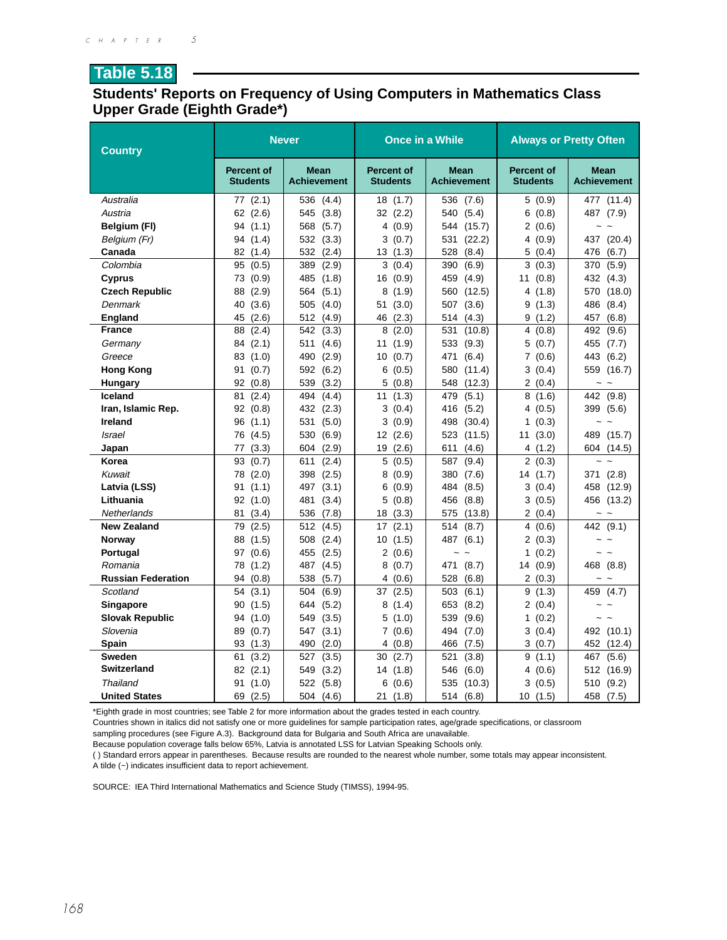### **Students' Reports on Frequency of Using Computers in Mathematics Class Upper Grade (Eighth Grade\*)**

| <b>Country</b>            |                                      | <b>Never</b>                      | <b>Once in a While</b>               |                                   | <b>Always or Pretty Often</b>        |                                   |  |  |  |  |
|---------------------------|--------------------------------------|-----------------------------------|--------------------------------------|-----------------------------------|--------------------------------------|-----------------------------------|--|--|--|--|
|                           | <b>Percent of</b><br><b>Students</b> | <b>Mean</b><br><b>Achievement</b> | <b>Percent of</b><br><b>Students</b> | <b>Mean</b><br><b>Achievement</b> | <b>Percent of</b><br><b>Students</b> | <b>Mean</b><br><b>Achievement</b> |  |  |  |  |
| Australia                 | (2.1)<br>77                          | 536<br>(4.4)                      | 18<br>(1.7)                          | 536<br>(7.6)                      | (0.9)<br>5                           | 477<br>(11.4)                     |  |  |  |  |
| Austria                   | 62<br>(2.6)                          | 545<br>(3.8)                      | 32 (2.2)                             | 540<br>(5.4)                      | 6<br>(0.8)                           | 487 (7.9)                         |  |  |  |  |
| Belgium (FI)              | 94<br>(1.1)                          | 568<br>(5.7)                      | 4(0.9)                               | 544<br>(15.7)                     | 2(0.6)                               |                                   |  |  |  |  |
| Belgium (Fr)              | 94 (1.4)                             | 532 (3.3)                         | 3(0.7)                               | 531<br>(22.2)                     | (0.9)<br>4                           | 437 (20.4)                        |  |  |  |  |
| Canada                    | (1.4)<br>82                          | 532<br>(2.4)                      | 13<br>(1.3)                          | 528<br>(8.4)                      | 5<br>(0.4)                           | 476<br>(6.7)                      |  |  |  |  |
| Colombia                  | 95<br>(0.5)                          | 389<br>(2.9)                      | 3<br>(0.4)                           | 390<br>(6.9)                      | 3<br>(0.3)                           | 370<br>(5.9)                      |  |  |  |  |
| Cyprus                    | 73<br>(0.9)                          | 485<br>(1.8)                      | 16(0.9)                              | 459<br>(4.9)                      | 11<br>(0.8)                          | 432<br>(4.3)                      |  |  |  |  |
| <b>Czech Republic</b>     | 88<br>(2.9)                          | 564<br>(5.1)                      | 8<br>(1.9)                           | (12.5)<br>560                     | 4<br>(1.8)                           | (18.0)<br>570                     |  |  |  |  |
| Denmark                   | (3.6)<br>40                          | 505<br>(4.0)                      | 51<br>(3.0)                          | (3.6)<br>507                      | 9<br>(1.3)                           | (8.4)<br>486                      |  |  |  |  |
| <b>England</b>            | 45 (2.6)                             | 512 (4.9)                         | 46 (2.3)                             | (4.3)<br>514                      | (1.2)<br>9                           | (6.8)<br>457                      |  |  |  |  |
| <b>France</b>             | 88<br>(2.4)                          | 542<br>(3.3)                      | 8<br>(2.0)                           | 531<br>(10.8)                     | 4<br>(0.8)                           | 492<br>(9.6)                      |  |  |  |  |
| Germany                   | 84<br>(2.1)                          | 511<br>(4.6)                      | 11<br>(1.9)                          | 533<br>(9.3)                      | 5<br>(0.7)                           | 455<br>(7.7)                      |  |  |  |  |
| Greece                    | 83<br>(1.0)                          | 490<br>(2.9)                      | (0.7)<br>10                          | 471<br>(6.4)                      | 7<br>(0.6)                           | 443<br>(6.2)                      |  |  |  |  |
| <b>Hong Kong</b>          | (0.7)<br>91                          | 592<br>(6.2)                      | 6<br>(0.5)                           | 580<br>(11.4)                     | 3<br>(0.4)                           | 559 (16.7)                        |  |  |  |  |
| <b>Hungary</b>            | 92(0.8)                              | 539<br>(3.2)                      | 5<br>(0.8)                           | (12.3)<br>548                     | 2<br>(0.4)                           | $\ddot{\phantom{0}}$              |  |  |  |  |
| Iceland                   | (2.4)<br>81                          | 494<br>(4.4)                      | 11(1.3)                              | 479<br>(5.1)                      | 8<br>(1.6)                           | 442 (9.8)                         |  |  |  |  |
| Iran, Islamic Rep.        | 92(0.8)                              | 432 (2.3)                         | 3(0.4)                               | 416<br>(5.2)                      | (0.5)<br>4                           | 399 (5.6)                         |  |  |  |  |
| Ireland                   | 96<br>(1.1)                          | 531<br>(5.0)                      | 3<br>(0.9)                           | 498<br>(30.4)                     | (0.3)<br>1                           | $\tilde{}$                        |  |  |  |  |
| <b>Israel</b>             | (4.5)<br>76                          | 530<br>(6.9)                      | 12 (2.6)                             | 523<br>(11.5)                     | (3.0)<br>11                          | 489 (15.7)                        |  |  |  |  |
| Japan                     | (3.3)<br>77                          | (2.9)<br>604                      | 19<br>(2.6)                          | 611<br>(4.6)                      | 4<br>(1.2)                           | 604 (14.5)                        |  |  |  |  |
| Korea                     | 93<br>(0.7)                          | (2.4)<br>611                      | 5<br>(0.5)                           | 587<br>(9.4)                      | 2<br>(0.3)                           | $\tilde{\phantom{a}}$             |  |  |  |  |
| Kuwait                    | (2.0)<br>78                          | (2.5)<br>398                      | 8(0.9)                               | 380<br>(7.6)                      | 14(1.7)                              | 371 (2.8)                         |  |  |  |  |
| Latvia (LSS)              | 91<br>(1.1)                          | 497<br>(3.1)                      | 6(0.9)                               | 484<br>(8.5)                      | 3<br>(0.4)                           | 458 (12.9)                        |  |  |  |  |
| Lithuania                 | 92<br>(1.0)                          | 481<br>(3.4)                      | 5<br>(0.8)                           | 456<br>(8.8)                      | 3<br>(0.5)                           | 456<br>(13.2)                     |  |  |  |  |
| <b>Netherlands</b>        | (3.4)<br>81                          | 536<br>(7.8)                      | (3.3)<br>18                          | (13.8)<br>575                     | 2<br>(0.4)                           | $\tilde{\phantom{a}}$             |  |  |  |  |
| <b>New Zealand</b>        | 79<br>(2.5)                          | (4.5)<br>512                      | (2.1)<br>17                          | (8.7)<br>514                      | 4<br>(0.6)                           | 442 (9.1)                         |  |  |  |  |
| Norway                    | 88<br>(1.5)                          | 508<br>(2.4)                      | 10<br>(1.5)                          | 487<br>(6.1)                      | 2<br>(0.3)                           |                                   |  |  |  |  |
| <b>Portugal</b>           | (0.6)<br>97                          | 455<br>(2.5)                      | 2(0.6)                               |                                   | 1<br>(0.2)                           |                                   |  |  |  |  |
| Romania                   | 78<br>(1.2)                          | 487<br>(4.5)                      | 8(0.7)                               | 471<br>(8.7)                      | 14<br>(0.9)                          | 468<br>(8.8)                      |  |  |  |  |
| <b>Russian Federation</b> | 94<br>(0.8)                          | 538<br>(5.7)                      | 4(0.6)                               | 528<br>(6.8)                      | $\overline{2}$<br>(0.3)              |                                   |  |  |  |  |
| Scotland                  | 54<br>(3.1)                          | 504<br>(6.9)                      | (2.5)<br>37                          | 503<br>(6.1)                      | 9<br>(1.3)                           | 459<br>(4.7)                      |  |  |  |  |
| <b>Singapore</b>          | (1.5)<br>90                          | (5.2)<br>644                      | 8(1.4)                               | 653<br>(8.2)                      | 2<br>(0.4)                           |                                   |  |  |  |  |
| <b>Slovak Republic</b>    | 94<br>(1.0)                          | 549<br>(3.5)                      | 5<br>(1.0)                           | 539<br>(9.6)                      | 1<br>(0.2)                           |                                   |  |  |  |  |
| Slovenia                  | 89<br>(0.7)                          | 547<br>(3.1)                      | 7(0.6)                               | 494<br>(7.0)                      | 3<br>(0.4)                           | 492 (10.1)                        |  |  |  |  |
| Spain                     | 93<br>(1.3)                          | 490<br>(2.0)                      | 4(0.8)                               | 466<br>(7.5)                      | 3<br>(0.7)                           | 452 (12.4)                        |  |  |  |  |
| <b>Sweden</b>             | 61<br>(3.2)                          | 527<br>(3.5)                      | 30<br>(2.7)                          | 521<br>(3.8)                      | 9<br>(1.1)                           | (5.6)<br>467                      |  |  |  |  |
| <b>Switzerland</b>        | 82<br>(2.1)                          | 549<br>(3.2)                      | 14(1.8)                              | 546<br>(6.0)                      | 4<br>(0.6)                           | 512 (16.9)                        |  |  |  |  |
| Thailand                  | 91<br>(1.0)                          | 522<br>(5.8)                      | 6(0.6)                               | 535<br>(10.3)                     | 3<br>(0.5)                           | 510<br>(9.2)                      |  |  |  |  |
| <b>United States</b>      | 69<br>(2.5)                          | 504<br>(4.6)                      | 21<br>(1.8)                          | (6.8)<br>514                      | 10<br>(1.5)                          | 458<br>(7.5)                      |  |  |  |  |

\*Eighth grade in most countries; see Table 2 for more information about the grades tested in each country.

Countries shown in italics did not satisfy one or more guidelines for sample participation rates, age/grade specifications, or classroom

sampling procedures (see Figure A.3). Background data for Bulgaria and South Africa are unavailable.

Because population coverage falls below 65%, Latvia is annotated LSS for Latvian Speaking Schools only.

( ) Standard errors appear in parentheses. Because results are rounded to the nearest whole number, some totals may appear inconsistent. A tilde (~) indicates insufficient data to report achievement.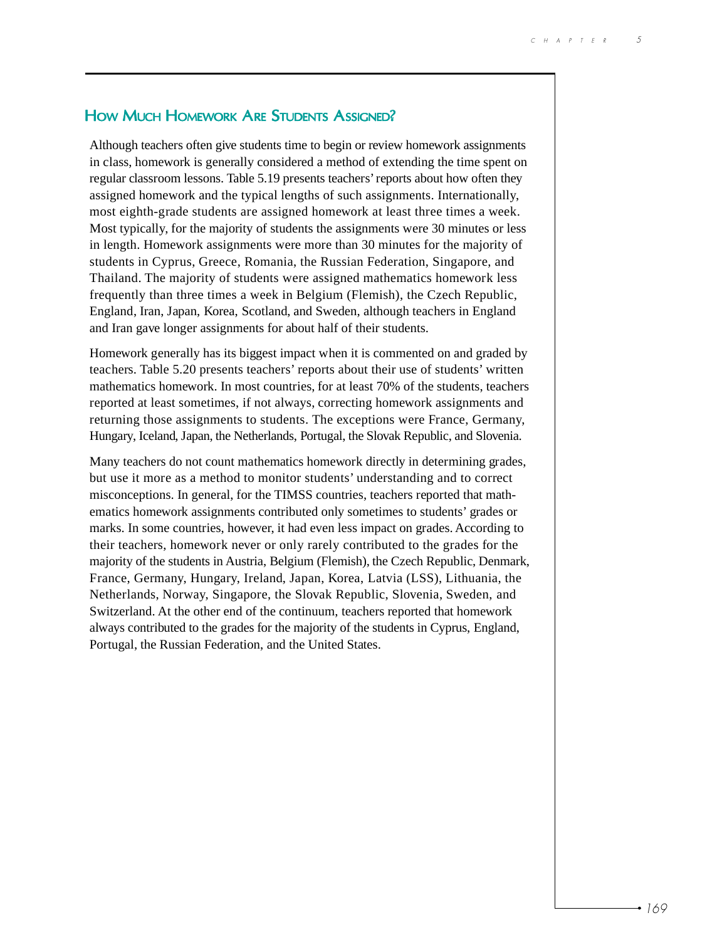#### HOW MUCH HOMEWORK ARE STUDENTS ASSIGNED?

Although teachers often give students time to begin or review homework assignments in class, homework is generally considered a method of extending the time spent on regular classroom lessons. Table 5.19 presents teachers' reports about how often they assigned homework and the typical lengths of such assignments. Internationally, most eighth-grade students are assigned homework at least three times a week. Most typically, for the majority of students the assignments were 30 minutes or less in length. Homework assignments were more than 30 minutes for the majority of students in Cyprus, Greece, Romania, the Russian Federation, Singapore, and Thailand. The majority of students were assigned mathematics homework less frequently than three times a week in Belgium (Flemish), the Czech Republic, England, Iran, Japan, Korea, Scotland, and Sweden, although teachers in England and Iran gave longer assignments for about half of their students.

Homework generally has its biggest impact when it is commented on and graded by teachers. Table 5.20 presents teachers' reports about their use of students' written mathematics homework. In most countries, for at least 70% of the students, teachers reported at least sometimes, if not always, correcting homework assignments and returning those assignments to students. The exceptions were France, Germany, Hungary, Iceland, Japan, the Netherlands, Portugal, the Slovak Republic, and Slovenia.

Many teachers do not count mathematics homework directly in determining grades, but use it more as a method to monitor students' understanding and to correct misconceptions. In general, for the TIMSS countries, teachers reported that mathematics homework assignments contributed only sometimes to students' grades or marks. In some countries, however, it had even less impact on grades. According to their teachers, homework never or only rarely contributed to the grades for the majority of the students in Austria, Belgium (Flemish), the Czech Republic, Denmark, France, Germany, Hungary, Ireland, Japan, Korea, Latvia (LSS), Lithuania, the Netherlands, Norway, Singapore, the Slovak Republic, Slovenia, Sweden, and Switzerland. At the other end of the continuum, teachers reported that homework always contributed to the grades for the majority of the students in Cyprus, England, Portugal, the Russian Federation, and the United States.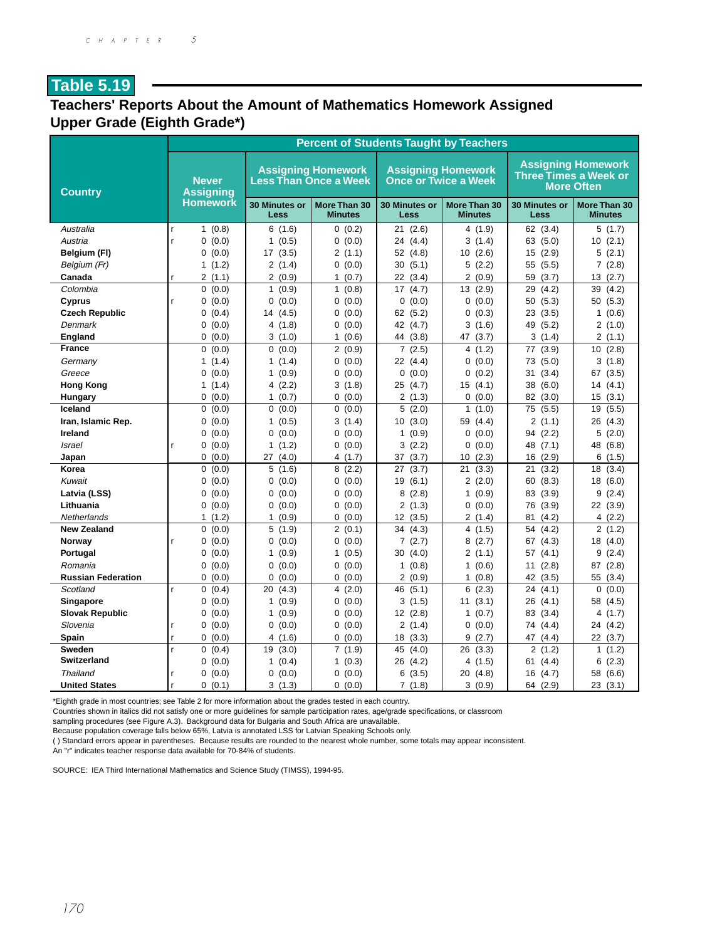# **Teachers' Reports About the Amount of Mathematics Homework Assigned Upper Grade (Eighth Grade\*)**

|                              | <b>Percent of Students Taught by Teachers</b> |                              |                                                           |                              |                                |                                                                         |                                |  |  |  |  |  |
|------------------------------|-----------------------------------------------|------------------------------|-----------------------------------------------------------|------------------------------|--------------------------------|-------------------------------------------------------------------------|--------------------------------|--|--|--|--|--|
| <b>Country</b>               | <b>Never</b><br><b>Assigning</b>              |                              | <b>Assigning Homework</b><br><b>Less Than Once a Week</b> | <b>Once or Twice a Week</b>  | <b>Assigning Homework</b>      | <b>Assigning Homework</b><br>Three Times a Week or<br><b>More Often</b> |                                |  |  |  |  |  |
|                              | <b>Homework</b>                               | <b>30 Minutes or</b><br>Less | More Than 30<br><b>Minutes</b>                            | <b>30 Minutes or</b><br>Less | More Than 30<br><b>Minutes</b> | <b>30 Minutes or</b><br>Less                                            | More Than 30<br><b>Minutes</b> |  |  |  |  |  |
| Australia                    | 1(0.8)<br>$\mathsf{r}$                        | 6(1.6)                       | 0(0.2)                                                    | 21<br>(2.6)                  | 4 (1.9)                        | 62 (3.4)                                                                | 5(1.7)                         |  |  |  |  |  |
| Austria                      | $\mathsf{r}$<br>0(0.0)                        | 1(0.5)                       | 0(0.0)                                                    | 24 (4.4)                     | 3(1.4)                         | 63 (5.0)                                                                | 10(2.1)                        |  |  |  |  |  |
| Belgium (FI)                 | 0<br>(0.0)                                    | 17(3.5)                      | 2(1.1)                                                    | 52 (4.8)                     | 10(2.6)                        | 15<br>(2.9)                                                             | 5(2.1)                         |  |  |  |  |  |
| Belgium (Fr)                 | 1(1.2)                                        | 2(1.4)                       | 0(0.0)                                                    | 30(5.1)                      | 5(2.2)                         | (5.5)<br>55                                                             | 7(2.8)                         |  |  |  |  |  |
| Canada                       | 2(1.1)<br>r                                   | 2(0.9)                       | 1(0.7)                                                    | 22 (3.4)                     | 2(0.9)                         | 59<br>(3.7)                                                             | 13(2.7)                        |  |  |  |  |  |
| Colombia                     | 0<br>(0.0)                                    | 1(0.9)                       | 1(0.8)                                                    | 17<br>(4.7)                  | 13 (2.9)                       | 29<br>(4.2)                                                             | 39<br>(4.2)                    |  |  |  |  |  |
| Cyprus                       | r<br>0<br>(0.0)                               | 0(0.0)                       | 0(0.0)                                                    | 0(0.0)                       | 0(0.0)                         | 50<br>(5.3)                                                             | 50 (5.3)                       |  |  |  |  |  |
| <b>Czech Republic</b>        | (0.4)<br>0                                    | (4.5)<br>14                  | 0(0.0)                                                    | 62 (5.2)                     | 0(0.3)                         | (3.5)<br>23                                                             | 1(0.6)                         |  |  |  |  |  |
| Denmark                      | 0<br>(0.0)                                    | 4(1.8)                       | 0(0.0)                                                    | 42 (4.7)                     | 3(1.6)                         | 49<br>(5.2)                                                             | 2(1.0)                         |  |  |  |  |  |
| England                      | (0.0)<br>0                                    | 3(1.0)                       | 1(0.6)                                                    | 44 (3.8)                     | (3.7)<br>47                    | 3(1.4)                                                                  | 2(1.1)                         |  |  |  |  |  |
| <b>France</b>                | 0<br>(0.0)                                    | 0(0.0)                       | 2(0.9)                                                    | 7(2.5)                       | 4 (1.2)                        | 77<br>(3.9)                                                             | 10<br>(2.8)                    |  |  |  |  |  |
| Germany                      | (1.4)<br>1                                    | 1 $(1.4)$                    | 0(0.0)                                                    | 22 (4.4)                     | 0(0.0)                         | (5.0)<br>73                                                             | 3(1.8)                         |  |  |  |  |  |
| Greece                       | 0<br>(0.0)                                    | 1(0.9)                       | 0(0.0)                                                    | 0(0.0)                       | 0(0.2)                         | (3.4)<br>31                                                             | 67<br>(3.5)                    |  |  |  |  |  |
| <b>Hong Kong</b>             | $\mathbf{1}$<br>(1.4)                         | 4(2.2)                       | 3(1.8)                                                    | 25 (4.7)                     | 15(4.1)                        | 38<br>(6.0)                                                             | 14(4.1)                        |  |  |  |  |  |
| Hungary                      | $\Omega$<br>(0.0)                             | 1(0.7)                       | 0(0.0)                                                    | 2(1.3)                       | 0(0.0)                         | 82 (3.0)                                                                | 15(3.1)                        |  |  |  |  |  |
| Iceland                      | 0<br>(0.0)                                    | 0(0.0)                       | 0(0.0)                                                    | 5(2.0)                       | (1.0)<br>$\mathbf{1}$          | 75<br>(5.5)                                                             | 19 (5.5)                       |  |  |  |  |  |
| Iran, Islamic Rep.           | 0<br>(0.0)                                    | 1(0.5)                       | 3(1.4)                                                    | 10(3.0)                      | 59 (4.4)                       | 2(1.1)                                                                  | 26 (4.3)                       |  |  |  |  |  |
| Ireland                      | (0.0)<br>0                                    | 0(0.0)                       | 0(0.0)                                                    | 1(0.9)                       | 0(0.0)                         | (2.2)<br>94                                                             | 5(2.0)                         |  |  |  |  |  |
| <b>Israel</b>                | 0<br>(0.0)<br>$\mathsf{r}$                    | (1.2)<br>1                   | 0(0.0)                                                    | 3<br>(2.2)                   | 0<br>(0.0)                     | 48<br>(7.1)                                                             | 48 (6.8)                       |  |  |  |  |  |
| Japan                        | 0<br>(0.0)                                    | 27<br>(4.0)                  | 4 (1.7)                                                   | 37 (3.7)                     | 10(2.3)                        | (2.9)<br>16                                                             | 6(1.5)                         |  |  |  |  |  |
| Korea                        | 0<br>(0.0)                                    | 5(1.6)                       | 8(2.2)                                                    | 27 (3.7)                     | 21<br>(3.3)                    | (3.2)<br>21                                                             | 18<br>(3.4)                    |  |  |  |  |  |
| Kuwait                       | 0<br>(0.0)                                    | 0(0.0)                       | 0(0.0)                                                    | 19 (6.1)                     | 2(2.0)                         | (8.3)<br>60                                                             | 18(6.0)                        |  |  |  |  |  |
| Latvia (LSS)                 | 0<br>(0.0)                                    | 0(0.0)                       | 0(0.0)                                                    | 8(2.8)                       | 1(0.9)                         | 83<br>(3.9)                                                             | 9<br>(2.4)                     |  |  |  |  |  |
| Lithuania                    | (0.0)<br>0                                    | 0(0.0)                       | 0(0.0)                                                    | 2(1.3)                       | 0(0.0)                         | (3.9)<br>76                                                             | 22 (3.9)                       |  |  |  |  |  |
| Netherlands                  | 1(1.2)                                        | 1(0.9)                       | 0(0.0)                                                    | 12(3.5)                      | 2(1.4)                         | 81<br>(4.2)                                                             | 4(2.2)                         |  |  |  |  |  |
| <b>New Zealand</b>           | (0.0)<br>0                                    | 5(1.9)                       | 2(0.1)                                                    | 34 (4.3)                     | 4(1.5)                         | 54<br>(4.2)                                                             | 2(1.2)                         |  |  |  |  |  |
| Norway                       | (0.0)<br>0<br>r                               | 0(0.0)                       | 0(0.0)                                                    | 7(2.7)                       | 8(2.7)                         | 67<br>(4.3)                                                             | 18(4.0)                        |  |  |  |  |  |
| Portugal                     | (0.0)<br>0                                    | 1(0.9)                       | 1(0.5)                                                    | 30(4.0)                      | 2(1.1)                         | (4.1)<br>57                                                             | 9(2.4)                         |  |  |  |  |  |
| Romania                      | (0.0)<br>0                                    | 0(0.0)                       | 0(0.0)                                                    | 1(0.8)                       | 1<br>(0.6)                     | (2.8)<br>11                                                             | 87 (2.8)                       |  |  |  |  |  |
| <b>Russian Federation</b>    | 0<br>(0.0)                                    | 0<br>(0.0)                   | 0(0.0)                                                    | 2(0.9)                       | 1(0.8)                         | 42<br>(3.5)                                                             | 55 (3.4)                       |  |  |  |  |  |
| Scotland                     | r<br>0<br>(0.4)                               | (4.3)<br>20                  | 4(2.0)                                                    | (5.1)<br>46                  | 6<br>(2.3)                     | 24<br>(4.1)                                                             | 0<br>(0.0)                     |  |  |  |  |  |
| Singapore                    | 0<br>(0.0)                                    | 1(0.9)                       | 0(0.0)                                                    | 3(1.5)                       | 11(3.1)                        | 26<br>(4.1)                                                             | 58 (4.5)                       |  |  |  |  |  |
| <b>Slovak Republic</b>       | (0.0)<br>0                                    | (0.9)<br>1                   | 0(0.0)                                                    | 12(2.8)                      | (0.7)<br>$\mathbf{1}$          | (3.4)<br>83                                                             | 4 (1.7)                        |  |  |  |  |  |
| Slovenia                     | (0.0)<br>0<br>r                               | (0.0)<br>0                   | 0(0.0)                                                    | 2(1.4)                       | (0.0)<br>0                     | (4.4)<br>74                                                             | 24 (4.2)                       |  |  |  |  |  |
| Spain                        | (0.0)<br>r<br>0<br>r                          | 4(1.6)                       | 0(0.0)                                                    | 18(3.3)                      | 9<br>(2.7)                     | 47 (4.4)                                                                | 22 (3.7)                       |  |  |  |  |  |
| <b>Sweden</b><br>Switzerland | 0<br>(0.4)                                    | 19<br>(3.0)                  | 7(1.9)                                                    | (4.0)<br>45                  | 26<br>(3.3)                    | (1.2)<br>2                                                              | (1.2)<br>1                     |  |  |  |  |  |
| <b>Thailand</b>              | (0.0)<br>0                                    | 1(0.4)                       | 1(0.3)                                                    | 26 (4.2)                     | 4 (1.5)                        | (4.4)<br>61                                                             | 6<br>(2.3)                     |  |  |  |  |  |
|                              | 0<br>(0.0)<br>r                               | 0(0.0)                       | 0(0.0)                                                    | (3.5)<br>6                   | 20 (4.8)                       | (4.7)<br>16                                                             | 58<br>(6.6)                    |  |  |  |  |  |
| <b>United States</b>         | 0(0.1)<br>r                                   | 3(1.3)                       | 0(0.0)                                                    | 7(1.8)                       | 3(0.9)                         | 64 (2.9)                                                                | 23(3.1)                        |  |  |  |  |  |

\*Eighth grade in most countries; see Table 2 for more information about the grades tested in each country.

Countries shown in italics did not satisfy one or more guidelines for sample participation rates, age/grade specifications, or classroom

sampling procedures (see Figure A.3). Background data for Bulgaria and South Africa are unavailable.

Because population coverage falls below 65%, Latvia is annotated LSS for Latvian Speaking Schools only.

( ) Standard errors appear in parentheses. Because results are rounded to the nearest whole number, some totals may appear inconsistent.

An "r" indicates teacher response data available for 70-84% of students.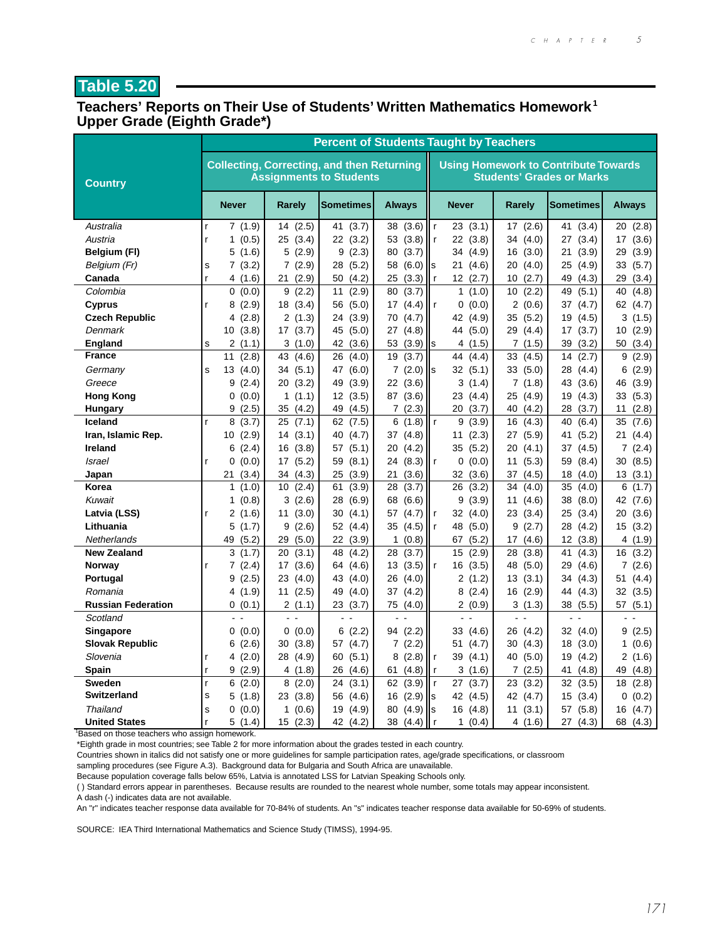#### **Teachers' Reports on Their Use of Students' Written Mathematics Homework1 Upper Grade (Eighth Grade\*)**

|                           | <b>Percent of Students Taught by Teachers</b> |                       |                       |                                                                                     |                         |                                                                                 |              |               |                  |               |  |  |  |  |
|---------------------------|-----------------------------------------------|-----------------------|-----------------------|-------------------------------------------------------------------------------------|-------------------------|---------------------------------------------------------------------------------|--------------|---------------|------------------|---------------|--|--|--|--|
| <b>Country</b>            |                                               |                       |                       | <b>Collecting, Correcting, and then Returning</b><br><b>Assignments to Students</b> |                         | <b>Using Homework to Contribute Towards</b><br><b>Students' Grades or Marks</b> |              |               |                  |               |  |  |  |  |
|                           |                                               | <b>Never</b>          | Rarely                | Sometimes                                                                           | <b>Always</b>           |                                                                                 | <b>Never</b> | Rarely        | <b>Sometimes</b> | <b>Always</b> |  |  |  |  |
| Australia                 | $\mathsf{r}$                                  | 7(1.9)                | 14(2.5)               | 41 (3.7)                                                                            | 38 (3.6)                | $\mathbf{r}$                                                                    | 23(3.1)      | 17(2.6)       | 41<br>(3.4)      | 20(2.8)       |  |  |  |  |
| Austria                   | r                                             | (0.5)<br>$\mathbf{1}$ | (3.4)<br>25           | 22<br>(3.2)                                                                         | 53<br>(3.8)             | $\mathsf r$                                                                     | 22<br>(3.8)  | 34 (4.0)      | 27<br>(3.4)      | 17<br>(3.6)   |  |  |  |  |
| Belgium (FI)              |                                               | 5(1.6)                | 5(2.9)                | 9(2.3)                                                                              | 80<br>(3.7)             |                                                                                 | 34 (4.9)     | 16 (3.0)      | 21<br>(3.9)      | 29<br>(3.9)   |  |  |  |  |
| Belgium (Fr)              | S                                             | 7(3.2)                | 7(2.9)                | 28<br>(5.2)                                                                         | 58<br>(6.0)             | ls                                                                              | (4.6)<br>21  | 20 (4.0)      | 25<br>(4.9)      | 33 (5.7)      |  |  |  |  |
| Canada                    | r                                             | 4(1.6)                | (2.9)<br>21           | 50<br>(4.2)                                                                         | 25<br>(3.3)             | r                                                                               | 12(2.7)      | 10 (2.7)      | 49<br>(4.3)      | (3.4)<br>29   |  |  |  |  |
| Colombia                  |                                               | (0.0)<br>0            | (2.2)<br>9            | 11<br>(2.9)                                                                         | 80<br>(3.7)             |                                                                                 | 1<br>(1.0)   | (2.2)<br>10   | (5.1)<br>49      | 40<br>(4.8)   |  |  |  |  |
| <b>Cyprus</b>             | r                                             | 8(2.9)                | 18<br>(3.4)           | 56<br>(5.0)                                                                         | 17<br>(4.4)             | $\mathbf{r}$                                                                    | 0<br>(0.0)   | 2(0.6)        | 37<br>(4.7)      | 62 (4.7)      |  |  |  |  |
| <b>Czech Republic</b>     |                                               | 4(2.8)                | 2(1.3)                | 24<br>(3.9)                                                                         | 70<br>(4.7)             |                                                                                 | 42<br>(4.9)  | 35(5.2)       | 19<br>(4.5)      | 3(1.5)        |  |  |  |  |
| Denmark                   |                                               | 10(3.8)               | 17(3.7)               | 45<br>(5.0)                                                                         | 27<br>(4.8)             |                                                                                 | 44 (5.0)     | 29 (4.4)      | 17(3.7)          | 10(2.9)       |  |  |  |  |
| <b>England</b>            | $\mathbf s$                                   | 2(1.1)                | 3(1.0)                | 42<br>(3.6)                                                                         | 53<br>(3.9)             | s                                                                               | 4<br>(1.5)   | 7(1.5)        | (3.2)<br>39      | (3.4)<br>50   |  |  |  |  |
| <b>France</b>             |                                               | 11<br>(2.8)           | 43<br>(4.6)           | 26<br>(4.0)                                                                         | 19<br>(3.7)             |                                                                                 | 44<br>(4.4)  | 33<br>(4.5)   | (2.7)<br>14      | 9(2.9)        |  |  |  |  |
| Germany                   | s                                             | 13<br>(4.0)           | (5.1)<br>34           | 47<br>(6.0)                                                                         | $\overline{7}$<br>(2.0) | ls                                                                              | 32 (5.1)     | 33(5.0)       | 28<br>(4.4)      | 6(2.9)        |  |  |  |  |
| Greece                    |                                               | 9<br>(2.4)            | 20<br>(3.2)           | 49<br>(3.9)                                                                         | 22<br>(3.6)             |                                                                                 | 3<br>(1.4)   | 7(1.8)        | 43<br>(3.6)      | 46<br>(3.9)   |  |  |  |  |
| <b>Hong Kong</b>          |                                               | 0(0.0)                | $\mathbf{1}$<br>(1.1) | 12 (3.5)                                                                            | 87 (3.6)                |                                                                                 | 23 (4.4)     | 25(4.9)       | 19<br>(4.3)      | 33(5.3)       |  |  |  |  |
| <b>Hungary</b>            |                                               | 9(2.5)                | 35<br>(4.2)           | 49<br>(4.5)                                                                         | 7(2.3)                  |                                                                                 | (3.7)<br>20  | 40 (4.2)      | 28<br>(3.7)      | (2.8)<br>11   |  |  |  |  |
| Iceland                   | r                                             | 8<br>(3.7)            | 25<br>(7.1)           | 62<br>(7.5)                                                                         | 6<br>(1.8)              | $\mathsf{r}$                                                                    | (3.9)<br>9   | 16 (4.3)      | (6.4)<br>40      | 35<br>(7.6)   |  |  |  |  |
| Iran, Islamic Rep.        |                                               | 10(2.9)               | 14<br>(3.1)           | 40<br>(4.7)                                                                         | 37 (4.8)                |                                                                                 | (2.3)<br>11  | 27 (5.9)      | 41<br>(5.2)      | 21(4.4)       |  |  |  |  |
| Ireland                   |                                               | 6<br>(2.4)            | 16<br>(3.8)           | 57(5.1)                                                                             | (4.2)<br>20             |                                                                                 | 35<br>(5.2)  | 20(4.1)       | 37<br>(4.5)      | 7(2.4)        |  |  |  |  |
| <b>Israel</b>             | $\mathsf{r}$                                  | (0.0)<br>0            | 17(5.2)               | 59<br>(8.1)                                                                         | (8.3)<br>24             | $\mathsf{r}$                                                                    | 0<br>(0.0)   | 11(5.3)       | 59<br>(8.4)      | 30(8.5)       |  |  |  |  |
| Japan                     |                                               | 21<br>(3.4)           | 34 (4.3)              | (3.9)<br>25                                                                         | (3.6)<br>21             |                                                                                 | 32 (3.6)     | 37 (4.5)      | (4.0)<br>18      | 13(3.1)       |  |  |  |  |
| Korea                     |                                               | 1<br>(1.0)            | 10<br>(2.4)           | 61<br>(3.9)                                                                         | 28<br>(3.7)             |                                                                                 | 26<br>(3.2)  | 34<br>(4.0)   | 35<br>(4.0)      | 6(1.7)        |  |  |  |  |
| Kuwait                    |                                               | 1<br>(0.8)            | 3(2.6)                | 28<br>(6.9)                                                                         | 68<br>(6.6)             |                                                                                 | 9<br>(3.9)   | 11 (4.6)      | 38<br>(8.0)      | 42 (7.6)      |  |  |  |  |
| Latvia (LSS)              | r                                             | 2(1.6)                | (3.0)<br>11           | 30<br>(4.1)                                                                         | 57<br>(4.7)             | $\mathbf{r}$                                                                    | 32 (4.0)     | 23(3.4)       | (3.4)<br>25      | 20(3.6)       |  |  |  |  |
| Lithuania                 |                                               | 5<br>(1.7)            | 9<br>(2.6)            | 52<br>(4.4)                                                                         | 35<br>(4.5)             | $\mathsf{r}$                                                                    | 48<br>(5.0)  | 9(2.7)        | 28<br>(4.2)      | 15<br>(3.2)   |  |  |  |  |
| Netherlands               |                                               | 49<br>(5.2)           | 29<br>(5.0)           | 22 (3.9)                                                                            | 1<br>(0.8)              |                                                                                 | (5.2)<br>67  | 17(4.6)       | 12(3.8)          | 4(1.9)        |  |  |  |  |
| <b>New Zealand</b>        |                                               | 3(1.7)                | 20<br>(3.1)           | 48<br>(4.2)                                                                         | 28<br>(3.7)             |                                                                                 | 15 (2.9)     | 28 (3.8)      | 41<br>(4.3)      | 16(3.2)       |  |  |  |  |
| Norway                    | r                                             | 7(2.4)                | 17(3.6)               | 64<br>(4.6)                                                                         | (3.5)<br>13             | $\mathsf{r}$                                                                    | 16(3.5)      | 48 (5.0)      | 29<br>(4.6)      | 7(2.6)        |  |  |  |  |
| Portugal                  |                                               | (2.5)<br>9            | 23<br>(4.0)           | 43<br>(4.0)                                                                         | 26 (4.0)                |                                                                                 | 2(1.2)       | 13(3.1)       | 34<br>(4.3)      | 51<br>(4.4)   |  |  |  |  |
| Romania                   |                                               | 4(1.9)                | 11(2.5)               | 49<br>(4.0)                                                                         | 37 (4.2)                |                                                                                 | 8(2.4)       | 16(2.9)       | 44 (4.3)         | 32(3.5)       |  |  |  |  |
| <b>Russian Federation</b> |                                               | 0(0.1)                | 2(1.1)                | 23(3.7)                                                                             | 75 (4.0)                |                                                                                 | 2(0.9)       | 3(1.3)        | 38 (5.5)         | 57 (5.1)      |  |  |  |  |
| Scotland                  |                                               | $\sim$ $\sim$         | $\sim$ $\sim$         | $\overline{\phantom{a}}$                                                            |                         |                                                                                 | ÷<br>$\sim$  | $\sim$ $\sim$ | $\overline{a}$   | $\sim$ $\sim$ |  |  |  |  |
| Singapore                 |                                               | 0<br>(0.0)            | (0.0)<br>0            | 6<br>(2.2)                                                                          | 94<br>(2.2)             |                                                                                 | 33 (4.6)     | 26 (4.2)      | 32(4.0)          | 9(2.5)        |  |  |  |  |
| <b>Slovak Republic</b>    |                                               | 6(2.6)                | 30<br>(3.8)           | 57 (4.7)                                                                            | 7(2.2)                  |                                                                                 | 51<br>(4.7)  | 30 (4.3)      | 18 (3.0)         | 1(0.6)        |  |  |  |  |
| Slovenia                  | r                                             | (2.0)<br>4            | 28 (4.9)              | 60<br>(5.1)                                                                         | (2.8)<br>8              | r                                                                               | 39<br>(4.1)  | 40 (5.0)      | 19<br>(4.2)      | 2(1.6)        |  |  |  |  |
| Spain                     | r                                             | 9(2.9)                | 4(1.8)                | 26<br>(4.6)                                                                         | 61<br>(4.8)             | $\mathbf{r}$                                                                    | 3<br>(1.6)   | 7(2.5)        | 41<br>(4.8)      | 49 (4.8)      |  |  |  |  |
| <b>Sweden</b>             | r                                             | 6(2.0)                | 8<br>(2.0)            | 24 (3.1)                                                                            | 62 (3.9)                | $\mathbf{r}$                                                                    | (3.7)<br>27  | 23(3.2)       | 32(3.5)          | 18(2.8)       |  |  |  |  |
| <b>Switzerland</b>        | s                                             | 5(1.8)                | 23<br>(3.8)           | 56<br>(4.6)                                                                         | (2.9)<br>16             | ls                                                                              | 42 (4.5)     | 42 (4.7)      | 15<br>(3.4)      | 0(0.2)        |  |  |  |  |
| Thailand                  | s                                             | 0<br>(0.0)            | 1<br>(0.6)            | 19<br>(4.9)                                                                         | 80<br>(4.9)             | lls                                                                             | 16(4.8)      | 11(3.1)       | (5.8)<br>57      | 16<br>(4.7)   |  |  |  |  |
| <b>United States</b>      | $\mathsf{r}$                                  | 5(1.4)                | 15(2.3)               | 42<br>(4.2)                                                                         | 38<br>(4.4)             | ll r                                                                            | 1(0.4)       | 4(1.6)        | 27(4.3)          | 68 (4.3)      |  |  |  |  |

1 Based on those teachers who assign homework.

\*Eighth grade in most countries; see Table 2 for more information about the grades tested in each country.

Countries shown in italics did not satisfy one or more guidelines for sample participation rates, age/grade specifications, or classroom

sampling procedures (see Figure A.3). Background data for Bulgaria and South Africa are unavailable.

Because population coverage falls below 65%, Latvia is annotated LSS for Latvian Speaking Schools only.

( ) Standard errors appear in parentheses. Because results are rounded to the nearest whole number, some totals may appear inconsistent.

A dash (-) indicates data are not available.

An "r" indicates teacher response data available for 70-84% of students. An "s" indicates teacher response data available for 50-69% of students.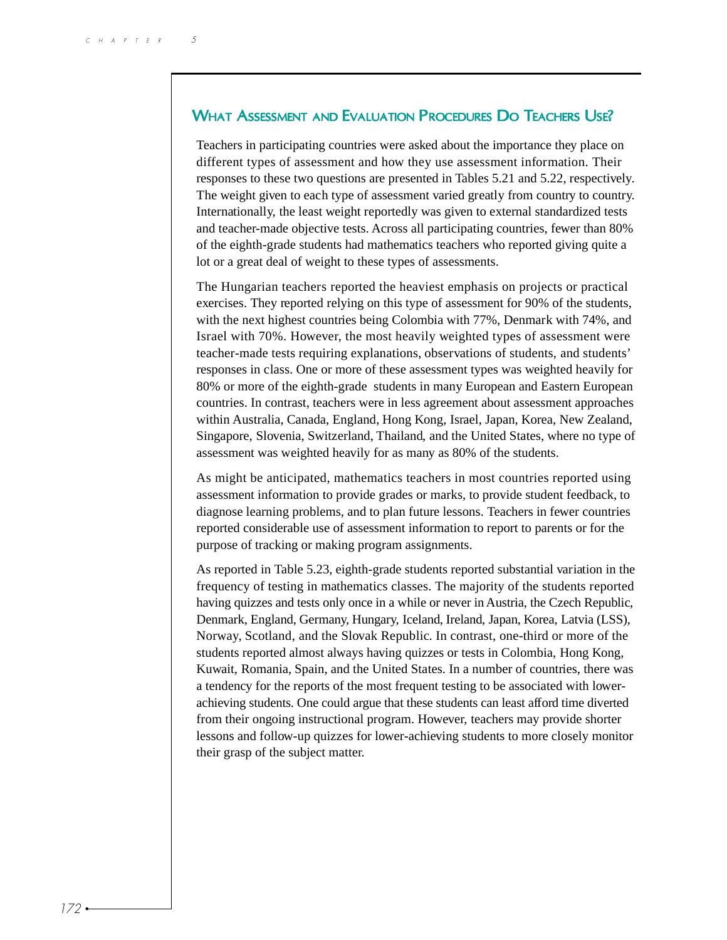#### WHAT ASSESSMENT AND EVALUATION PROCEDURES DO TEACHERS USE?

Teachers in participating countries were asked about the importance they place on different types of assessment and how they use assessment information. Their responses to these two questions are presented in Tables 5.21 and 5.22, respectively. The weight given to each type of assessment varied greatly from country to country. Internationally, the least weight reportedly was given to external standardized tests and teacher-made objective tests. Across all participating countries, fewer than 80% of the eighth-grade students had mathematics teachers who reported giving quite a lot or a great deal of weight to these types of assessments.

The Hungarian teachers reported the heaviest emphasis on projects or practical exercises. They reported relying on this type of assessment for 90% of the students, with the next highest countries being Colombia with 77%, Denmark with 74%, and Israel with 70%. However, the most heavily weighted types of assessment were teacher-made tests requiring explanations, observations of students, and students' responses in class. One or more of these assessment types was weighted heavily for 80% or more of the eighth-grade students in many European and Eastern European countries. In contrast, teachers were in less agreement about assessment approaches within Australia, Canada, England, Hong Kong, Israel, Japan, Korea, New Zealand, Singapore, Slovenia, Switzerland, Thailand, and the United States, where no type of assessment was weighted heavily for as many as 80% of the students.

As might be anticipated, mathematics teachers in most countries reported using assessment information to provide grades or marks, to provide student feedback, to diagnose learning problems, and to plan future lessons. Teachers in fewer countries reported considerable use of assessment information to report to parents or for the purpose of tracking or making program assignments.

As reported in Table 5.23, eighth-grade students reported substantial variation in the frequency of testing in mathematics classes. The majority of the students reported having quizzes and tests only once in a while or never in Austria, the Czech Republic, Denmark, England, Germany, Hungary, Iceland, Ireland, Japan, Korea, Latvia (LSS), Norway, Scotland, and the Slovak Republic. In contrast, one-third or more of the students reported almost always having quizzes or tests in Colombia, Hong Kong, Kuwait, Romania, Spain, and the United States. In a number of countries, there was a tendency for the reports of the most frequent testing to be associated with lowerachieving students. One could argue that these students can least afford time diverted from their ongoing instructional program. However, teachers may provide shorter lessons and follow-up quizzes for lower-achieving students to more closely monitor their grasp of the subject matter.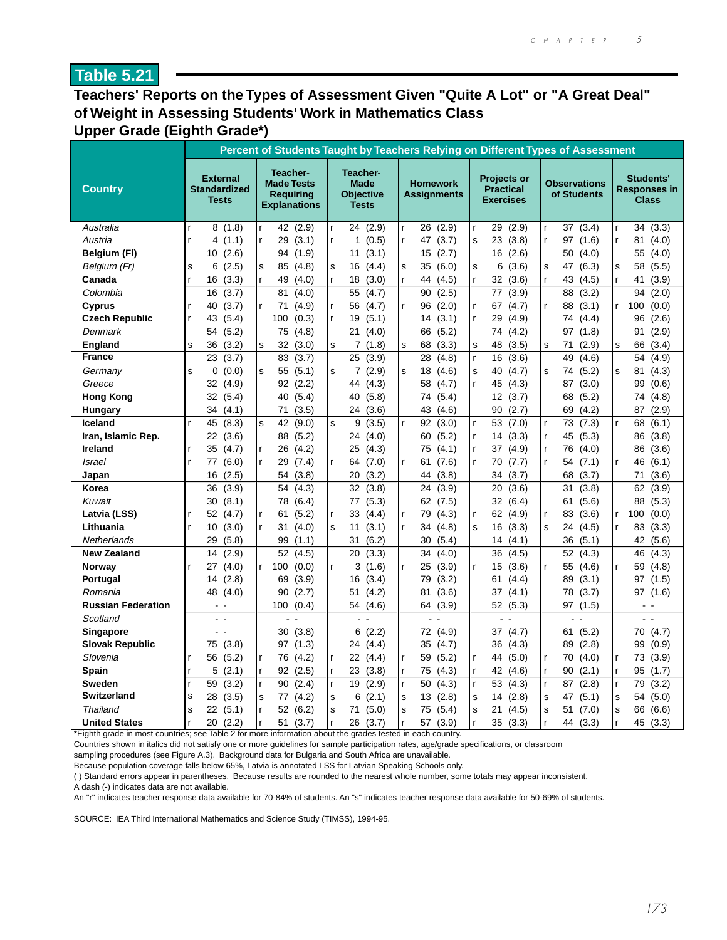### **Teachers' Reports on the Types of Assessment Given "Quite A Lot" or "A Great Deal" of Weight in Assessing Students' Work in Mathematics Class Upper Grade (Eighth Grade\*)**

|                              | Percent of Students Taught by Teachers Relying on Different Types of Assessment |    |                                                        |                              |                 |                                                              |          |                                                |                  |                   |          |                                       |                   |                                                     |          |              |    |                                    |                              |                           |                     |
|------------------------------|---------------------------------------------------------------------------------|----|--------------------------------------------------------|------------------------------|-----------------|--------------------------------------------------------------|----------|------------------------------------------------|------------------|-------------------|----------|---------------------------------------|-------------------|-----------------------------------------------------|----------|--------------|----|------------------------------------|------------------------------|---------------------------|---------------------|
| <b>Country</b>               |                                                                                 |    | <b>External</b><br><b>Standardized</b><br><b>Tests</b> |                              | <b>Teacher-</b> | <b>Made Tests</b><br><b>Requiring</b><br><b>Explanations</b> |          | <b>Teacher-</b><br><b>Made</b><br><b>Tests</b> | <b>Objective</b> |                   |          | <b>Homework</b><br><b>Assignments</b> |                   | <b>Projects or</b><br><b>Practical</b><br>Exercises |          |              |    | <b>Observations</b><br>of Students |                              | Students'<br><b>Class</b> | <b>Responses in</b> |
| Australia                    | r                                                                               |    | 8(1.8)                                                 | r                            |                 | 42 (2.9)                                                     | r        |                                                | 24 (2.9)         | r                 | 26       | (2.9)                                 | $\mathsf r$       | 29                                                  | (2.9)    | r            |    | 37 (3.4)                           | r                            | 34                        | (3.3)               |
| Austria                      | $\mathsf{r}$                                                                    | 4  | (1.1)                                                  | r                            | 29              | (3.1)                                                        | r        | 1.                                             | (0.5)            | r                 | 47       | (3.7)                                 | s                 | 23                                                  | (3.8)    | $\mathsf{r}$ | 97 | (1.6)                              | $\mathsf{r}$                 | 81                        | (4.0)               |
| Belgium (FI)                 |                                                                                 |    | 10(2.6)                                                |                              | 94              | (1.9)                                                        |          | 11                                             | (3.1)            |                   | 15       | (2.7)                                 |                   | 16                                                  | (2.6)    |              |    | 50 (4.0)                           |                              | 55                        | (4.0)               |
| Belgium (Fr)                 | s                                                                               | 6  | (2.5)                                                  | s                            | 85              | (4.8)                                                        | S        |                                                | 16 (4.4)         | s                 | 35       | (6.0)                                 | s                 |                                                     | 6(3.6)   | s            |    | 47 (6.3)                           | s                            | 58                        | (5.5)               |
| Canada                       | $\mathsf{r}$                                                                    | 16 | (3.3)                                                  |                              | 49              | (4.0)                                                        |          | 18                                             | (3.0)            |                   | 44       | (4.5)                                 |                   |                                                     | 32 (3.6) |              | 43 | (4.5)                              |                              | 41                        | (3.9)               |
| Colombia                     |                                                                                 | 16 | (3.7)                                                  |                              | 81              | (4.0)                                                        |          | 55                                             | (4.7)            |                   | 90       | (2.5)                                 |                   | 77                                                  | (3.9)    |              | 88 | (3.2)                              |                              | 94                        | (2.0)               |
| Cyprus                       | r                                                                               | 40 | (3.7)                                                  | $\mathsf{r}$                 | 71              | (4.9)                                                        | r        |                                                | 56 (4.7)         | r                 | 96       | (2.0)                                 | $\mathsf{r}$      |                                                     | 67 (4.7) | r            |    | 88 (3.1)                           | $\mathsf{r}$                 | 100                       | (0.0)               |
| <b>Czech Republic</b>        | $\mathsf{r}$                                                                    | 43 | (5.4)                                                  |                              | 100             | (0.3)                                                        | r        | 19                                             | (5.1)            |                   | 14       | (3.1)                                 | $\mathsf{r}$      | 29                                                  | (4.9)    |              |    | 74 (4.4)                           |                              | 96                        | (2.6)               |
| Denmark                      |                                                                                 | 54 | (5.2)                                                  |                              | 75              | (4.8)                                                        |          | 21                                             | (4.0)            |                   | 66       | (5.2)                                 |                   |                                                     | 74 (4.2) |              |    | 97 (1.8)                           |                              | 91                        | (2.9)               |
| <b>England</b>               | s                                                                               | 36 | (3.2)                                                  | s                            | 32              | (3.0)                                                        | s        |                                                | 7(1.8)           | s                 | 68       | (3.3)                                 | s                 | 48                                                  | (3.5)    | s            | 71 | (2.9)                              | $\mathbf s$                  | 66                        | (3.4)               |
| <b>France</b>                |                                                                                 | 23 | (3.7)                                                  |                              | 83              | (3.7)                                                        |          |                                                | 25 (3.9)         |                   | 28       | (4.8)                                 | $\mathsf{r}$      |                                                     | 16(3.6)  |              | 49 | (4.6)                              |                              | 54                        | (4.9)               |
| Germany                      | s                                                                               | 0  | (0.0)                                                  | s                            | 55              | (5.1)                                                        | S        |                                                | 7(2.9)           | s                 | 18       | (4.6)                                 | s                 | 40                                                  | (4.7)    | s            |    | 74 (5.2)                           | s                            | 81                        | (4.3)               |
| Greece                       |                                                                                 |    | 32 (4.9)                                               |                              |                 | 92 (2.2)                                                     |          |                                                | 44 (4.3)         |                   | 58       | (4.7)                                 | r                 |                                                     | 45 (4.3) |              |    | 87 (3.0)                           |                              | 99                        | (0.6)               |
| <b>Hong Kong</b>             |                                                                                 |    | 32 (5.4)                                               |                              | 40              | (5.4)                                                        |          | 40                                             | (5.8)            |                   | 74       | (5.4)                                 |                   |                                                     | 12(3.7)  |              | 68 | (5.2)                              |                              | 74                        | (4.8)               |
| <b>Hungary</b>               |                                                                                 | 34 | (4.1)                                                  |                              | 71              | (3.5)                                                        |          |                                                | 24 (3.6)         |                   | 43       | (4.6)                                 |                   | 90                                                  | (2.7)    |              | 69 | (4.2)                              |                              | 87                        | (2.9)               |
| <b>Iceland</b>               | r                                                                               | 45 | (8.3)                                                  | s                            | 42              | (9.0)                                                        | S        | 9                                              | (3.5)            | r                 | 92       | (3.0)                                 | $\mathsf{r}$      | 53                                                  | (7.0)    | r            | 73 | (7.3)                              | r                            | 68                        | (6.1)               |
| Iran, Islamic Rep.           |                                                                                 | 22 | (3.6)                                                  |                              | 88              | (5.2)                                                        |          | 24                                             | (4.0)            |                   | 60       | (5.2)                                 | $\mathsf{r}$      |                                                     | 14(3.3)  | l r          |    | 45 (5.3)                           |                              | 86                        | (3.8)               |
| <b>Ireland</b>               | r                                                                               | 35 | (4.7)                                                  | $\mathsf{r}$                 | 26              | (4.2)                                                        |          | 25                                             | (4.3)            |                   | 75       | (4.1)                                 | $\mathsf{r}$      |                                                     | 37 (4.9) | r            |    | 76 (4.0)                           |                              | 86                        | (3.6)               |
| <b>Israel</b>                | $\mathsf{r}$                                                                    | 77 | (6.0)                                                  | $\mathsf{r}$                 | 29              | (7.4)                                                        | r        |                                                | 64 (7.0)         | r                 | 61       | (7.6)                                 | $\mathsf{r}$      | 70                                                  | (7.7)    | r            |    | 54 (7.1)                           | $\mathsf{r}$                 | 46                        | (6.1)               |
| Japan                        |                                                                                 | 16 | (2.5)                                                  |                              | 54              | (3.8)                                                        |          | 20                                             | (3.2)            |                   | 44       | (3.8)                                 |                   | 34                                                  | (3.7)    |              | 68 | (3.7)                              |                              | 71                        | (3.6)               |
| Korea                        |                                                                                 | 36 | (3.9)                                                  |                              | 54              | (4.3)                                                        |          |                                                | 32 (3.8)         |                   | 24       | (3.9)                                 |                   | 20                                                  | (3.6)    |              | 31 | (3.8)                              |                              | 62                        | (3.9)               |
| Kuwait                       |                                                                                 | 30 | (8.1)                                                  |                              | 78              | (6.4)                                                        |          | 77                                             | (5.3)            |                   | 62       | (7.5)                                 |                   |                                                     | 32 (6.4) |              | 61 | (5.6)                              |                              | 88                        | (5.3)               |
| Latvia (LSS)                 | r                                                                               | 52 | (4.7)                                                  | $\mathsf{r}$                 | 61              | (5.2)                                                        | r        | 33                                             | (4.4)            | r                 | 79       | (4.3)                                 | $\mathsf{r}$      |                                                     | 62 (4.9) | l r          | 83 | (3.6)                              | $\mathsf{r}$                 | 100                       | (0.0)               |
| Lithuania                    | $\mathsf{r}$                                                                    | 10 | (3.0)                                                  | $\mathsf{r}$                 | 31              | (4.0)                                                        | s        |                                                | 11(3.1)          | $\mathsf{r}$      | 34       | (4.8)                                 | s                 |                                                     | 16(3.3)  | s            |    | 24 (4.5)                           | $\mathsf{r}$                 | 83                        | (3.3)               |
| Netherlands                  |                                                                                 | 29 | (5.8)                                                  |                              | 99              | (1.1)                                                        |          | 31                                             | (6.2)            |                   | 30       | (5.4)                                 |                   |                                                     | 14(4.1)  |              |    | 36 (5.1)                           |                              |                           | 42 (5.6)            |
| <b>New Zealand</b>           |                                                                                 | 14 | (2.9)                                                  |                              | 52              | (4.5)                                                        |          | 20                                             | (3.3)            |                   | 34       | (4.0)                                 |                   |                                                     | 36 (4.5) |              |    | 52 (4.3)                           |                              | 46                        | (4.3)               |
| Norway                       | r                                                                               | 27 | (4.0)                                                  | r                            | 100             | (0.0)                                                        | r        |                                                | 3(1.6)           | r                 | 25       | (3.9)                                 | r                 |                                                     | 15(3.6)  | r            |    | 55 (4.6)                           | r                            | 59                        | (4.8)               |
| Portugal                     |                                                                                 | 14 | (2.8)                                                  |                              | 69              | (3.9)                                                        |          |                                                | 16 (3.4)         |                   | 79       | (3.2)                                 |                   | 61                                                  | (4.4)    |              | 89 | (3.1)                              |                              | 97                        | (1.5)               |
| Romania                      |                                                                                 |    | 48 (4.0)                                               |                              | 90              | (2.7)                                                        |          | 51                                             | (4.2)            |                   | 81       | (3.6)                                 |                   |                                                     | 37(4.1)  |              |    | 78 (3.7)                           |                              |                           | 97 (1.6)            |
| <b>Russian Federation</b>    |                                                                                 |    | $\sim$ $\sim$                                          |                              | 100             | (0.4)                                                        |          |                                                | 54 (4.6)         |                   |          | 64 (3.9)                              |                   |                                                     | 52 (5.3) |              |    | 97 (1.5)                           |                              | $ -$                      |                     |
| Scotland                     |                                                                                 |    |                                                        |                              |                 |                                                              |          | $\sim$ $\sim$                                  |                  |                   |          | $\overline{\phantom{a}}$              |                   |                                                     |          |              | ÷  | $\sim$                             |                              |                           |                     |
| Singapore                    |                                                                                 |    |                                                        |                              | 30              | (3.8)                                                        |          |                                                | 6(2.2)           |                   |          | 72 (4.9)                              |                   |                                                     | 37 (4.7) |              | 61 | (5.2)                              |                              | 70                        | (4.7)               |
| <b>Slovak Republic</b>       |                                                                                 | 75 | (3.8)                                                  |                              |                 | 97 (1.3)                                                     |          |                                                | 24 (4.4)         |                   | 35       | (4.7)                                 |                   |                                                     | 36 (4.3) |              | 89 | (2.8)                              |                              | 99                        | (0.9)               |
| Slovenia                     | r                                                                               | 56 | (5.2)                                                  | r                            | 76              | (4.2)                                                        | r<br>r   |                                                | 22 (4.4)         | r                 | 59       | (5.2)                                 | r                 |                                                     | 44 (5.0) | $\mathsf{r}$ |    | 70 (4.0)                           | $\mathsf{r}$                 | 73                        | (3.9)               |
| Spain                        | $\mathsf{r}$<br>r                                                               | 5  | (2.1)                                                  | $\mathsf{r}$                 | 92              | (2.5)                                                        | r        |                                                | 23 (3.8)         | r<br>r            | 75       | (4.3)                                 | $\mathbf{r}$      | 42                                                  | (4.6)    | r            | 90 | (2.1)                              | $\mathsf{r}$<br>$\mathsf{r}$ | 95                        | (1.7)               |
| Sweden<br><b>Switzerland</b> | S                                                                               | 59 | (3.2)                                                  | $\mathsf{r}$                 | 90              | (2.4)                                                        |          |                                                | 19 (2.9)         |                   | 50       | (4.3)                                 | $\mathsf{r}$      | 53                                                  | (4.3)    | r            |    | 87 (2.8)                           |                              | 79                        | (3.2)               |
|                              |                                                                                 | 28 | (3.5)                                                  | s                            | 77              | (4.2)                                                        | s        |                                                | 6(2.1)           | s                 | 13       | (2.8)                                 | s                 |                                                     | 14(2.8)  | s            |    | 47 (5.1)                           | s                            | 54                        | (5.0)               |
| Thailand                     | s<br>r                                                                          | 22 | (5.1)                                                  | $\mathsf{r}$<br>$\mathsf{r}$ | 52              | (6.2)                                                        | s<br>l r | 71                                             | (5.0)            | s<br>$\mathsf{r}$ | 75<br>57 | (5.4)                                 | s<br>$\mathsf{r}$ | 21                                                  | (4.5)    | s<br>l r     | 51 | (7.0)                              | s<br>$\mathsf{r}$            | 66                        | (6.6)               |
| <b>United States</b>         |                                                                                 |    | 20 (2.2)                                               |                              |                 | 51 (3.7)                                                     |          |                                                | 26 (3.7)         |                   |          | (3.9)                                 |                   |                                                     | 35 (3.3) |              |    | 44 (3.3)                           |                              |                           | 45 (3.3)            |

\*Eighth grade in most countries; see Table 2 for more information about the grades tested in each country.

Countries shown in italics did not satisfy one or more guidelines for sample participation rates, age/grade specifications, or classroom

sampling procedures (see Figure A.3). Background data for Bulgaria and South Africa are unavailable.

Because population coverage falls below 65%, Latvia is annotated LSS for Latvian Speaking Schools only.

( ) Standard errors appear in parentheses. Because results are rounded to the nearest whole number, some totals may appear inconsistent.

A dash (-) indicates data are not available.

An "r" indicates teacher response data available for 70-84% of students. An "s" indicates teacher response data available for 50-69% of students.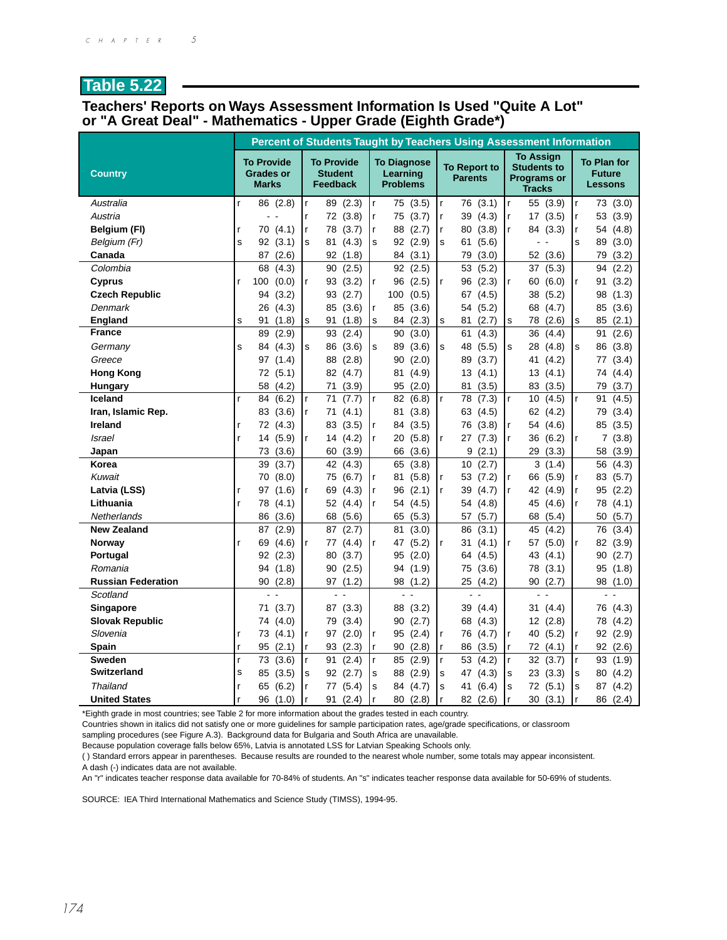#### **Teachers' Reports on Ways Assessment Information Is Used "Quite A Lot" or "A Great Deal" - Mathematics - Upper Grade (Eighth Grade\*)**

|                           | <b>Percent of Students Taught by Teachers Using Assessment Information</b> |                                                |          |              |                                                        |          |              |                                                   |          |              |                                       |          |   |                                   |                                          |              |                                                |          |
|---------------------------|----------------------------------------------------------------------------|------------------------------------------------|----------|--------------|--------------------------------------------------------|----------|--------------|---------------------------------------------------|----------|--------------|---------------------------------------|----------|---|-----------------------------------|------------------------------------------|--------------|------------------------------------------------|----------|
| <b>Country</b>            |                                                                            | <b>To Provide</b><br><b>Grades or</b><br>Marks |          |              | <b>To Provide</b><br><b>Student</b><br><b>Feedback</b> |          |              | <b>To Diagnose</b><br>Learning<br><b>Problems</b> |          |              | <b>To Report to</b><br><b>Parents</b> |          |   | <b>To Assign</b><br><b>Tracks</b> | <b>Students to</b><br><b>Programs or</b> |              | To Plan for<br><b>Future</b><br><b>Lessons</b> |          |
| Australia                 | r                                                                          |                                                | 86 (2.8) | $\mathsf{r}$ |                                                        | 89 (2.3) | $\mathsf{r}$ |                                                   | 75 (3.5) | r            |                                       | 76 (3.1) | r |                                   | 55 (3.9)                                 | r            |                                                | 73 (3.0) |
| Austria                   |                                                                            |                                                |          | r            |                                                        | 72 (3.8) | r            | 75                                                | (3.7)    | r            | 39                                    | (4.3)    | r |                                   | 17(3.5)                                  | $\mathsf{r}$ | 53                                             | (3.9)    |
| Belgium (FI)              | r                                                                          | 70                                             | (4.1)    | $\mathsf{r}$ | 78                                                     | (3.7)    | $\mathsf r$  |                                                   | 88 (2.7) | r            | 80                                    | (3.8)    | r |                                   | 84 (3.3)                                 | r            | 54                                             | (4.8)    |
| Belgium (Fr)              | S                                                                          |                                                | 92(3.1)  | S            |                                                        | 81 (4.3) | s            |                                                   | 92 (2.9) | s            | 61                                    | (5.6)    |   | $\blacksquare$                    |                                          | S            | 89                                             | (3.0)    |
| Canada                    |                                                                            |                                                | 87(2.6)  |              |                                                        | 92 (1.8) |              |                                                   | 84 (3.1) |              | 79                                    | (3.0)    |   |                                   | 52 (3.6)                                 |              | 79                                             | (3.2)    |
| Colombia                  |                                                                            | 68                                             | (4.3)    |              | 90                                                     | (2.5)    |              |                                                   | 92 (2.5) |              | 53                                    | (5.2)    |   | 37                                | (5.3)                                    |              | 94                                             | (2.2)    |
| <b>Cyprus</b>             | r                                                                          | 100                                            | (0.0)    | r            |                                                        | 93 (3.2) | r            |                                                   | 96 (2.5) | r            | 96                                    | (2.3)    | r |                                   | 60(6.0)                                  | r            | 91                                             | (3.2)    |
| <b>Czech Republic</b>     |                                                                            | 94                                             | (3.2)    |              |                                                        | 93 (2.7) |              | 100                                               | (0.5)    |              |                                       | 67 (4.5) |   |                                   | 38 (5.2)                                 |              | 98                                             | (1.3)    |
| Denmark                   |                                                                            | 26                                             | (4.3)    |              | 85                                                     | (3.6)    | r            | 85                                                | (3.6)    |              | 54                                    | (5.2)    |   | 68                                | (4.7)                                    |              | 85                                             | (3.6)    |
| England                   | s                                                                          | 91                                             | (1.8)    | s            | 91                                                     | (1.8)    | s            | 84                                                | (2.3)    | s            | 81                                    | (2.7)    | s | 78                                | (2.6)                                    | s            | 85                                             | (2.1)    |
| <b>France</b>             |                                                                            | 89                                             | (2.9)    |              | 93                                                     | (2.4)    |              | 90                                                | (3.0)    |              | 61                                    | (4.3)    |   | 36                                | (4.4)                                    |              | 91                                             | (2.6)    |
| Germany                   | s                                                                          |                                                | 84 (4.3) | s            | 86                                                     | (3.6)    | s            |                                                   | 89 (3.6) | s            | 48                                    | (5.5)    | s |                                   | 28 (4.8)                                 | s            | 86                                             | (3.8)    |
| Greece                    |                                                                            | 97                                             | (1.4)    |              | 88                                                     | (2.8)    |              | 90                                                | (2.0)    |              | 89                                    | (3.7)    |   | 41                                | (4.2)                                    |              | 77                                             | (3.4)    |
| <b>Hong Kong</b>          |                                                                            |                                                | 72 (5.1) |              |                                                        | 82 (4.7) |              | 81                                                | (4.9)    |              |                                       | 13(4.1)  |   |                                   | 13(4.1)                                  |              | 74                                             | (4.4)    |
| <b>Hungary</b>            |                                                                            | 58                                             | (4.2)    |              | 71                                                     | (3.9)    |              | 95                                                | (2.0)    |              | 81                                    | (3.5)    |   |                                   | 83 (3.5)                                 |              | 79                                             | (3.7)    |
| Iceland                   | r                                                                          | 84                                             | (6.2)    | $\mathsf{r}$ | 71                                                     | (7.7)    | $\mathsf{r}$ |                                                   | 82 (6.8) | r            | 78                                    | (7.3)    | r | 10                                | (4.5)                                    | r            | 91                                             | (4.5)    |
| Iran, Islamic Rep.        |                                                                            | 83                                             | (3.6)    | r            | 71                                                     | (4.1)    |              |                                                   | 81 (3.8) |              | 63                                    | (4.5)    |   |                                   | 62 (4.2)                                 |              | 79                                             | (3.4)    |
| Ireland                   | r                                                                          |                                                | 72 (4.3) |              | 83                                                     | (3.5)    | r            |                                                   | 84 (3.5) |              | 76                                    | (3.8)    | r | 54                                | (4.6)                                    |              | 85                                             | (3.5)    |
| <b>Israel</b>             | r                                                                          | 14                                             | (5.9)    | $\mathsf{r}$ | 14                                                     | (4.2)    | r            | 20                                                | (5.8)    | r            | 27                                    | (7.3)    | r | 36                                | (6.2)                                    | r            | 7                                              | (3.8)    |
| Japan                     |                                                                            |                                                | 73 (3.6) |              | 60                                                     | (3.9)    |              |                                                   | 66 (3.6) |              | 9                                     | (2.1)    |   |                                   | 29 (3.3)                                 |              | 58                                             | (3.9)    |
| Korea                     |                                                                            | 39                                             | (3.7)    |              | 42                                                     | (4.3)    |              | 65                                                | (3.8)    |              | 10                                    | (2.7)    |   | 3                                 | (1.4)                                    |              | 56                                             | (4.3)    |
| Kuwait                    |                                                                            |                                                | 70 (8.0) |              | 75                                                     | (6.7)    | r            |                                                   | 81 (5.8) | r            | 53                                    | (7.2)    | r |                                   | 66 (5.9)                                 | r            | 83                                             | (5.7)    |
| Latvia (LSS)              | r                                                                          | 97                                             | (1.6)    | r            | 69                                                     | (4.3)    | r            | 96                                                | (2.1)    | r            | 39                                    | (4.7)    | r |                                   | 42 (4.9)                                 | r            | 95                                             | (2.2)    |
| Lithuania                 | r                                                                          |                                                | 78 (4.1) |              |                                                        | 52 (4.4) | r            |                                                   | 54 (4.5) |              |                                       | 54 (4.8) |   |                                   | 45 (4.6)                                 | r            | 78                                             | (4.1)    |
| Netherlands               |                                                                            |                                                | 86 (3.6) |              |                                                        | 68 (5.6) |              |                                                   | 65 (5.3) |              |                                       | 57 (5.7) |   |                                   | 68 (5.4)                                 |              | 50                                             | (5.7)    |
| <b>New Zealand</b>        |                                                                            | 87                                             | (2.9)    |              | 87                                                     | (2.7)    |              | 81                                                | (3.0)    |              | 86                                    | (3.1)    |   | 45                                | (4.2)                                    |              | 76                                             | (3.4)    |
| Norway                    |                                                                            |                                                | 69 (4.6) | r            |                                                        | 77 (4.4) | r            |                                                   | 47 (5.2) | r            |                                       | 31 (4.1) | r |                                   | 57 (5.0)                                 | r            |                                                | 82 (3.9) |
| Portugal                  |                                                                            |                                                | 92(2.3)  |              | 80                                                     | (3.7)    |              |                                                   | 95 (2.0) |              | 64                                    | (4.5)    |   |                                   | 43 (4.1)                                 |              | 90                                             | (2.7)    |
| Romania                   |                                                                            |                                                | 94 (1.8) |              | 90                                                     | (2.5)    |              |                                                   | 94 (1.9) |              | 75                                    | (3.6)    |   |                                   | 78 (3.1)                                 |              | 95                                             | (1.8)    |
| <b>Russian Federation</b> |                                                                            |                                                | 90(2.8)  |              |                                                        | 97 (1.2) |              |                                                   | 98 (1.2) |              | 25                                    | (4.2)    |   |                                   | 90(2.7)                                  |              |                                                | 98 (1.0) |
| Scotland                  |                                                                            | $\sim$ $\sim$                                  |          |              | $\sim$ $\sim$                                          |          |              | $\sim$ $-$                                        |          |              | $\sim$ $\sim$                         |          |   | $\sim$ $\sim$                     |                                          |              | $\sim$ $\sim$                                  |          |
| Singapore                 |                                                                            | 71                                             | (3.7)    |              |                                                        | 87 (3.3) |              |                                                   | 88 (3.2) |              |                                       | 39 (4.4) |   | 31                                | (4.4)                                    |              | 76                                             | (4.3)    |
| <b>Slovak Republic</b>    |                                                                            | 74                                             | (4.0)    |              | 79                                                     | (3.4)    |              | 90                                                | (2.7)    |              | 68                                    | (4.3)    |   |                                   | 12 (2.8)                                 |              | 78                                             | (4.2)    |
| Slovenia                  | r                                                                          |                                                | 73 (4.1) | $\mathsf{r}$ |                                                        | 97(2.0)  | r            |                                                   | 95 (2.4) | r            |                                       | 76 (4.7) | r |                                   | 40 (5.2)                                 | r            |                                                | 92 (2.9) |
| Spain                     | r                                                                          | 95                                             | (2.1)    | r            |                                                        | 93 (2.3) | r            | 90                                                | (2.8)    | r            | 86                                    | (3.5)    | r |                                   | 72 (4.1)                                 | r            | 92                                             | (2.6)    |
| <b>Sweden</b>             | r                                                                          | 73                                             | (3.6)    | $\mathsf{r}$ | 91                                                     | (2.4)    | $\mathsf{r}$ | 85                                                | (2.9)    | r            | 53                                    | (4.2)    | r | 32                                | (3.7)                                    | r            | 93                                             | (1.9)    |
| <b>Switzerland</b>        | S                                                                          | 85                                             | (3.5)    | S            |                                                        | 92(2.7)  | s            |                                                   | 88 (2.9) | s            |                                       | 47 (4.3) | s |                                   | 23 (3.3)                                 | S            | 80                                             | (4.2)    |
| Thailand                  | r                                                                          | 65                                             | (6.2)    | $\mathsf{r}$ | 77                                                     | (5.4)    | s            | 84                                                | (4.7)    | s            | 41                                    | (6.4)    | s |                                   | 72 (5.1)                                 | s            | 87                                             | (4.2)    |
| <b>United States</b>      | r                                                                          | 96                                             | (1.0)    | l r          | 91                                                     | (2.4)    | $\mathsf{r}$ | 80                                                | (2.8)    | $\mathbf{r}$ |                                       | 82 (2.6) | r | 30                                | (3.1)                                    | $\mathsf{r}$ | 86                                             | (2.4)    |

\*Eighth grade in most countries; see Table 2 for more information about the grades tested in each country.

Countries shown in italics did not satisfy one or more guidelines for sample participation rates, age/grade specifications, or classroom

sampling procedures (see Figure A.3). Background data for Bulgaria and South Africa are unavailable.

Because population coverage falls below 65%, Latvia is annotated LSS for Latvian Speaking Schools only.

( ) Standard errors appear in parentheses. Because results are rounded to the nearest whole number, some totals may appear inconsistent. A dash (-) indicates data are not available.

An "r" indicates teacher response data available for 70-84% of students. An "s" indicates teacher response data available for 50-69% of students.